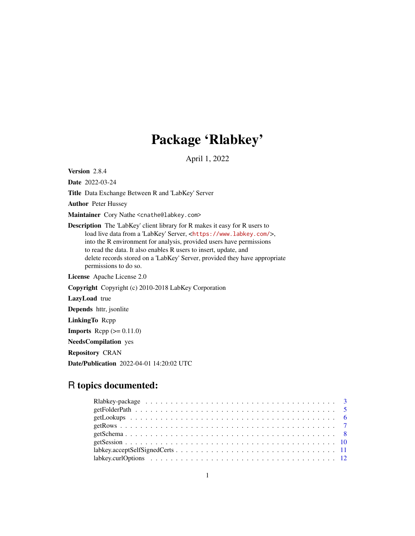# Package 'Rlabkey'

April 1, 2022

Version 2.8.4

Date 2022-03-24

Title Data Exchange Between R and 'LabKey' Server

Author Peter Hussey

Maintainer Cory Nathe <cnathe@labkey.com>

Description The 'LabKey' client library for R makes it easy for R users to load live data from a 'LabKey' Server, <<https://www.labkey.com/>>, into the R environment for analysis, provided users have permissions to read the data. It also enables R users to insert, update, and delete records stored on a 'LabKey' Server, provided they have appropriate permissions to do so.

License Apache License 2.0

Copyright Copyright (c) 2010-2018 LabKey Corporation

LazyLoad true

Depends httr, jsonlite

LinkingTo Rcpp

**Imports** Rcpp  $(>= 0.11.0)$ 

NeedsCompilation yes

Repository CRAN

Date/Publication 2022-04-01 14:20:02 UTC

## R topics documented: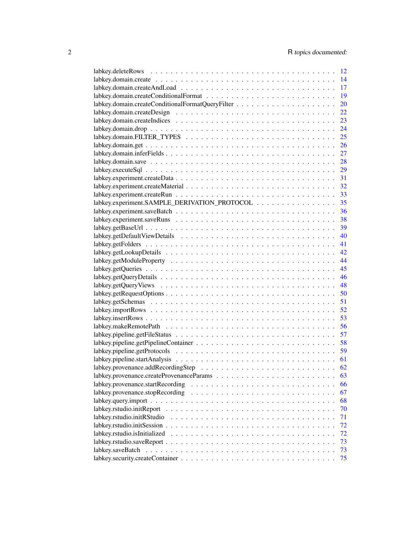|                                                                                                                 | -12 |
|-----------------------------------------------------------------------------------------------------------------|-----|
|                                                                                                                 | 14  |
|                                                                                                                 | 17  |
|                                                                                                                 | 19  |
|                                                                                                                 | 20  |
|                                                                                                                 | 22  |
|                                                                                                                 | 23  |
|                                                                                                                 | 24  |
|                                                                                                                 | 25  |
|                                                                                                                 | 26  |
|                                                                                                                 | 27  |
|                                                                                                                 |     |
|                                                                                                                 | 29  |
|                                                                                                                 |     |
|                                                                                                                 |     |
|                                                                                                                 |     |
| labkey.experiment.SAMPLE_DERIVATION_PROTOCOL 35                                                                 |     |
|                                                                                                                 | 36  |
|                                                                                                                 |     |
|                                                                                                                 |     |
|                                                                                                                 | 40  |
|                                                                                                                 | 41  |
|                                                                                                                 | 42  |
|                                                                                                                 | 44  |
|                                                                                                                 | 45  |
|                                                                                                                 | 46  |
|                                                                                                                 |     |
|                                                                                                                 | 48  |
|                                                                                                                 | 50  |
|                                                                                                                 | 51  |
|                                                                                                                 | 52  |
|                                                                                                                 | 53  |
|                                                                                                                 | 56  |
|                                                                                                                 | 57  |
|                                                                                                                 | 58  |
|                                                                                                                 | 59  |
|                                                                                                                 | 61  |
|                                                                                                                 | 62  |
|                                                                                                                 | 63  |
| labkey.provenance.startRecording                                                                                | 66  |
|                                                                                                                 | 67  |
|                                                                                                                 | 68  |
| $labkey.rstudio.initReport \dots \dots \dots \dots \dots \dots \dots \dots \dots \dots \dots \dots \dots \dots$ | 70  |
|                                                                                                                 | 71  |
|                                                                                                                 | 72  |
|                                                                                                                 | 72  |
|                                                                                                                 | 73  |
|                                                                                                                 | 73  |
|                                                                                                                 | 75  |
|                                                                                                                 |     |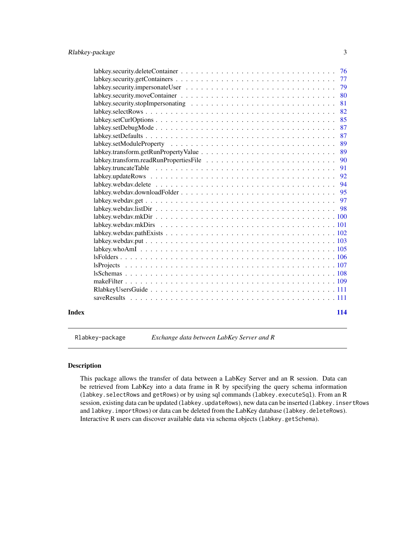<span id="page-2-0"></span>

|       | 76                                                                                                          |
|-------|-------------------------------------------------------------------------------------------------------------|
|       | 77                                                                                                          |
|       | 79                                                                                                          |
|       | 80                                                                                                          |
|       | 81                                                                                                          |
|       | 82<br>$\mathsf{labkey}.\mathsf{selectRows}.\dots.\dots.\dots.\dots.\dots.\dots.\dots.\dots.\dots\dots\dots$ |
|       | 85                                                                                                          |
|       | 87                                                                                                          |
|       | 87                                                                                                          |
|       | 89                                                                                                          |
|       | 89                                                                                                          |
|       | 90                                                                                                          |
|       | 91                                                                                                          |
|       | 92                                                                                                          |
|       | 94                                                                                                          |
|       | 95                                                                                                          |
|       | 97                                                                                                          |
|       |                                                                                                             |
|       |                                                                                                             |
|       |                                                                                                             |
|       |                                                                                                             |
|       |                                                                                                             |
|       |                                                                                                             |
|       |                                                                                                             |
|       |                                                                                                             |
|       |                                                                                                             |
|       |                                                                                                             |
|       |                                                                                                             |
|       | saveResults                                                                                                 |
|       |                                                                                                             |
| Index | 114                                                                                                         |

Rlabkey-package *Exchange data between LabKey Server and R*

### Description

This package allows the transfer of data between a LabKey Server and an R session. Data can be retrieved from LabKey into a data frame in R by specifying the query schema information (labkey.selectRows and getRows) or by using sql commands (labkey.executeSql). From an R session, existing data can be updated (labkey.updateRows), new data can be inserted (labkey.insertRows and labkey. importRows) or data can be deleted from the LabKey database (labkey.deleteRows). Interactive R users can discover available data via schema objects (labkey.getSchema).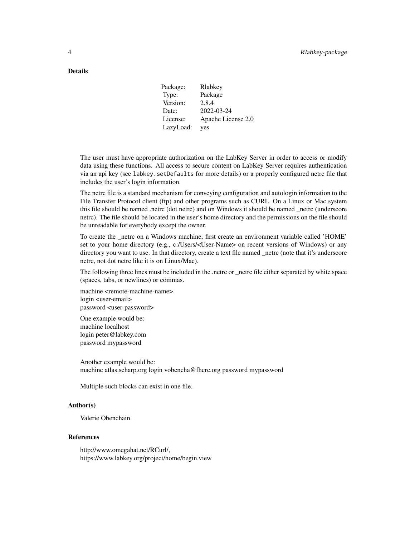### **Details**

| Package:  | Rlabkey            |
|-----------|--------------------|
| Type:     | Package            |
| Version:  | 2.8.4              |
| Date:     | 2022-03-24         |
| License:  | Apache License 2.0 |
| LazyLoad: | yes                |
|           |                    |

The user must have appropriate authorization on the LabKey Server in order to access or modify data using these functions. All access to secure content on LabKey Server requires authentication via an api key (see labkey.setDefaults for more details) or a properly configured netrc file that includes the user's login information.

The netrc file is a standard mechanism for conveying configuration and autologin information to the File Transfer Protocol client (ftp) and other programs such as CURL. On a Linux or Mac system this file should be named .netrc (dot netrc) and on Windows it should be named \_netrc (underscore netrc). The file should be located in the user's home directory and the permissions on the file should be unreadable for everybody except the owner.

To create the \_netrc on a Windows machine, first create an environment variable called 'HOME' set to your home directory (e.g., c:/Users/<User-Name> on recent versions of Windows) or any directory you want to use. In that directory, create a text file named \_netrc (note that it's underscore netrc, not dot netrc like it is on Linux/Mac).

The following three lines must be included in the .netrc or \_netrc file either separated by white space (spaces, tabs, or newlines) or commas.

machine <remote-machine-name> login <user-email> password <user-password>

One example would be: machine localhost login peter@labkey.com password mypassword

Another example would be: machine atlas.scharp.org login vobencha@fhcrc.org password mypassword

Multiple such blocks can exist in one file.

#### Author(s)

Valerie Obenchain

#### References

http://www.omegahat.net/RCurl/, https://www.labkey.org/project/home/begin.view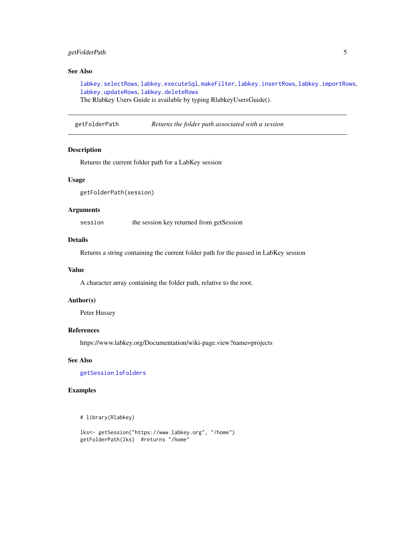### <span id="page-4-0"></span>getFolderPath 5

### See Also

[labkey.selectRows](#page-81-1), [labkey.executeSql](#page-28-1), [makeFilter](#page-108-1), [labkey.insertRows](#page-52-1), [labkey.importRows](#page-51-1), [labkey.updateRows](#page-91-1), [labkey.deleteRows](#page-11-1)

The Rlabkey Users Guide is available by typing RlabkeyUsersGuide().

getFolderPath *Returns the folder path associated with a session*

### Description

Returns the current folder path for a LabKey session

#### Usage

getFolderPath(session)

#### Arguments

session the session key returned from getSession

### Details

Returns a string containing the current folder path for the passed in LabKey session

#### Value

A character array containing the folder path, relative to the root.

#### Author(s)

Peter Hussey

#### References

https://www.labkey.org/Documentation/wiki-page.view?name=projects

### See Also

[getSession](#page-9-1) [lsFolders](#page-105-1)

### Examples

```
# library(Rlabkey)
```

```
lks<- getSession("https://www.labkey.org", "/home")
getFolderPath(lks) #returns "/home"
```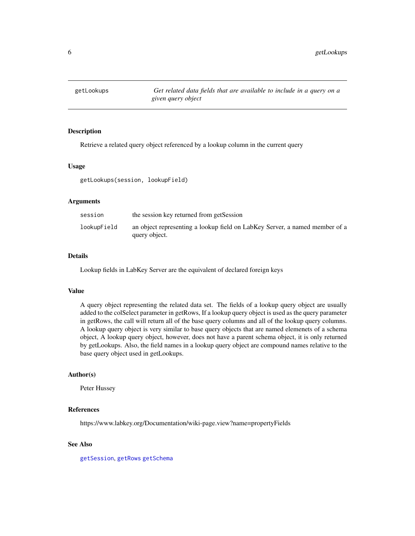<span id="page-5-1"></span><span id="page-5-0"></span>

### Description

Retrieve a related query object referenced by a lookup column in the current query

#### Usage

getLookups(session, lookupField)

### Arguments

| session     | the session key returned from getSession                                                     |
|-------------|----------------------------------------------------------------------------------------------|
| lookupField | an object representing a lookup field on LabKey Server, a named member of a<br>query object. |

### Details

Lookup fields in LabKey Server are the equivalent of declared foreign keys

### Value

A query object representing the related data set. The fields of a lookup query object are usually added to the colSelect parameter in getRows, If a lookup query object is used as the query parameter in getRows, the call will return all of the base query columns and all of the lookup query columns. A lookup query object is very similar to base query objects that are named elemenets of a schema object, A lookup query object, however, does not have a parent schema object, it is only returned by getLookups. Also, the field names in a lookup query object are compound names relative to the base query object used in getLookups.

### Author(s)

Peter Hussey

### References

https://www.labkey.org/Documentation/wiki-page.view?name=propertyFields

#### See Also

[getSession](#page-9-1), [getRows](#page-6-1) [getSchema](#page-7-1)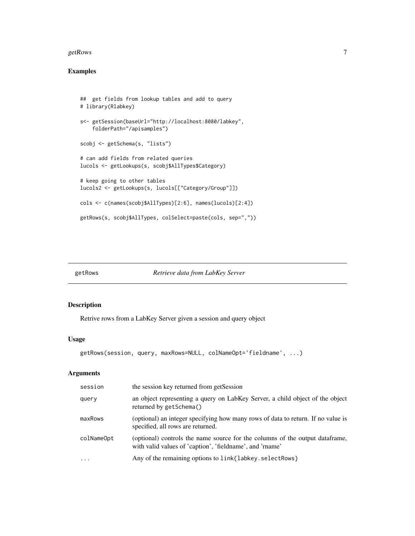#### <span id="page-6-0"></span> $getRows$  7

### Examples

```
## get fields from lookup tables and add to query
# library(Rlabkey)
s<- getSession(baseUrl="http://localhost:8080/labkey",
    folderPath="/apisamples")
scobj <- getSchema(s, "lists")
# can add fields from related queries
lucols <- getLookups(s, scobj$AllTypes$Category)
# keep going to other tables
lucols2 <- getLookups(s, lucols[["Category/Group"]])
cols <- c(names(scobj$AllTypes)[2:6], names(lucols)[2:4])
getRows(s, scobj$AllTypes, colSelect=paste(cols, sep=","))
```
<span id="page-6-1"></span>

#### getRows *Retrieve data from LabKey Server*

### Description

Retrive rows from a LabKey Server given a session and query object

### Usage

```
getRows(session, query, maxRows=NULL, colNameOpt='fieldname', ...)
```
### Arguments

| session    | the session key returned from getSession                                                                                                  |
|------------|-------------------------------------------------------------------------------------------------------------------------------------------|
| query      | an object representing a query on LabKey Server, a child object of the object<br>returned by getSchema()                                  |
| maxRows    | (optional) an integer specifying how many rows of data to return. If no value is<br>specified, all rows are returned.                     |
| colNameOpt | (optional) controls the name source for the columns of the output data frame,<br>with valid values of 'caption', 'fieldname', and 'rname' |
| $\ddotsc$  | Any of the remaining options to link{labkey.selectRows}                                                                                   |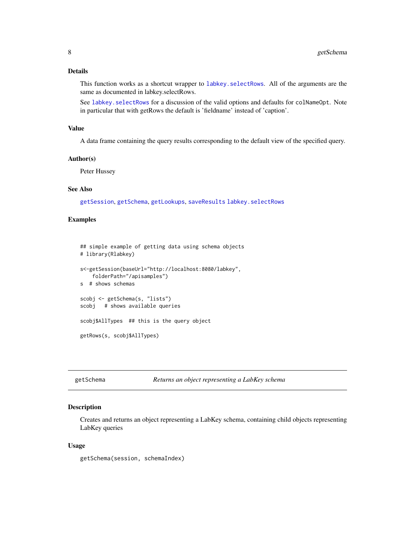### <span id="page-7-0"></span>Details

This function works as a shortcut wrapper to labkey. selectRows. All of the arguments are the same as documented in labkey.selectRows.

See labkey. selectRows for a discussion of the valid options and defaults for colNameOpt. Note in particular that with getRows the default is 'fieldname' instead of 'caption'.

#### Value

A data frame containing the query results corresponding to the default view of the specified query.

#### Author(s)

Peter Hussey

### See Also

[getSession](#page-9-1), [getSchema](#page-7-1), [getLookups](#page-5-1), [saveResults](#page-110-1) [labkey.selectRows](#page-81-1)

### Examples

```
## simple example of getting data using schema objects
# library(Rlabkey)
s<-getSession(baseUrl="http://localhost:8080/labkey",
    folderPath="/apisamples")
s # shows schemas
scobj <- getSchema(s, "lists")
scobj # shows available queries
scobj$AllTypes ## this is the query object
getRows(s, scobj$AllTypes)
```
<span id="page-7-1"></span>getSchema *Returns an object representing a LabKey schema*

#### **Description**

Creates and returns an object representing a LabKey schema, containing child objects representing LabKey queries

#### Usage

getSchema(session, schemaIndex)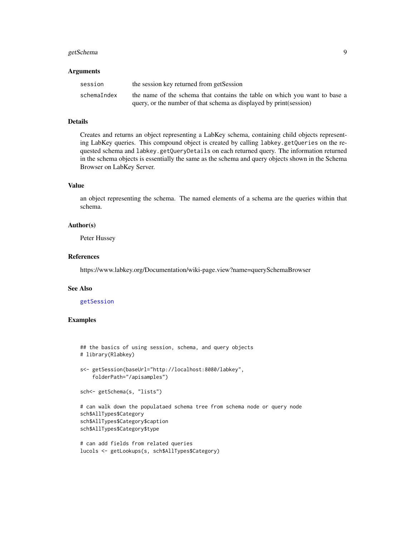#### getSchema 9

#### Arguments

| session     | the session key returned from getSession                                   |
|-------------|----------------------------------------------------------------------------|
| schemaIndex | the name of the schema that contains the table on which you want to base a |
|             | query, or the number of that schema as displayed by print (session)        |

#### Details

Creates and returns an object representing a LabKey schema, containing child objects representing LabKey queries. This compound object is created by calling labkey.getQueries on the requested schema and labkey.getQueryDetails on each returned query. The information returned in the schema objects is essentially the same as the schema and query objects shown in the Schema Browser on LabKey Server.

### Value

an object representing the schema. The named elements of a schema are the queries within that schema.

#### Author(s)

Peter Hussey

#### References

https://www.labkey.org/Documentation/wiki-page.view?name=querySchemaBrowser

### See Also

[getSession](#page-9-1)

### Examples

```
## the basics of using session, schema, and query objects
# library(Rlabkey)
s<- getSession(baseUrl="http://localhost:8080/labkey",
    folderPath="/apisamples")
sch<- getSchema(s, "lists")
# can walk down the populataed schema tree from schema node or query node
sch$AllTypes$Category
sch$AllTypes$Category$caption
sch$AllTypes$Category$type
```

```
# can add fields from related queries
lucols <- getLookups(s, sch$AllTypes$Category)
```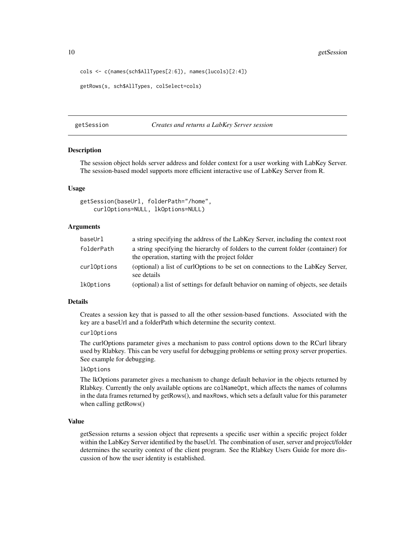<span id="page-9-0"></span>10 getSession

```
cols <- c(names(sch$AllTypes[2:6]), names(lucols)[2:4])
```

```
getRows(s, sch$AllTypes, colSelect=cols)
```
#### <span id="page-9-1"></span>getSession *Creates and returns a LabKey Server session*

### **Description**

The session object holds server address and folder context for a user working with LabKey Server. The session-based model supports more efficient interactive use of LabKey Server from R.

### Usage

```
getSession(baseUrl, folderPath="/home",
    curlOptions=NULL, lkOptions=NULL)
```
### Arguments

| baseUrl     | a string specifying the address of the LabKey Server, including the context root                                                      |
|-------------|---------------------------------------------------------------------------------------------------------------------------------------|
| folderPath  | a string specifying the hierarchy of folders to the current folder (container) for<br>the operation, starting with the project folder |
| curlOptions | (optional) a list of curlOptions to be set on connections to the LabKey Server,<br>see details                                        |
| lkOptions   | (optional) a list of settings for default behavior on naming of objects, see details                                                  |

### Details

Creates a session key that is passed to all the other session-based functions. Associated with the key are a baseUrl and a folderPath which determine the security context.

#### curlOptions

The curlOptions parameter gives a mechanism to pass control options down to the RCurl library used by Rlabkey. This can be very useful for debugging problems or setting proxy server properties. See example for debugging.

#### lkOptions

The lkOptions parameter gives a mechanism to change default behavior in the objects returned by Rlabkey. Currently the only available options are colNameOpt, which affects the names of columns in the data frames returned by getRows(), and maxRows, which sets a default value for this parameter when calling getRows()

### Value

getSession returns a session object that represents a specific user within a specific project folder within the LabKey Server identified by the baseUrl. The combination of user, server and project/folder determines the security context of the client program. See the Rlabkey Users Guide for more discussion of how the user identity is established.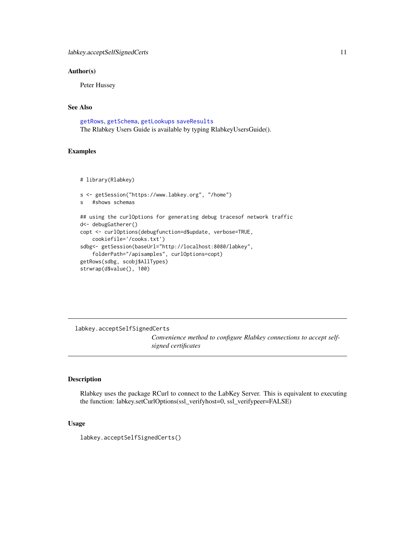### <span id="page-10-0"></span>Author(s)

Peter Hussey

### See Also

[getRows](#page-6-1), [getSchema](#page-7-1), [getLookups](#page-5-1) [saveResults](#page-110-1) The Rlabkey Users Guide is available by typing RlabkeyUsersGuide().

#### Examples

```
# library(Rlabkey)
```

```
s <- getSession("https://www.labkey.org", "/home")
s #shows schemas
## using the curlOptions for generating debug tracesof network traffic
d<- debugGatherer()
copt <- curlOptions(debugfunction=d$update, verbose=TRUE,
    cookiefile='/cooks.txt')
sdbg<- getSession(baseUrl="http://localhost:8080/labkey",
    folderPath="/apisamples", curlOptions=copt)
getRows(sdbg, scobj$AllTypes)
strwrap(d$value(), 100)
```
labkey.acceptSelfSignedCerts

*Convenience method to configure Rlabkey connections to accept selfsigned certificates*

### Description

Rlabkey uses the package RCurl to connect to the LabKey Server. This is equivalent to executing the function: labkey.setCurlOptions(ssl\_verifyhost=0, ssl\_verifypeer=FALSE)

### Usage

labkey.acceptSelfSignedCerts()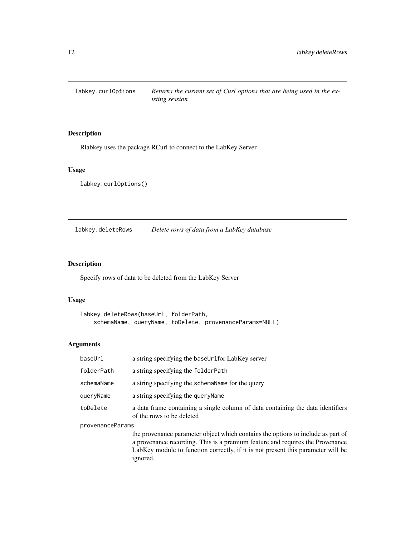<span id="page-11-0"></span>labkey.curlOptions *Returns the current set of Curl options that are being used in the existing session*

### Description

Rlabkey uses the package RCurl to connect to the LabKey Server.

### Usage

labkey.curlOptions()

<span id="page-11-1"></span>labkey.deleteRows *Delete rows of data from a LabKey database*

### Description

Specify rows of data to be deleted from the LabKey Server

ignored.

### Usage

```
labkey.deleteRows(baseUrl, folderPath,
   schemaName, queryName, toDelete, provenanceParams=NULL)
```
### Arguments

| baseUrl          | a string specifying the baseUrlfor LabKey server                                                                                                                                                                                                      |  |
|------------------|-------------------------------------------------------------------------------------------------------------------------------------------------------------------------------------------------------------------------------------------------------|--|
| folderPath       | a string specifying the folderPath                                                                                                                                                                                                                    |  |
| schemaName       | a string specifying the schema Name for the query                                                                                                                                                                                                     |  |
| queryName        | a string specifying the query Name                                                                                                                                                                                                                    |  |
| toDelete         | a data frame containing a single column of data containing the data identifiers<br>of the rows to be deleted                                                                                                                                          |  |
| provenanceParams |                                                                                                                                                                                                                                                       |  |
|                  | the provenance parameter object which contains the options to include as part of<br>a provenance recording. This is a premium feature and requires the Provenance<br>LabKey module to function correctly, if it is not present this parameter will be |  |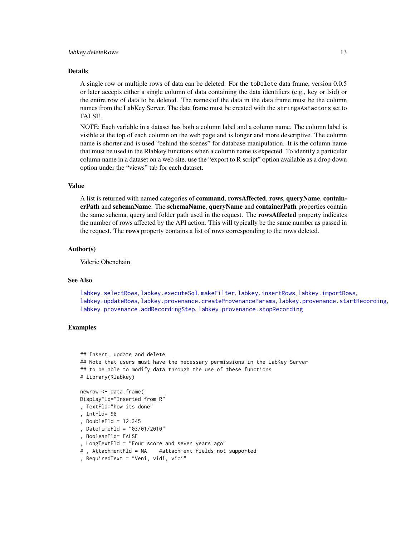#### labkey.deleteRows 13

#### Details

A single row or multiple rows of data can be deleted. For the toDelete data frame, version 0.0.5 or later accepts either a single column of data containing the data identifiers (e.g., key or lsid) or the entire row of data to be deleted. The names of the data in the data frame must be the column names from the LabKey Server. The data frame must be created with the stringsAsFactors set to FALSE.

NOTE: Each variable in a dataset has both a column label and a column name. The column label is visible at the top of each column on the web page and is longer and more descriptive. The column name is shorter and is used "behind the scenes" for database manipulation. It is the column name that must be used in the Rlabkey functions when a column name is expected. To identify a particular column name in a dataset on a web site, use the "export to R script" option available as a drop down option under the "views" tab for each dataset.

### Value

A list is returned with named categories of command, rowsAffected, rows, queryName, containerPath and schemaName. The schemaName, queryName and containerPath properties contain the same schema, query and folder path used in the request. The rowsAffected property indicates the number of rows affected by the API action. This will typically be the same number as passed in the request. The rows property contains a list of rows corresponding to the rows deleted.

### Author(s)

Valerie Obenchain

#### See Also

[labkey.selectRows](#page-81-1), [labkey.executeSql](#page-28-1), [makeFilter](#page-108-1), [labkey.insertRows](#page-52-1), [labkey.importRows](#page-51-1), [labkey.updateRows](#page-91-1), [labkey.provenance.createProvenanceParams](#page-62-1), [labkey.provenance.startRecording](#page-65-1), [labkey.provenance.addRecordingStep](#page-61-1), [labkey.provenance.stopRecording](#page-66-1)

#### Examples

```
## Insert, update and delete
## Note that users must have the necessary permissions in the LabKey Server
## to be able to modify data through the use of these functions
# library(Rlabkey)
newrow <- data.frame(
DisplayFld="Inserted from R"
, TextFld="how its done"
, IntFld= 98
, DoubleFld = 12.345
, DateTimeFld = "03/01/2010"
, BooleanFld= FALSE
, LongTextFld = "Four score and seven years ago"
# , AttachmentFld = NA #attachment fields not supported
```

```
, RequiredText = "Veni, vidi, vici"
```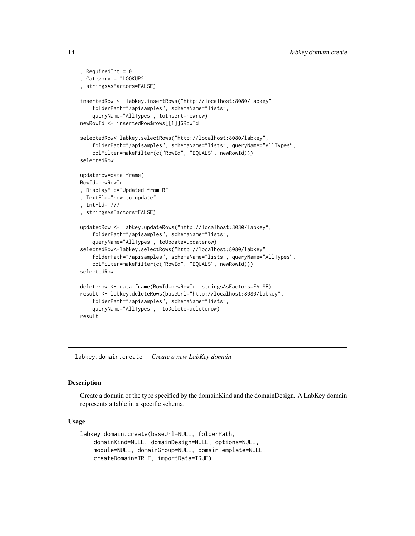```
, RequiredInt = 0, Category = "LOOKUP2"
, stringsAsFactors=FALSE)
insertedRow <- labkey.insertRows("http://localhost:8080/labkey",
    folderPath="/apisamples", schemaName="lists",
    queryName="AllTypes", toInsert=newrow)
newRowId <- insertedRow$rows[[1]]$RowId
selectedRow<-labkey.selectRows("http://localhost:8080/labkey",
    folderPath="/apisamples", schemaName="lists", queryName="AllTypes",
    colFilter=makeFilter(c("RowId", "EQUALS", newRowId)))
selectedRow
updaterow=data.frame(
RowId=newRowId
, DisplayFld="Updated from R"
, TextFld="how to update"
, IntFld= 777
, stringsAsFactors=FALSE)
updatedRow <- labkey.updateRows("http://localhost:8080/labkey",
    folderPath="/apisamples", schemaName="lists",
    queryName="AllTypes", toUpdate=updaterow)
selectedRow<-labkey.selectRows("http://localhost:8080/labkey",
    folderPath="/apisamples", schemaName="lists", queryName="AllTypes",
    colFilter=makeFilter(c("RowId", "EQUALS", newRowId)))
selectedRow
deleterow <- data.frame(RowId=newRowId, stringsAsFactors=FALSE)
result <- labkey.deleteRows(baseUrl="http://localhost:8080/labkey",
    folderPath="/apisamples", schemaName="lists",
    queryName="AllTypes", toDelete=deleterow)
result
```
<span id="page-13-1"></span>labkey.domain.create *Create a new LabKey domain*

### Description

Create a domain of the type specified by the domainKind and the domainDesign. A LabKey domain represents a table in a specific schema.

#### Usage

```
labkey.domain.create(baseUrl=NULL, folderPath,
   domainKind=NULL, domainDesign=NULL, options=NULL,
   module=NULL, domainGroup=NULL, domainTemplate=NULL,
   createDomain=TRUE, importData=TRUE)
```
<span id="page-13-0"></span>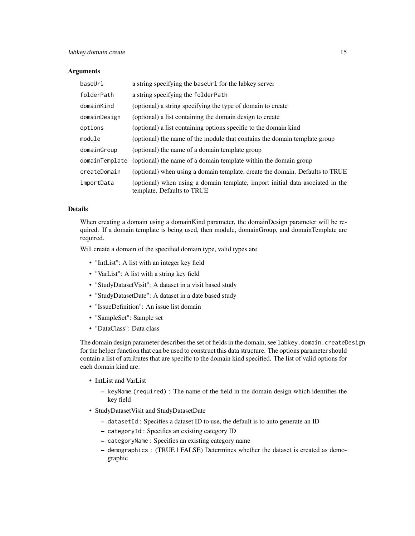#### **Arguments**

| baseUrl        | a string specifying the baseUr1 for the labkey server                                                       |
|----------------|-------------------------------------------------------------------------------------------------------------|
| folderPath     | a string specifying the folderPath                                                                          |
| domainKind     | (optional) a string specifying the type of domain to create                                                 |
| domainDesign   | (optional) a list containing the domain design to create                                                    |
| options        | (optional) a list containing options specific to the domain kind                                            |
| module         | (optional) the name of the module that contains the domain template group                                   |
| domainGroup    | (optional) the name of a domain template group                                                              |
| domainTemplate | (optional) the name of a domain template within the domain group                                            |
| createDomain   | (optional) when using a domain template, create the domain. Defaults to TRUE                                |
| importData     | (optional) when using a domain template, import initial data asociated in the<br>template. Defaults to TRUE |

### Details

When creating a domain using a domainKind parameter, the domainDesign parameter will be required. If a domain template is being used, then module, domainGroup, and domainTemplate are required.

Will create a domain of the specified domain type, valid types are

- "IntList": A list with an integer key field
- "VarList": A list with a string key field
- "StudyDatasetVisit": A dataset in a visit based study
- "StudyDatasetDate": A dataset in a date based study
- "IssueDefinition": An issue list domain
- "SampleSet": Sample set
- "DataClass": Data class

The domain design parameter describes the set of fields in the domain, see labkey.domain.createDesign for the helper function that can be used to construct this data structure. The options parameter should contain a list of attributes that are specific to the domain kind specified. The list of valid options for each domain kind are:

- IntList and VarList
	- keyName (required) : The name of the field in the domain design which identifies the key field
- StudyDatasetVisit and StudyDatasetDate
	- datasetId : Specifies a dataset ID to use, the default is to auto generate an ID
	- categoryId : Specifies an existing category ID
	- categoryName : Specifies an existing category name
	- demographics : (TRUE | FALSE) Determines whether the dataset is created as demographic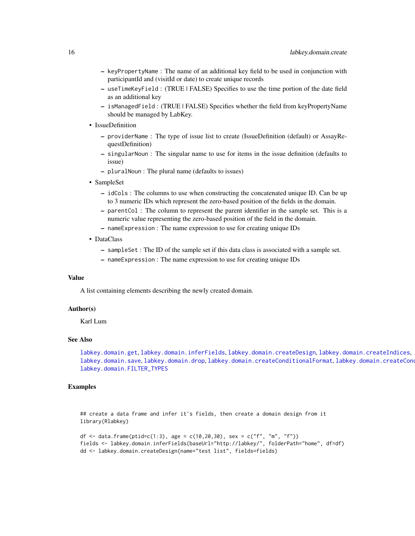- keyPropertyName : The name of an additional key field to be used in conjunction with participantId and (visitId or date) to create unique records
- useTimeKeyField : (TRUE | FALSE) Specifies to use the time portion of the date field as an additional key
- isManagedField : (TRUE | FALSE) Specifies whether the field from keyPropertyName should be managed by LabKey.
- IssueDefinition
	- providerName : The type of issue list to create (IssueDefinition (default) or AssayRequestDefinition)
	- singularNoun : The singular name to use for items in the issue definition (defaults to issue)
	- pluralNoun : The plural name (defaults to issues)
- SampleSet
	- idCols : The columns to use when constructing the concatenated unique ID. Can be up to 3 numeric IDs which represent the zero-based position of the fields in the domain.
	- parentCol : The column to represent the parent identifier in the sample set. This is a numeric value representing the zero-based position of the field in the domain.
	- nameExpression : The name expression to use for creating unique IDs
- DataClass
	- sampleSet : The ID of the sample set if this data class is associated with a sample set.
	- nameExpression : The name expression to use for creating unique IDs

#### Value

A list containing elements describing the newly created domain.

### Author(s)

Karl Lum

### See Also

[labkey.domain.get](#page-25-1), [labkey.domain.inferFields](#page-26-1), [labkey.domain.createDesign](#page-21-1), [labkey.domain.createIndices](#page-22-1), [labkey.domain.save](#page-27-1), [labkey.domain.drop](#page-23-1), [labkey.domain.createConditionalFormat](#page-18-1), labkey.domain.createConditionalFormat [labkey.domain.FILTER\\_TYPES](#page-24-1)

#### Examples

## create a data frame and infer it's fields, then create a domain design from it library(Rlabkey)

```
df <- data.frame(ptid=c(1:3), age = c(10,20,30), sex = c("f", "m", "f"))
fields <- labkey.domain.inferFields(baseUrl="http://labkey/", folderPath="home", df=df)
dd <- labkey.domain.createDesign(name="test list", fields=fields)
```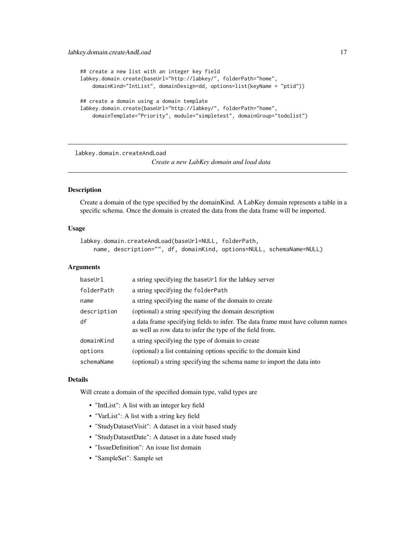```
## create a new list with an integer key field
labkey.domain.create(baseUrl="http://labkey/", folderPath="home",
    domainKind="IntList", domainDesign=dd, options=list(keyName = "ptid"))
## create a domain using a domain template
labkey.domain.create(baseUrl="http://labkey/", folderPath="home",
   domainTemplate="Priority", module="simpletest", domainGroup="todolist")
```
labkey.domain.createAndLoad

*Create a new LabKey domain and load data*

### Description

Create a domain of the type specified by the domainKind. A LabKey domain represents a table in a specific schema. Once the domain is created the data from the data frame will be imported.

#### Usage

```
labkey.domain.createAndLoad(baseUrl=NULL, folderPath,
   name, description="", df, domainKind, options=NULL, schemaName=NULL)
```
#### Arguments

| baseUrl     | a string specifying the baseUrl for the labkey server                                                                                      |
|-------------|--------------------------------------------------------------------------------------------------------------------------------------------|
| folderPath  | a string specifying the folderPath                                                                                                         |
| name        | a string specifying the name of the domain to create                                                                                       |
| description | (optional) a string specifying the domain description                                                                                      |
| df          | a data frame specifying fields to infer. The data frame must have column names<br>as well as row data to infer the type of the field from. |
| domainKind  | a string specifying the type of domain to create                                                                                           |
| options     | (optional) a list containing options specific to the domain kind                                                                           |
| schemaName  | (optional) a string specifying the schema name to import the data into                                                                     |

### Details

Will create a domain of the specified domain type, valid types are

- "IntList": A list with an integer key field
- "VarList": A list with a string key field
- "StudyDatasetVisit": A dataset in a visit based study
- "StudyDatasetDate": A dataset in a date based study
- "IssueDefinition": An issue list domain
- "SampleSet": Sample set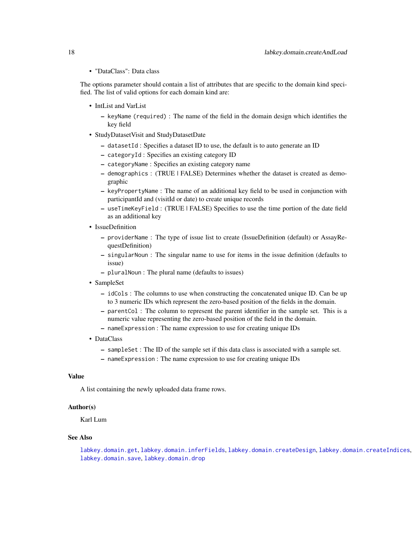• "DataClass": Data class

The options parameter should contain a list of attributes that are specific to the domain kind specified. The list of valid options for each domain kind are:

- IntList and VarList
	- keyName (required) : The name of the field in the domain design which identifies the key field
- StudyDatasetVisit and StudyDatasetDate
	- datasetId : Specifies a dataset ID to use, the default is to auto generate an ID
	- categoryId : Specifies an existing category ID
	- categoryName : Specifies an existing category name
	- demographics : (TRUE | FALSE) Determines whether the dataset is created as demographic
	- keyPropertyName : The name of an additional key field to be used in conjunction with participantId and (visitId or date) to create unique records
	- useTimeKeyField : (TRUE | FALSE) Specifies to use the time portion of the date field as an additional key
- IssueDefinition
	- providerName : The type of issue list to create (IssueDefinition (default) or AssayRequestDefinition)
	- singularNoun : The singular name to use for items in the issue definition (defaults to issue)
	- pluralNoun : The plural name (defaults to issues)
- SampleSet
	- idCols : The columns to use when constructing the concatenated unique ID. Can be up to 3 numeric IDs which represent the zero-based position of the fields in the domain.
	- parentCol : The column to represent the parent identifier in the sample set. This is a numeric value representing the zero-based position of the field in the domain.
	- nameExpression : The name expression to use for creating unique IDs
- DataClass
	- sampleSet : The ID of the sample set if this data class is associated with a sample set.
	- nameExpression : The name expression to use for creating unique IDs

### Value

A list containing the newly uploaded data frame rows.

### Author(s)

Karl Lum

#### See Also

[labkey.domain.get](#page-25-1), [labkey.domain.inferFields](#page-26-1), [labkey.domain.createDesign](#page-21-1), [labkey.domain.createIndices](#page-22-1), [labkey.domain.save](#page-27-1), [labkey.domain.drop](#page-23-1)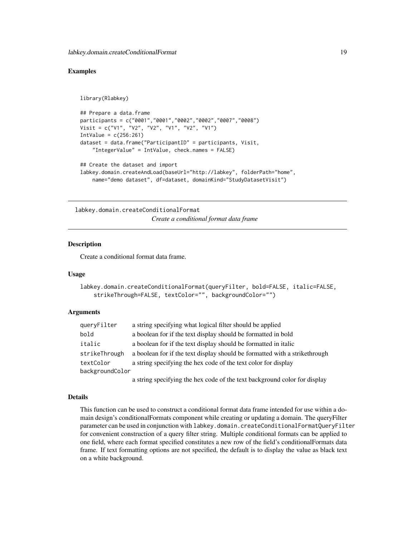### <span id="page-18-0"></span>Examples

```
library(Rlabkey)
## Prepare a data.frame
participants = c("0001","0001","0002","0002","0007","0008")
Visit = c("V1", "V2", "V2", "V1", "V2", "V1")
IntValue = c(256:261)dataset = data.frame("ParticipantID" = participants, Visit,
    "IntegerValue" = IntValue, check.names = FALSE)
## Create the dataset and import
labkey.domain.createAndLoad(baseUrl="http://labkey", folderPath="home",
   name="demo dataset", df=dataset, domainKind="StudyDatasetVisit")
```
<span id="page-18-1"></span>labkey.domain.createConditionalFormat

*Create a conditional format data frame*

### Description

Create a conditional format data frame.

#### Usage

```
labkey.domain.createConditionalFormat(queryFilter, bold=FALSE, italic=FALSE,
    strikeThrough=FALSE, textColor="", backgroundColor="")
```
#### Arguments

| queryFilter     | a string specifying what logical filter should be applied                   |
|-----------------|-----------------------------------------------------------------------------|
| bold            | a boolean for if the text display should be formatted in bold               |
| italic          | a boolean for if the text display should be formatted in italic             |
| strikeThrough   | a boolean for if the text display should be formatted with a strike through |
| textColor       | a string specifying the hex code of the text color for display              |
| backgroundColor |                                                                             |
|                 |                                                                             |

a string specifying the hex code of the text background color for display

#### Details

This function can be used to construct a conditional format data frame intended for use within a domain design's conditionalFormats component while creating or updating a domain. The queryFilter parameter can be used in conjunction with labkey.domain.createConditionalFormatQueryFilter for convenient construction of a query filter string. Multiple conditional formats can be applied to one field, where each format specified constitutes a new row of the field's conditionalFormats data frame. If text formatting options are not specified, the default is to display the value as black text on a white background.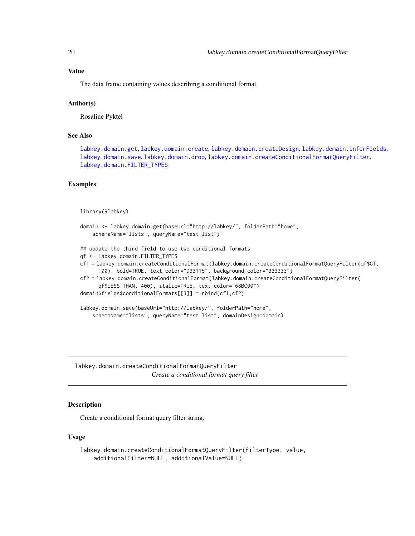#### <span id="page-19-0"></span>Value

The data frame containing values describing a conditional format.

### Author(s)

Rosaline Pyktel

#### See Also

[labkey.domain.get](#page-25-1), [labkey.domain.create](#page-13-1), [labkey.domain.createDesign](#page-21-1), [labkey.domain.inferFields](#page-26-1), [labkey.domain.save](#page-27-1), [labkey.domain.drop](#page-23-1), [labkey.domain.createConditionalFormatQueryFilter](#page-19-1), [labkey.domain.FILTER\\_TYPES](#page-24-1)

#### Examples

```
library(Rlabkey)
```

```
domain <- labkey.domain.get(baseUrl="http://labkey/", folderPath="home",
    schemaName="lists", queryName="test list")
## update the third field to use two conditional formats
qf <- labkey.domain.FILTER_TYPES
cf1 = labkey.domain.createConditionalFormat(labkey.domain.createConditionalFormatQueryFilter(qf$GT,
      100), bold=TRUE, text_color="D33115", background_color="333333")
cf2 = labkey.domain.createConditionalFormat(labkey.domain.createConditionalFormatQueryFilter(
      qf$LESS_THAN, 400), italic=TRUE, text_color="68BC00")
domain$fields$conditionalFormats[[3]] = rbind(cf1,cf2)
```

```
labkey.domain.save(baseUrl="http://labkey/", folderPath="home",
   schemaName="lists", queryName="test list", domainDesign=domain)
```
<span id="page-19-1"></span>labkey.domain.createConditionalFormatQueryFilter *Create a conditional format query filter*

### Description

Create a conditional format query filter string.

### Usage

```
labkey.domain.createConditionalFormatQueryFilter(filterType, value,
   additionalFilter=NULL, additionalValue=NULL)
```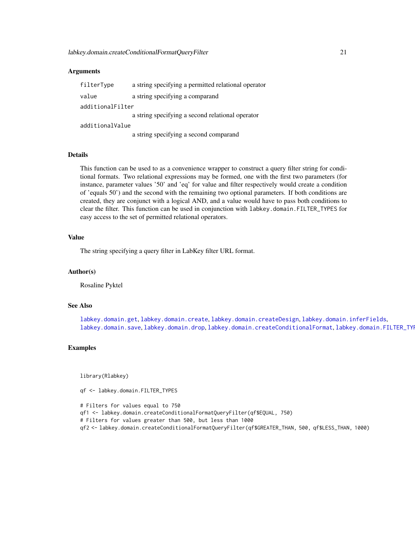#### Arguments

| filterType       | a string specifying a permitted relational operator |
|------------------|-----------------------------------------------------|
| value            | a string specifying a comparand                     |
| additionalFilter |                                                     |
|                  | a string specifying a second relational operator    |
| additionalValue  |                                                     |
|                  | a string specifying a second comparand              |

### Details

This function can be used to as a convenience wrapper to construct a query filter string for conditional formats. Two relational expressions may be formed, one with the first two parameters (for instance, parameter values '50' and 'eq' for value and filter respectively would create a condition of 'equals 50') and the second with the remaining two optional parameters. If both conditions are created, they are conjunct with a logical AND, and a value would have to pass both conditions to clear the filter. This function can be used in conjunction with labkey.domain.FILTER\_TYPES for easy access to the set of permitted relational operators.

### Value

The string specifying a query filter in LabKey filter URL format.

#### Author(s)

Rosaline Pyktel

### See Also

[labkey.domain.get](#page-25-1), [labkey.domain.create](#page-13-1), [labkey.domain.createDesign](#page-21-1), [labkey.domain.inferFields](#page-26-1), [labkey.domain.save](#page-27-1), [labkey.domain.drop](#page-23-1), [labkey.domain.createConditionalFormat](#page-18-1), labkey.domain.FILTER\_TYI

### Examples

library(Rlabkey)

qf <- labkey.domain.FILTER\_TYPES

# Filters for values equal to 750 qf1 <- labkey.domain.createConditionalFormatQueryFilter(qf\$EQUAL, 750) # Filters for values greater than 500, but less than 1000 qf2 <- labkey.domain.createConditionalFormatQueryFilter(qf\$GREATER\_THAN, 500, qf\$LESS\_THAN, 1000)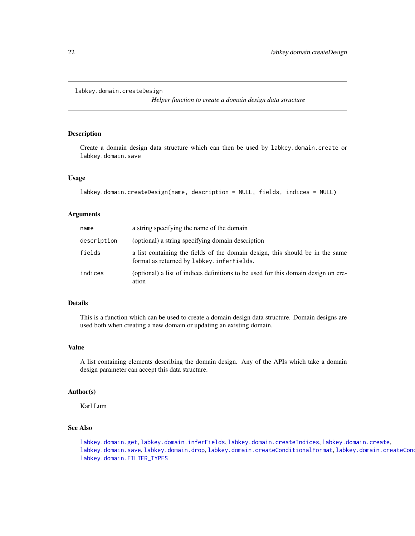```
labkey.domain.createDesign
```
*Helper function to create a domain design data structure*

### Description

Create a domain design data structure which can then be used by labkey.domain.create or labkey.domain.save

### Usage

```
labkey.domain.createDesign(name, description = NULL, fields, indices = NULL)
```
#### Arguments

| name        | a string specifying the name of the domain                                                                                  |
|-------------|-----------------------------------------------------------------------------------------------------------------------------|
| description | (optional) a string specifying domain description                                                                           |
| fields      | a list containing the fields of the domain design, this should be in the same<br>format as returned by labkey. inferFields. |
| indices     | (optional) a list of indices definitions to be used for this domain design on cre-<br>ation                                 |

#### Details

This is a function which can be used to create a domain design data structure. Domain designs are used both when creating a new domain or updating an existing domain.

### Value

A list containing elements describing the domain design. Any of the APIs which take a domain design parameter can accept this data structure.

### Author(s)

Karl Lum

### See Also

[labkey.domain.get](#page-25-1), [labkey.domain.inferFields](#page-26-1), [labkey.domain.createIndices](#page-22-1), [labkey.domain.create](#page-13-1), [labkey.domain.save](#page-27-1), [labkey.domain.drop](#page-23-1), [labkey.domain.createConditionalFormat](#page-18-1), labkey.domain.createConditionalFormat [labkey.domain.FILTER\\_TYPES](#page-24-1)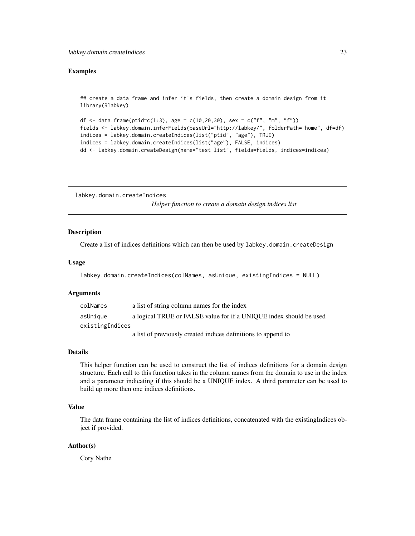#### <span id="page-22-0"></span>Examples

## create a data frame and infer it's fields, then create a domain design from it library(Rlabkey)

```
df <- data.frame(ptid=c(1:3), age = c(10,20,30), sex = c("f", "m", "f"))
fields <- labkey.domain.inferFields(baseUrl="http://labkey/", folderPath="home", df=df)
indices = labkey.domain.createIndices(list("ptid", "age"), TRUE)
indices = labkey.domain.createIndices(list("age"), FALSE, indices)
dd <- labkey.domain.createDesign(name="test list", fields=fields, indices=indices)
```
<span id="page-22-1"></span>labkey.domain.createIndices *Helper function to create a domain design indices list*

#### Description

Create a list of indices definitions which can then be used by labkey.domain.createDesign

#### Usage

```
labkey.domain.createIndices(colNames, asUnique, existingIndices = NULL)
```
#### Arguments

| colNames        | a list of string column names for the index                        |
|-----------------|--------------------------------------------------------------------|
| asUnique        | a logical TRUE or FALSE value for if a UNIQUE index should be used |
| existingIndices |                                                                    |
|                 | a list of previously created indices definitions to append to      |

#### Details

This helper function can be used to construct the list of indices definitions for a domain design structure. Each call to this function takes in the column names from the domain to use in the index and a parameter indicating if this should be a UNIQUE index. A third parameter can be used to build up more then one indices definitions.

#### Value

The data frame containing the list of indices definitions, concatenated with the existingIndices object if provided.

#### Author(s)

Cory Nathe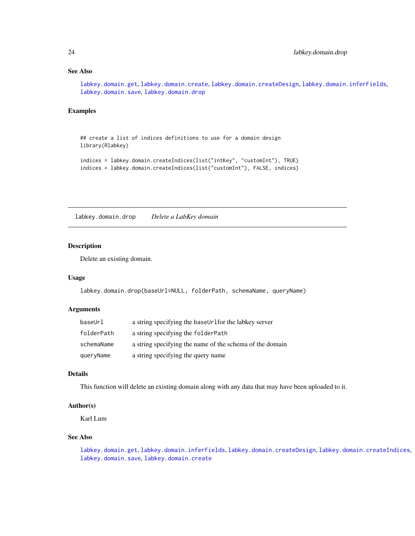### <span id="page-23-0"></span>See Also

[labkey.domain.get](#page-25-1), [labkey.domain.create](#page-13-1), [labkey.domain.createDesign](#page-21-1), [labkey.domain.inferFields](#page-26-1), [labkey.domain.save](#page-27-1), [labkey.domain.drop](#page-23-1)

### Examples

```
## create a list of indices definitions to use for a domain design
library(Rlabkey)
indices = labkey.domain.createIndices(list("intKey", "customInt"), TRUE)
indices = labkey.domain.createIndices(list("customInt"), FALSE, indices)
```
<span id="page-23-1"></span>labkey.domain.drop *Delete a LabKey domain*

### Description

Delete an existing domain.

### Usage

labkey.domain.drop(baseUrl=NULL, folderPath, schemaName, queryName)

### Arguments

| baseUrl    | a string specifying the baseUrlfor the labkey server     |
|------------|----------------------------------------------------------|
| folderPath | a string specifying the folderPath                       |
| schemaName | a string specifying the name of the schema of the domain |
| queryName  | a string specifying the query name                       |

### Details

This function will delete an existing domain along with any data that may have been uploaded to it.

### Author(s)

Karl Lum

#### See Also

[labkey.domain.get](#page-25-1), [labkey.domain.inferFields](#page-26-1), [labkey.domain.createDesign](#page-21-1), [labkey.domain.createIndices](#page-22-1), [labkey.domain.save](#page-27-1), [labkey.domain.create](#page-13-1)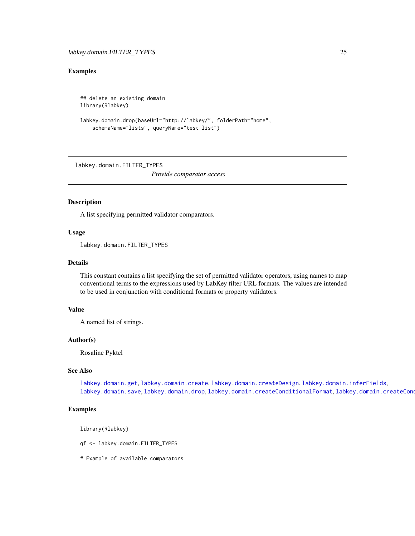### <span id="page-24-0"></span>Examples

```
## delete an existing domain
library(Rlabkey)
```

```
labkey.domain.drop(baseUrl="http://labkey/", folderPath="home",
    schemaName="lists", queryName="test list")
```
<span id="page-24-1"></span>labkey.domain.FILTER\_TYPES

*Provide comparator access*

### Description

A list specifying permitted validator comparators.

### Usage

labkey.domain.FILTER\_TYPES

#### Details

This constant contains a list specifying the set of permitted validator operators, using names to map conventional terms to the expressions used by LabKey filter URL formats. The values are intended to be used in conjunction with conditional formats or property validators.

### Value

A named list of strings.

#### Author(s)

Rosaline Pyktel

### See Also

[labkey.domain.get](#page-25-1), [labkey.domain.create](#page-13-1), [labkey.domain.createDesign](#page-21-1), [labkey.domain.inferFields](#page-26-1), [labkey.domain.save](#page-27-1), [labkey.domain.drop](#page-23-1), [labkey.domain.createConditionalFormat](#page-18-1), labkey.domain.createConditionalFormat

### Examples

library(Rlabkey)

qf <- labkey.domain.FILTER\_TYPES

# Example of available comparators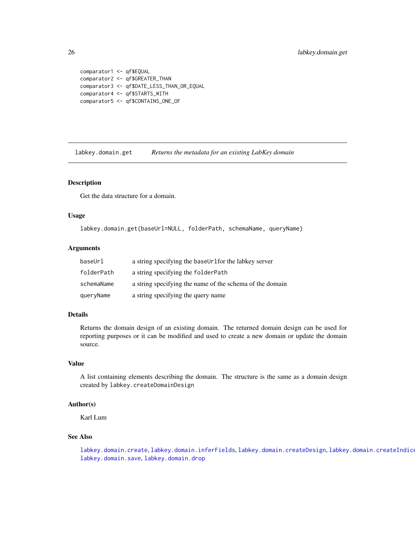```
comparator1 <- qf$EQUAL
comparator2 <- qf$GREATER_THAN
comparator3 <- qf$DATE_LESS_THAN_OR_EQUAL
comparator4 <- qf$STARTS_WITH
comparator5 <- qf$CONTAINS_ONE_OF
```
<span id="page-25-1"></span>labkey.domain.get *Returns the metadata for an existing LabKey domain*

### Description

Get the data structure for a domain.

#### Usage

labkey.domain.get(baseUrl=NULL, folderPath, schemaName, queryName)

### Arguments

| baseUrl    | a string specifying the baseUrlfor the labkey server     |
|------------|----------------------------------------------------------|
| folderPath | a string specifying the folderPath                       |
| schemaName | a string specifying the name of the schema of the domain |
| queryName  | a string specifying the query name                       |

### Details

Returns the domain design of an existing domain. The returned domain design can be used for reporting purposes or it can be modified and used to create a new domain or update the domain source.

#### Value

A list containing elements describing the domain. The structure is the same as a domain design created by labkey.createDomainDesign

### Author(s)

Karl Lum

### See Also

[labkey.domain.create](#page-13-1), [labkey.domain.inferFields](#page-26-1), [labkey.domain.createDesign](#page-21-1), [labkey.domain.createIndices](#page-22-1), [labkey.domain.save](#page-27-1), [labkey.domain.drop](#page-23-1)

<span id="page-25-0"></span>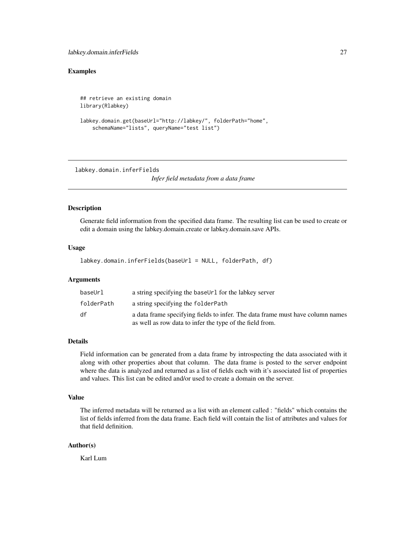### <span id="page-26-0"></span>Examples

```
## retrieve an existing domain
library(Rlabkey)
labkey.domain.get(baseUrl="http://labkey/", folderPath="home",
    schemaName="lists", queryName="test list")
```
<span id="page-26-1"></span>labkey.domain.inferFields

*Infer field metadata from a data frame*

### Description

Generate field information from the specified data frame. The resulting list can be used to create or edit a domain using the labkey.domain.create or labkey.domain.save APIs.

### Usage

labkey.domain.inferFields(baseUrl = NULL, folderPath, df)

### Arguments

| baseUrl    | a string specifying the baseUr1 for the labkey server                                                                                      |
|------------|--------------------------------------------------------------------------------------------------------------------------------------------|
| folderPath | a string specifying the folderPath                                                                                                         |
| df         | a data frame specifying fields to infer. The data frame must have column names<br>as well as row data to infer the type of the field from. |

#### Details

Field information can be generated from a data frame by introspecting the data associated with it along with other properties about that column. The data frame is posted to the server endpoint where the data is analyzed and returned as a list of fields each with it's associated list of properties and values. This list can be edited and/or used to create a domain on the server.

#### Value

The inferred metadata will be returned as a list with an element called : "fields" which contains the list of fields inferred from the data frame. Each field will contain the list of attributes and values for that field definition.

#### Author(s)

Karl Lum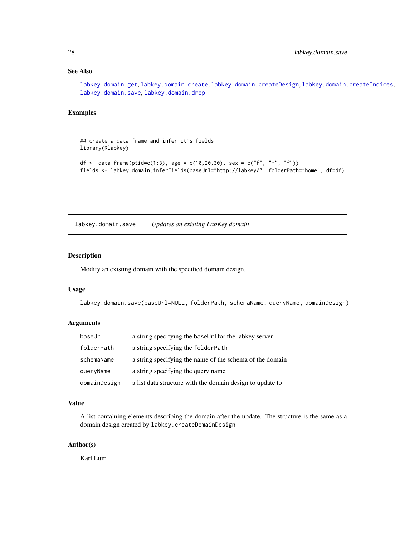### <span id="page-27-0"></span>See Also

[labkey.domain.get](#page-25-1), [labkey.domain.create](#page-13-1), [labkey.domain.createDesign](#page-21-1), [labkey.domain.createIndices](#page-22-1), [labkey.domain.save](#page-27-1), [labkey.domain.drop](#page-23-1)

### Examples

## create a data frame and infer it's fields library(Rlabkey)

```
df <- data.frame(ptid=c(1:3), age = c(10,20,30), sex = c("f", "m", "f"))
fields <- labkey.domain.inferFields(baseUrl="http://labkey/", folderPath="home", df=df)
```
<span id="page-27-1"></span>labkey.domain.save *Updates an existing LabKey domain*

### Description

Modify an existing domain with the specified domain design.

#### Usage

labkey.domain.save(baseUrl=NULL, folderPath, schemaName, queryName, domainDesign)

### Arguments

| baseUrl      | a string specifying the baseUrlfor the labkey server      |
|--------------|-----------------------------------------------------------|
| folderPath   | a string specifying the folder Path                       |
| schemaName   | a string specifying the name of the schema of the domain  |
| queryName    | a string specifying the query name                        |
| domainDesign | a list data structure with the domain design to update to |

### Value

A list containing elements describing the domain after the update. The structure is the same as a domain design created by labkey.createDomainDesign

### Author(s)

Karl Lum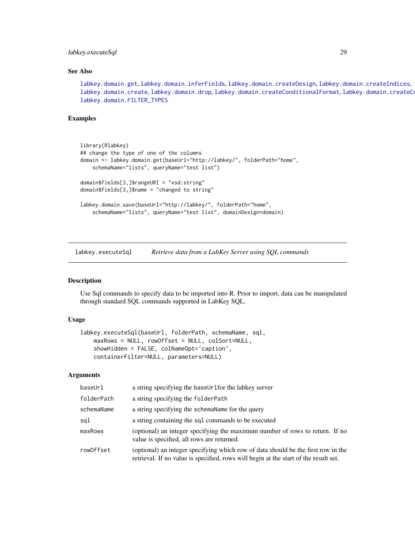### <span id="page-28-0"></span>labkey.executeSql 29

### See Also

[labkey.domain.get](#page-25-1), [labkey.domain.inferFields](#page-26-1), [labkey.domain.createDesign](#page-21-1), [labkey.domain.createIndices](#page-22-1), [labkey.domain.create](#page-13-1), [labkey.domain.drop](#page-23-1), [labkey.domain.createConditionalFormat](#page-18-1), labkey.domain.createCo [labkey.domain.FILTER\\_TYPES](#page-24-1)

### Examples

```
library(Rlabkey)
## change the type of one of the columns
domain <- labkey.domain.get(baseUrl="http://labkey/", folderPath="home",
    schemaName="lists", queryName="test list")
domain$fields[3,]$rangeURI = "xsd:string"
domain$fields[3,]$name = "changed to string"
labkey.domain.save(baseUrl="http://labkey/", folderPath="home",
    schemaName="lists", queryName="test list", domainDesign=domain)
```
<span id="page-28-1"></span>labkey.executeSql *Retrieve data from a LabKey Server using SQL commands*

#### Description

Use Sql commands to specify data to be imported into R. Prior to import, data can be manipulated through standard SQL commands supported in LabKey SQL.

#### Usage

```
labkey.executeSql(baseUrl, folderPath, schemaName, sql,
   maxRows = NULL, rowOffset = NULL, colSort=NULL,
   showHidden = FALSE, colNameOpt='caption',
   containerFilter=NULL, parameters=NULL)
```
### Arguments

| baseUrl    | a string specifying the baseUrlfor the labkey server                                                                                                                      |
|------------|---------------------------------------------------------------------------------------------------------------------------------------------------------------------------|
| folderPath | a string specifying the folderPath                                                                                                                                        |
| schemaName | a string specifying the schema Name for the query                                                                                                                         |
| sql        | a string containing the sql commands to be executed                                                                                                                       |
| maxRows    | (optional) an integer specifying the maximum number of rows to return. If no<br>value is specified, all rows are returned.                                                |
| row0ffset  | (optional) an integer specifying which row of data should be the first row in the<br>retrieval. If no value is specified, rows will begin at the start of the result set. |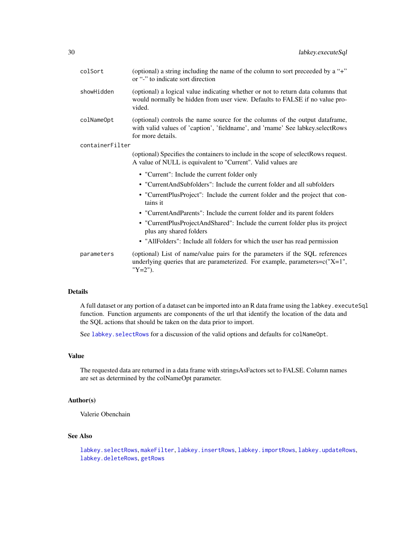| colSort         | (optional) a string including the name of the column to sort preceeded by a "+"<br>or "-" to indicate sort direction                                                                |
|-----------------|-------------------------------------------------------------------------------------------------------------------------------------------------------------------------------------|
| showHidden      | (optional) a logical value indicating whether or not to return data columns that<br>would normally be hidden from user view. Defaults to FALSE if no value pro-<br>vided.           |
| colNameOpt      | (optional) controls the name source for the columns of the output dataframe,<br>with valid values of 'caption', 'fieldname', and 'rname' See labkey.selectRows<br>for more details. |
| containerFilter |                                                                                                                                                                                     |
|                 | (optional) Specifies the containers to include in the scope of selectRows request.<br>A value of NULL is equivalent to "Current". Valid values are                                  |
|                 | • "Current": Include the current folder only                                                                                                                                        |
|                 | • "CurrentAndSubfolders": Include the current folder and all subfolders                                                                                                             |
|                 | • "CurrentPlusProject": Include the current folder and the project that con-<br>tains it                                                                                            |
|                 | • "CurrentAndParents": Include the current folder and its parent folders                                                                                                            |
|                 | • "CurrentPlusProjectAndShared": Include the current folder plus its project<br>plus any shared folders                                                                             |
|                 | • "AllFolders": Include all folders for which the user has read permission                                                                                                          |
| parameters      | (optional) List of name/value pairs for the parameters if the SQL references<br>underlying queries that are parameterized. For example, parameters=c("X=1",<br>"Y=2").              |

### Details

A full dataset or any portion of a dataset can be imported into an R data frame using the labkey.executeSql function. Function arguments are components of the url that identify the location of the data and the SQL actions that should be taken on the data prior to import.

See labkey. selectRows for a discussion of the valid options and defaults for colNameOpt.

### Value

The requested data are returned in a data frame with stringsAsFactors set to FALSE. Column names are set as determined by the colNameOpt parameter.

### Author(s)

Valerie Obenchain

### See Also

```
labkey.selectRows, makeFilter, labkey.insertRows, labkey.importRows, labkey.updateRows,
labkey.deleteRows, getRows
```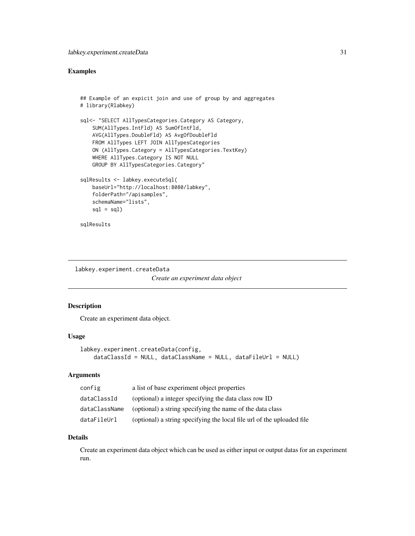### <span id="page-30-0"></span>Examples

```
## Example of an expicit join and use of group by and aggregates
# library(Rlabkey)
sql<- "SELECT AllTypesCategories.Category AS Category,
    SUM(AllTypes.IntFld) AS SumOfIntFld,
   AVG(AllTypes.DoubleFld) AS AvgOfDoubleFld
   FROM AllTypes LEFT JOIN AllTypesCategories
   ON (AllTypes.Category = AllTypesCategories.TextKey)
   WHERE AllTypes.Category IS NOT NULL
   GROUP BY AllTypesCategories.Category"
sqlResults <- labkey.executeSql(
   baseUrl="http://localhost:8080/labkey",
   folderPath="/apisamples",
   schemaName="lists",
   sgl = sgl)sqlResults
```
<span id="page-30-1"></span>labkey.experiment.createData

*Create an experiment data object*

### Description

Create an experiment data object.

### Usage

```
labkey.experiment.createData(config,
   dataClassId = NULL, dataClassName = NULL, dataFileUrl = NULL)
```
### **Arguments**

| config        | a list of base experiment object properties                            |
|---------------|------------------------------------------------------------------------|
| dataClassId   | (optional) a integer specifying the data class row ID                  |
| dataClassName | (optional) a string specifying the name of the data class              |
| dataFileUrl   | (optional) a string specifying the local file url of the uploaded file |

#### Details

Create an experiment data object which can be used as either input or output datas for an experiment run.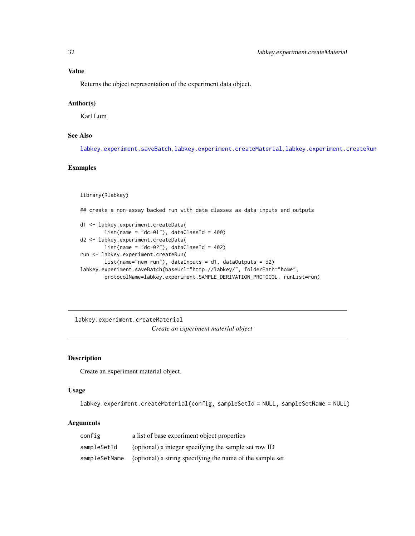### <span id="page-31-0"></span>Value

Returns the object representation of the experiment data object.

#### Author(s)

Karl Lum

### See Also

[labkey.experiment.saveBatch](#page-35-1), [labkey.experiment.createMaterial](#page-31-1), [labkey.experiment.createRun](#page-32-1)

### Examples

library(Rlabkey)

## create a non-assay backed run with data classes as data inputs and outputs

```
d1 <- labkey.experiment.createData(
       list(name = "dc-01"), dataClassId = 400)d2 <- labkey.experiment.createData(
       list(name = "dc-02"), dataClassId = 402)run <- labkey.experiment.createRun(
       list(name="new run"), dataInputs = d1, dataOutputs = d2)
labkey.experiment.saveBatch(baseUrl="http://labkey/", folderPath="home",
       protocolName=labkey.experiment.SAMPLE_DERIVATION_PROTOCOL, runList=run)
```
<span id="page-31-1"></span>labkey.experiment.createMaterial

*Create an experiment material object*

### Description

Create an experiment material object.

### Usage

labkey.experiment.createMaterial(config, sampleSetId = NULL, sampleSetName = NULL)

#### Arguments

| config        | a list of base experiment object properties               |
|---------------|-----------------------------------------------------------|
| sampleSetId   | (optional) a integer specifying the sample set row ID     |
| sampleSetName | (optional) a string specifying the name of the sample set |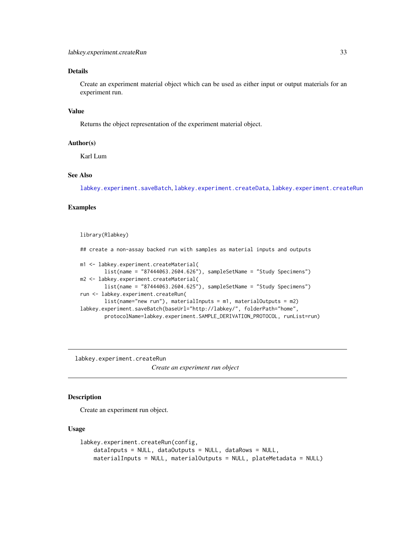### <span id="page-32-0"></span>Details

Create an experiment material object which can be used as either input or output materials for an experiment run.

### Value

Returns the object representation of the experiment material object.

#### Author(s)

Karl Lum

### See Also

[labkey.experiment.saveBatch](#page-35-1), [labkey.experiment.createData](#page-30-1), [labkey.experiment.createRun](#page-32-1)

### Examples

```
library(Rlabkey)
```
## create a non-assay backed run with samples as material inputs and outputs

```
m1 <- labkey.experiment.createMaterial(
        list(name = "87444063.2604.626"), sampleSetName = "Study Specimens")
m2 <- labkey.experiment.createMaterial(
        list(name = "87444063.2604.625"), sampleSetName = "Study Specimens")
run <- labkey.experiment.createRun(
       list(name="new run"), materialInputs = m1, materialOutputs = m2)
labkey.experiment.saveBatch(baseUrl="http://labkey/", folderPath="home",
        protocolName=labkey.experiment.SAMPLE_DERIVATION_PROTOCOL, runList=run)
```
<span id="page-32-1"></span>labkey.experiment.createRun *Create an experiment run object*

### Description

Create an experiment run object.

#### Usage

```
labkey.experiment.createRun(config,
   dataInputs = NULL, dataOutputs = NULL, dataRows = NULL,
   materialInputs = NULL, materialOutputs = NULL, plateMetadata = NULL)
```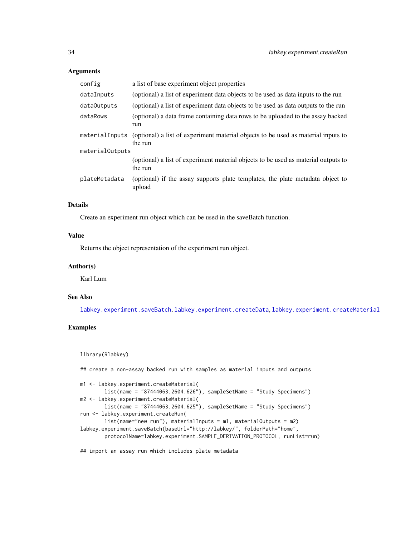#### **Arguments**

| config          | a list of base experiment object properties                                                                  |  |
|-----------------|--------------------------------------------------------------------------------------------------------------|--|
| dataInputs      | (optional) a list of experiment data objects to be used as data inputs to the run                            |  |
| dataOutputs     | (optional) a list of experiment data objects to be used as data outputs to the run                           |  |
| dataRows        | (optional) a data frame containing data rows to be uploaded to the assay backed<br>run                       |  |
|                 | material Inputs (optional) a list of experiment material objects to be used as material inputs to<br>the run |  |
| materialOutputs |                                                                                                              |  |
|                 | (optional) a list of experiment material objects to be used as material outputs to<br>the run                |  |
| plateMetadata   | (optional) if the assay supports plate templates, the plate metadata object to<br>upload                     |  |

### Details

Create an experiment run object which can be used in the saveBatch function.

### Value

Returns the object representation of the experiment run object.

#### Author(s)

Karl Lum

#### See Also

[labkey.experiment.saveBatch](#page-35-1), [labkey.experiment.createData](#page-30-1), [labkey.experiment.createMaterial](#page-31-1)

### Examples

```
library(Rlabkey)
```
## create a non-assay backed run with samples as material inputs and outputs

```
m1 <- labkey.experiment.createMaterial(
        list(name = "87444063.2604.626"), sampleSetName = "Study Specimens")
m2 <- labkey.experiment.createMaterial(
       list(name = "87444063.2604.625"), sampleSetName = "Study Specimens")
run <- labkey.experiment.createRun(
       list(name="new run"), materialInputs = m1, materialOutputs = m2)
labkey.experiment.saveBatch(baseUrl="http://labkey/", folderPath="home",
        protocolName=labkey.experiment.SAMPLE_DERIVATION_PROTOCOL, runList=run)
```
## import an assay run which includes plate metadata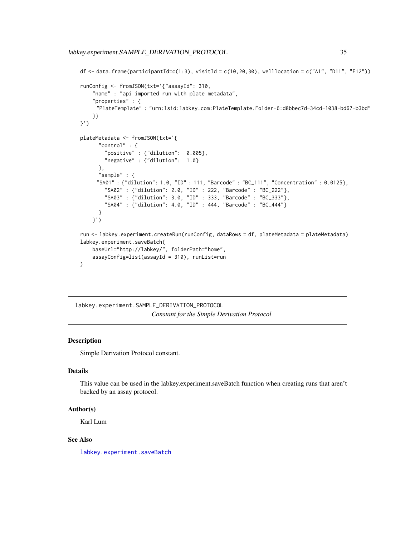```
df \le data.frame(participantId=c(1:3), visitId = c(10,20,30), welllocation = c("A1", "D11", "F12"))
runConfig <- fromJSON(txt='{"assayId": 310,
    "name" : "api imported run with plate metadata",
    "properties" : {
     "PlateTemplate" : "urn:lsid:labkey.com:PlateTemplate.Folder-6:d8bbec7d-34cd-1038-bd67-b3bd"
    }}
}')
plateMetadata <- fromJSON(txt='{
      "control" : {
        "positive" : {"dilution": 0.005},
        "negative" : {"dilution": 1.0}
      },
      "sample" : {
     "SA01" : {"dilution": 1.0, "ID" : 111, "Barcode" : "BC_111", "Concentration" : 0.0125},
        "SA02" : {"dilution": 2.0, "ID" : 222, "Barcode" : "BC_222"},
        "SA03" : {"dilution": 3.0, "ID" : 333, "Barcode" : "BC_333"},
        "SA04" : {"dilution": 4.0, "ID" : 444, "Barcode" : "BC_444"}
      }
    }')
run <- labkey.experiment.createRun(runConfig, dataRows = df, plateMetadata = plateMetadata)
labkey.experiment.saveBatch(
   baseUrl="http://labkey/", folderPath="home",
    assayConfig=list(assayId = 310), runList=run
)
```
labkey.experiment.SAMPLE\_DERIVATION\_PROTOCOL *Constant for the Simple Derivation Protocol*

### **Description**

Simple Derivation Protocol constant.

#### Details

This value can be used in the labkey.experiment.saveBatch function when creating runs that aren't backed by an assay protocol.

#### Author(s)

Karl Lum

#### See Also

[labkey.experiment.saveBatch](#page-35-1)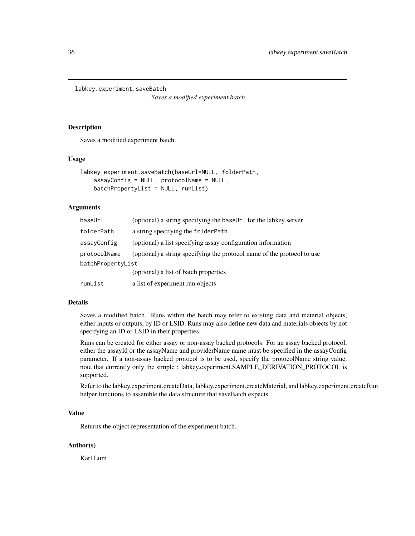<span id="page-35-1"></span><span id="page-35-0"></span>labkey.experiment.saveBatch

*Saves a modified experiment batch*

### Description

Saves a modified experiment batch.

### Usage

```
labkey.experiment.saveBatch(baseUrl=NULL, folderPath,
   assayConfig = NULL, protocolName = NULL,
   batchPropertyList = NULL, runList)
```
### Arguments

| baseUrl           | (optional) a string specifying the baseUr1 for the labkey server        |
|-------------------|-------------------------------------------------------------------------|
| folderPath        | a string specifying the folder Path                                     |
| assayConfig       | (optional) a list specifying assay configuration information            |
| protocolName      | (optional) a string specifying the protocol name of the protocol to use |
| batchPropertyList |                                                                         |
|                   | (optional) a list of batch properties                                   |
| runList           | a list of experiment run objects                                        |
|                   |                                                                         |

### Details

Saves a modified batch. Runs within the batch may refer to existing data and material objects, either inputs or outputs, by ID or LSID. Runs may also define new data and materials objects by not specifying an ID or LSID in their properties.

Runs can be created for either assay or non-assay backed protocols. For an assay backed protocol, either the assayId or the assayName and providerName name must be specified in the assayConfig parameter. If a non-assay backed protocol is to be used, specify the protocolName string value, note that currently only the simple : labkey.experiment.SAMPLE\_DERIVATION\_PROTOCOL is supported.

Refer to the labkey.experiment.createData, labkey.experiment.createMaterial, and labkey.experiment.createRun helper functions to assemble the data structure that saveBatch expects.

### Value

Returns the object representation of the experiment batch.

### Author(s)

Karl Lum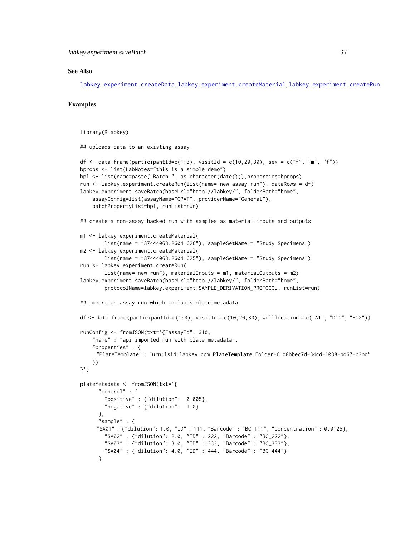#### See Also

[labkey.experiment.createData](#page-30-0), [labkey.experiment.createMaterial](#page-31-0), [labkey.experiment.createRun](#page-32-0)

### Examples

```
library(Rlabkey)
```
## uploads data to an existing assay

```
df <- data.frame(participantId=c(1:3), visitId = c(10,20,30), sex = c("f", "m", "f"))
bprops <- list(LabNotes="this is a simple demo")
bpl <- list(name=paste("Batch ", as.character(date())),properties=bprops)
run <- labkey.experiment.createRun(list(name="new assay run"), dataRows = df)
labkey.experiment.saveBatch(baseUrl="http://labkey/", folderPath="home",
    assayConfig=list(assayName="GPAT", providerName="General"),
    batchPropertyList=bpl, runList=run)
## create a non-assay backed run with samples as material inputs and outputs
m1 <- labkey.experiment.createMaterial(
       list(name = "87444063.2604.626"), sampleSetName = "Study Specimens")
m2 <- labkey.experiment.createMaterial(
       list(name = "87444063.2604.625"), sampleSetName = "Study Specimens")
run <- labkey.experiment.createRun(
       list(name="new run"), materialInputs = m1, materialOutputs = m2)
labkey.experiment.saveBatch(baseUrl="http://labkey/", folderPath="home",
       protocolName=labkey.experiment.SAMPLE_DERIVATION_PROTOCOL, runList=run)
## import an assay run which includes plate metadata
df \le data.frame(participantId=c(1:3), visitId = c(10,20,30), welllocation = c("A1", "D11", "F12"))
runConfig <- fromJSON(txt='{"assayId": 310,
    "name" : "api imported run with plate metadata",
    "properties" : {
     "PlateTemplate" : "urn:lsid:labkey.com:PlateTemplate.Folder-6:d8bbec7d-34cd-1038-bd67-b3bd"
    }}
}')
plateMetadata <- fromJSON(txt='{
      "control" : {
        "positive" : {"dilution": 0.005},
        "negative" : {"dilution": 1.0}
     },
      "sample" : {
     "SA01" : {"dilution": 1.0, "ID" : 111, "Barcode" : "BC_111", "Concentration" : 0.0125},
        "SA02" : {"dilution": 2.0, "ID" : 222, "Barcode" : "BC_222"},
       "SA03" : {"dilution": 3.0, "ID" : 333, "Barcode" : "BC_333"},
        "SA04" : {"dilution": 4.0, "ID" : 444, "Barcode" : "BC_444"}
      }
```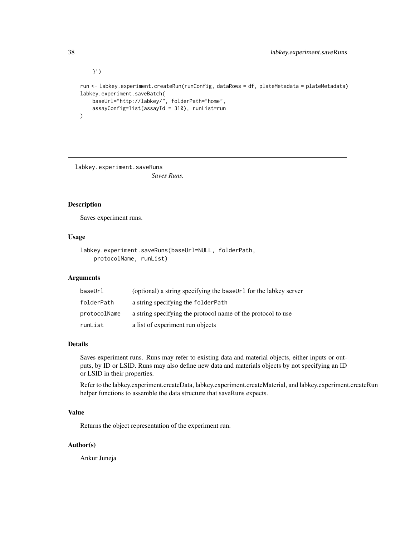}') run <- labkey.experiment.createRun(runConfig, dataRows = df, plateMetadata = plateMetadata) labkey.experiment.saveBatch( baseUrl="http://labkey/", folderPath="home", assayConfig=list(assayId = 310), runList=run )

labkey.experiment.saveRuns

# *Saves Runs.*

# Description

Saves experiment runs.

# Usage

```
labkey.experiment.saveRuns(baseUrl=NULL, folderPath,
   protocolName, runList)
```
### Arguments

| baseUrl      | (optional) a string specifying the baseUr1 for the labkey server |
|--------------|------------------------------------------------------------------|
| folderPath   | a string specifying the folderPath                               |
| protocolName | a string specifying the protocol name of the protocol to use     |
| runList      | a list of experiment run objects                                 |

### Details

Saves experiment runs. Runs may refer to existing data and material objects, either inputs or outputs, by ID or LSID. Runs may also define new data and materials objects by not specifying an ID or LSID in their properties.

Refer to the labkey.experiment.createData, labkey.experiment.createMaterial, and labkey.experiment.createRun helper functions to assemble the data structure that saveRuns expects.

# Value

Returns the object representation of the experiment run.

### Author(s)

Ankur Juneja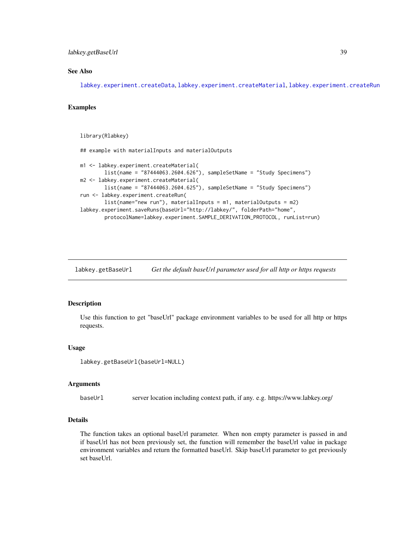### labkey.getBaseUrl 39

# See Also

[labkey.experiment.createData](#page-30-0), [labkey.experiment.createMaterial](#page-31-0), [labkey.experiment.createRun](#page-32-0)

# Examples

library(Rlabkey)

```
## example with materialInputs and materialOutputs
m1 <- labkey.experiment.createMaterial(
        list(name = "87444063.2604.626"), sampleSetName = "Study Specimens")
m2 <- labkey.experiment.createMaterial(
        list(name = "87444063.2604.625"), sampleSetName = "Study Specimens")
run <- labkey.experiment.createRun(
        list(name="new run"), materialInputs = m1, materialOutputs = m2)
labkey.experiment.saveRuns(baseUrl="http://labkey/", folderPath="home",
        protocolName=labkey.experiment.SAMPLE_DERIVATION_PROTOCOL, runList=run)
```
labkey.getBaseUrl *Get the default baseUrl parameter used for all http or https requests*

### Description

Use this function to get "baseUrl" package environment variables to be used for all http or https requests.

#### Usage

```
labkey.getBaseUrl(baseUrl=NULL)
```
#### Arguments

baseUrl server location including context path, if any. e.g. https://www.labkey.org/

### Details

The function takes an optional baseUrl parameter. When non empty parameter is passed in and if baseUrl has not been previously set, the function will remember the baseUrl value in package environment variables and return the formatted baseUrl. Skip baseUrl parameter to get previously set baseUrl.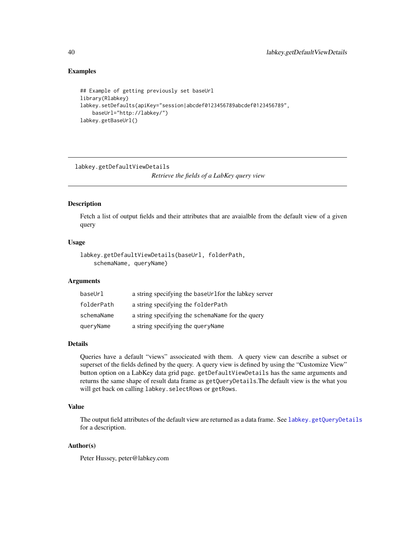# Examples

```
## Example of getting previously set baseUrl
library(Rlabkey)
labkey.setDefaults(apiKey="session|abcdef0123456789abcdef0123456789",
    baseUrl="http://labkey/")
labkey.getBaseUrl()
```
<span id="page-39-0"></span>labkey.getDefaultViewDetails *Retrieve the fields of a LabKey query view*

#### Description

Fetch a list of output fields and their attributes that are avaialble from the default view of a given query

#### Usage

```
labkey.getDefaultViewDetails(baseUrl, folderPath,
    schemaName, queryName)
```
### Arguments

| baseUrl    | a string specifying the baseUrlfor the labkey server |
|------------|------------------------------------------------------|
| folderPath | a string specifying the folderPath                   |
| schemaName | a string specifying the schema Name for the query    |
| queryName  | a string specifying the query Name                   |

### Details

Queries have a default "views" associeated with them. A query view can describe a subset or superset of the fields defined by the query. A query view is defined by using the "Customize View" button option on a LabKey data grid page. getDefaultViewDetails has the same arguments and returns the same shape of result data frame as getQueryDetails.The default view is the what you will get back on calling labkey.selectRows or getRows.

### Value

The output field attributes of the default view are returned as a data frame. See [labkey.getQueryDetails](#page-45-0) for a description.

# Author(s)

Peter Hussey, peter@labkey.com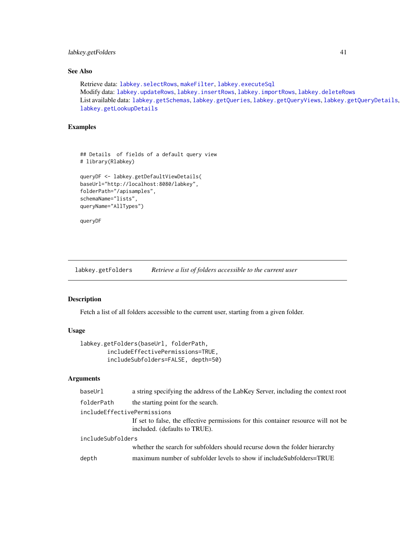# labkey.getFolders 41

# See Also

```
Retrieve data: labkey.selectRows, makeFilter, labkey.executeSql
labkey.updateRowslabkey.insertRowslabkey.importRowslabkey.deleteRows
List available data: labkey.getSchemas, labkey.getQueries, labkey.getQueryViews, labkey.getQueryDetails,
labkey.getLookupDetails
```
# Examples

```
## Details of fields of a default query view
# library(Rlabkey)
queryDF <- labkey.getDefaultViewDetails(
baseUrl="http://localhost:8080/labkey",
```

```
folderPath="/apisamples",
schemaName="lists",
queryName="AllTypes")
```
queryDF

labkey.getFolders *Retrieve a list of folders accessible to the current user*

#### Description

Fetch a list of all folders accessible to the current user, starting from a given folder.

# Usage

```
labkey.getFolders(baseUrl, folderPath,
       includeEffectivePermissions=TRUE,
       includeSubfolders=FALSE, depth=50)
```

| baseUrl                     | a string specifying the address of the LabKey Server, including the context root   |
|-----------------------------|------------------------------------------------------------------------------------|
| folderPath                  | the starting point for the search.                                                 |
| includeEffectivePermissions |                                                                                    |
|                             | If set to false, the effective permissions for this container resource will not be |
|                             | included. (defaults to TRUE).                                                      |
| includeSubfolders           |                                                                                    |
|                             | whether the search for subfolders should recurse down the folder hierarchy         |
| depth                       | maximum number of subfolder levels to show if includeSubfolders=TRUE               |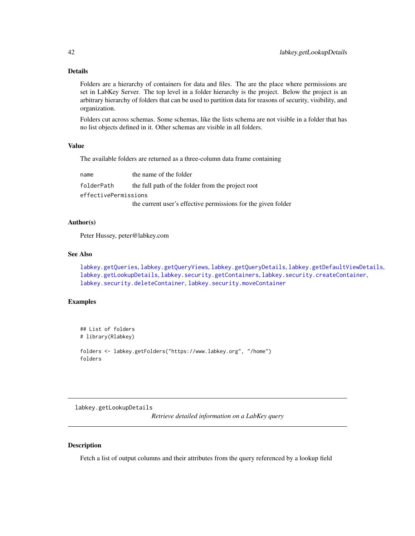# Details

Folders are a hierarchy of containers for data and files. The are the place where permissions are set in LabKey Server. The top level in a folder hierarchy is the project. Below the project is an arbitrary hierarchy of folders that can be used to partition data for reasons of security, visibility, and organization.

Folders cut across schemas. Some schemas, like the lists schema are not visible in a folder that has no list objects defined in it. Other schemas are visible in all folders.

# Value

The available folders are returned as a three-column data frame containing

| name                 | the name of the folder                                        |
|----------------------|---------------------------------------------------------------|
| folderPath           | the full path of the folder from the project root             |
| effectivePermissions |                                                               |
|                      | the current user's effective permissions for the given folder |

### Author(s)

Peter Hussey, peter@labkey.com

# See Also

[labkey.getQueries](#page-44-0), [labkey.getQueryViews](#page-47-0), [labkey.getQueryDetails](#page-45-0), [labkey.getDefaultViewDetails](#page-39-0), [labkey.getLookupDetails](#page-41-0), [labkey.security.getContainers](#page-76-0), [labkey.security.createContainer](#page-74-0), [labkey.security.deleteContainer](#page-75-0), [labkey.security.moveContainer](#page-79-0)

#### Examples

```
## List of folders
# library(Rlabkey)
folders <- labkey.getFolders("https://www.labkey.org", "/home")
folders
```
<span id="page-41-0"></span>labkey.getLookupDetails

*Retrieve detailed information on a LabKey query*

### Description

Fetch a list of output columns and their attributes from the query referenced by a lookup field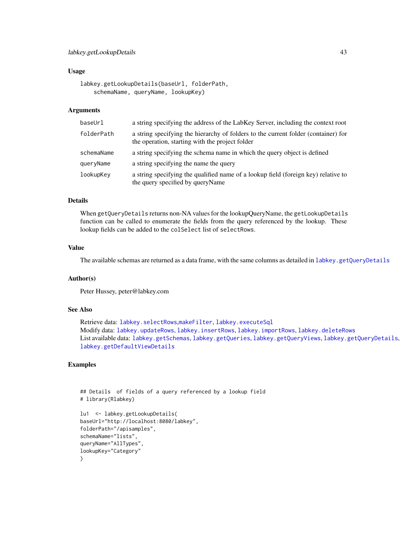# Usage

```
labkey.getLookupDetails(baseUrl, folderPath,
    schemaName, queryName, lookupKey)
```
### Arguments

| baseUrl    | a string specifying the address of the LabKey Server, including the context root                                                      |
|------------|---------------------------------------------------------------------------------------------------------------------------------------|
| folderPath | a string specifying the hierarchy of folders to the current folder (container) for<br>the operation, starting with the project folder |
| schemaName | a string specifying the schema name in which the query object is defined                                                              |
| queryName  | a string specifying the name the query                                                                                                |
| lookupKey  | a string specifying the qualified name of a lookup field (foreign key) relative to<br>the query specified by queryName                |

# Details

When getQueryDetails returns non-NA values for the lookupQueryName, the getLookupDetails function can be called to enumerate the fields from the query referenced by the lookup. These lookup fields can be added to the colSelect list of selectRows.

# Value

The available schemas are returned as a data frame, with the same columns as detailed in [labkey.getQueryDetails](#page-45-0)

### Author(s)

Peter Hussey, peter@labkey.com

# See Also

Retrieve data: [labkey.selectRows](#page-81-0),[makeFilter](#page-108-0), [labkey.executeSql](#page-28-0) Modify data: [labkey.updateRows](#page-91-0), [labkey.insertRows](#page-52-0), [labkey.importRows](#page-51-0), [labkey.deleteRows](#page-11-0) List available data: [labkey.getSchemas](#page-50-0), [labkey.getQueries](#page-44-0), [labkey.getQueryViews](#page-47-0), [labkey.getQueryDetails](#page-45-0), [labkey.getDefaultViewDetails](#page-39-0)

# Examples

```
## Details of fields of a query referenced by a lookup field
# library(Rlabkey)
lu1 <- labkey.getLookupDetails(
baseUrl="http://localhost:8080/labkey",
folderPath="/apisamples",
schemaName="lists",
queryName="AllTypes",
lookupKey="Category"
\mathcal{L}
```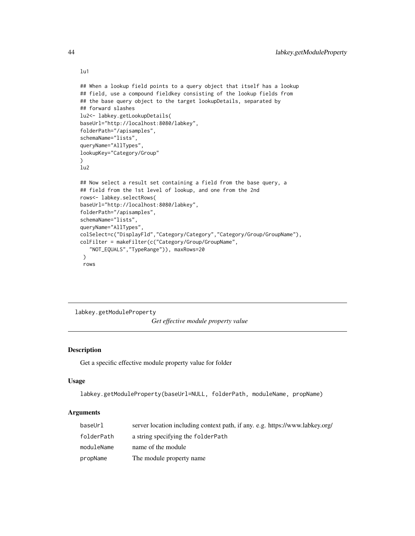```
## When a lookup field points to a query object that itself has a lookup
## field, use a compound fieldkey consisting of the lookup fields from
## the base query object to the target lookupDetails, separated by
## forward slashes
lu2<- labkey.getLookupDetails(
baseUrl="http://localhost:8080/labkey",
folderPath="/apisamples",
schemaName="lists",
queryName="AllTypes",
lookupKey="Category/Group"
)
lu2
## Now select a result set containing a field from the base query, a
## field from the 1st level of lookup, and one from the 2nd
rows<- labkey.selectRows(
baseUrl="http://localhost:8080/labkey",
folderPath="/apisamples",
schemaName="lists",
queryName="AllTypes",
colSelect=c("DisplayFld","Category/Category","Category/Group/GroupName"),
colFilter = makeFilter(c("Category/Group/GroupName",
   "NOT_EQUALS","TypeRange")), maxRows=20
 \mathcal{L}rows
```
labkey.getModuleProperty *Get effective module property value*

# Description

Get a specific effective module property value for folder

### Usage

```
labkey.getModuleProperty(baseUrl=NULL, folderPath, moduleName, propName)
```
### Arguments

| baseUrl    | server location including context path, if any. e.g. https://www.labkey.org/ |
|------------|------------------------------------------------------------------------------|
| folderPath | a string specifying the folder Path                                          |
| moduleName | name of the module                                                           |
| propName   | The module property name                                                     |

lu1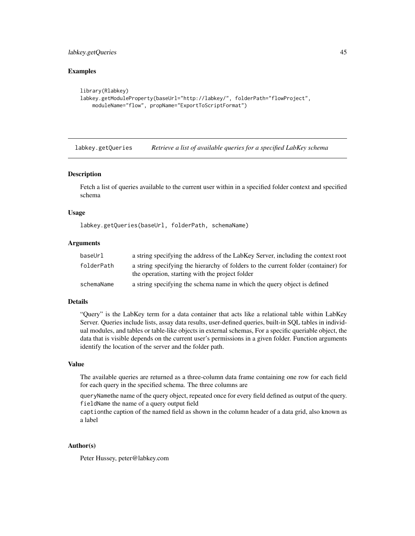# labkey.getQueries 45

### Examples

```
library(Rlabkey)
labkey.getModuleProperty(baseUrl="http://labkey/", folderPath="flowProject",
    moduleName="flow", propName="ExportToScriptFormat")
```
<span id="page-44-0"></span>labkey.getQueries *Retrieve a list of available queries for a specified LabKey schema*

#### Description

Fetch a list of queries available to the current user within in a specified folder context and specified schema

### Usage

labkey.getQueries(baseUrl, folderPath, schemaName)

#### Arguments

| baseUrl    | a string specifying the address of the LabKey Server, including the context root                                                      |
|------------|---------------------------------------------------------------------------------------------------------------------------------------|
| folderPath | a string specifying the hierarchy of folders to the current folder (container) for<br>the operation, starting with the project folder |
| schemaName | a string specifying the schema name in which the query object is defined                                                              |

#### Details

"Query" is the LabKey term for a data container that acts like a relational table within LabKey Server. Queries include lists, assay data results, user-defined queries, built-in SQL tables in individual modules, and tables or table-like objects in external schemas, For a specific queriable object, the data that is visible depends on the current user's permissions in a given folder. Function arguments identify the location of the server and the folder path.

#### Value

The available queries are returned as a three-column data frame containing one row for each field for each query in the specified schema. The three columns are

queryNamethe name of the query object, repeated once for every field defined as output of the query. fieldName the name of a query output field

captionthe caption of the named field as shown in the column header of a data grid, also known as a label

# Author(s)

Peter Hussey, peter@labkey.com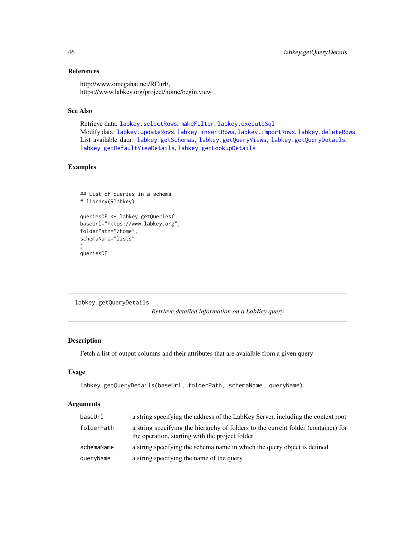# References

http://www.omegahat.net/RCurl/, https://www.labkey.org/project/home/begin.view

# See Also

Retrieve data: [labkey.selectRows](#page-81-0), [makeFilter](#page-108-0), [labkey.executeSql](#page-28-0) Modify data: [labkey.updateRows](#page-91-0), [labkey.insertRows](#page-52-0), [labkey.importRows](#page-51-0), [labkey.deleteRows](#page-11-0) List available data: [labkey.getSchemas](#page-50-0), [labkey.getQueryViews](#page-47-0), [labkey.getQueryDetails](#page-45-0), [labkey.getDefaultViewDetails](#page-39-0), [labkey.getLookupDetails](#page-41-0)

# Examples

```
## List of queries in a schema
# library(Rlabkey)
queriesDF <- labkey.getQueries(
baseUrl="https://www.labkey.org",
folderPath="/home",
schemaName="lists"
)
queriesDF
```
<span id="page-45-0"></span>labkey.getQueryDetails

*Retrieve detailed information on a LabKey query*

# Description

Fetch a list of output columns and their attributes that are avaialble from a given query

# Usage

```
labkey.getQueryDetails(baseUrl, folderPath, schemaName, queryName)
```

| baseUrl    | a string specifying the address of the LabKey Server, including the context root                                                      |
|------------|---------------------------------------------------------------------------------------------------------------------------------------|
| folderPath | a string specifying the hierarchy of folders to the current folder (container) for<br>the operation, starting with the project folder |
| schemaName | a string specifying the schema name in which the query object is defined                                                              |
| queryName  | a string specifying the name of the query                                                                                             |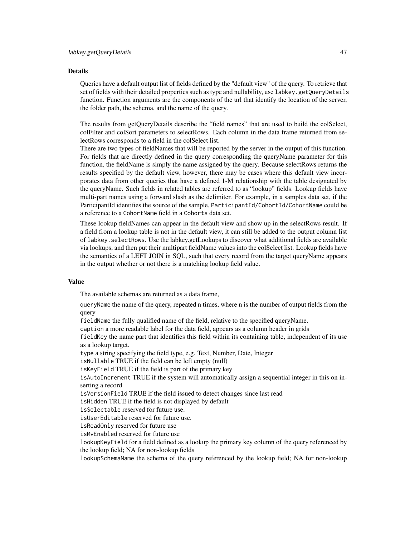#### Details

Queries have a default output list of fields defined by the "default view" of the query. To retrieve that set of fields with their detailed properties such as type and nullability, use labkey.getQueryDetails function. Function arguments are the components of the url that identify the location of the server, the folder path, the schema, and the name of the query.

The results from getQueryDetails describe the "field names" that are used to build the colSelect, colFilter and colSort parameters to selectRows. Each column in the data frame returned from selectRows corresponds to a field in the colSelect list.

There are two types of fieldNames that will be reported by the server in the output of this function. For fields that are directly defined in the query corresponding the queryName parameter for this function, the fieldName is simply the name assigned by the query. Because selectRows returns the results specified by the default view, however, there may be cases where this default view incorporates data from other queries that have a defined 1-M relationship with the table designated by the queryName. Such fields in related tables are referred to as "lookup" fields. Lookup fields have multi-part names using a forward slash as the delimiter. For example, in a samples data set, if the ParticipantId identifies the source of the sample, ParticipantId/CohortId/CohortName could be a reference to a CohortName field in a Cohorts data set.

These lookup fieldNames can appear in the default view and show up in the selectRows result. If a field from a lookup table is not in the default view, it can still be added to the output column list of labkey.selectRows. Use the labkey.getLookups to discover what additional fields are available via lookups, and then put their multipart fieldName values into the colSelect list. Lookup fields have the semantics of a LEFT JOIN in SQL, such that every record from the target queryName appears in the output whether or not there is a matching lookup field value.

### Value

The available schemas are returned as a data frame,

queryName the name of the query, repeated n times, where n is the number of output fields from the query

fieldName the fully qualified name of the field, relative to the specified queryName.

caption a more readable label for the data field, appears as a column header in grids

fieldKey the name part that identifies this field within its containing table, independent of its use as a lookup target.

type a string specifying the field type, e.g. Text, Number, Date, Integer

isNullable TRUE if the field can be left empty (null)

isKeyField TRUE if the field is part of the primary key

isAutoIncrement TRUE if the system will automatically assign a sequential integer in this on inserting a record

isVersionField TRUE if the field issued to detect changes since last read

isHidden TRUE if the field is not displayed by default

isSelectable reserved for future use.

isUserEditable reserved for future use.

isReadOnly reserved for future use

isMvEnabled reserved for future use

lookupKeyField for a field defined as a lookup the primary key column of the query referenced by the lookup field; NA for non-lookup fields

lookupSchemaName the schema of the query referenced by the lookup field; NA for non-lookup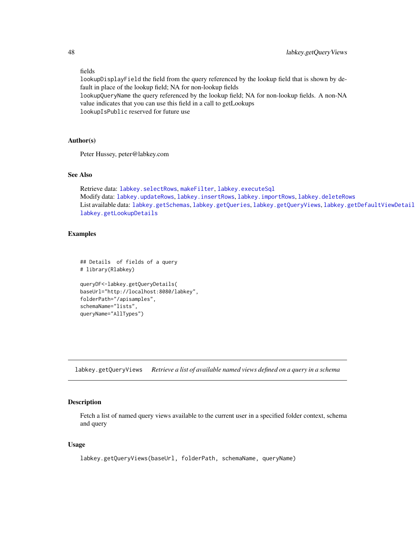# fields

lookupDisplayField the field from the query referenced by the lookup field that is shown by default in place of the lookup field; NA for non-lookup fields

lookupQueryName the query referenced by the lookup field; NA for non-lookup fields. A non-NA value indicates that you can use this field in a call to getLookups lookupIsPublic reserved for future use

# Author(s)

Peter Hussey, peter@labkey.com

# See Also

Retrieve data: [labkey.selectRows](#page-81-0), [makeFilter](#page-108-0), [labkey.executeSql](#page-28-0) Modify data: [labkey.updateRows](#page-91-0), [labkey.insertRows](#page-52-0), [labkey.importRows](#page-51-0), [labkey.deleteRows](#page-11-0) List available data: [labkey.getSchemas](#page-50-0), [labkey.getQueries](#page-44-0), [labkey.getQueryViews](#page-47-0), labkey.getDefaultViewDetail [labkey.getLookupDetails](#page-41-0)

### Examples

```
## Details of fields of a query
# library(Rlabkey)
queryDF<-labkey.getQueryDetails(
baseUrl="http://localhost:8080/labkey",
folderPath="/apisamples",
schemaName="lists",
queryName="AllTypes")
```
<span id="page-47-0"></span>labkey.getQueryViews *Retrieve a list of available named views defined on a query in a schema*

### Description

Fetch a list of named query views available to the current user in a specified folder context, schema and query

#### Usage

```
labkey.getQueryViews(baseUrl, folderPath, schemaName, queryName)
```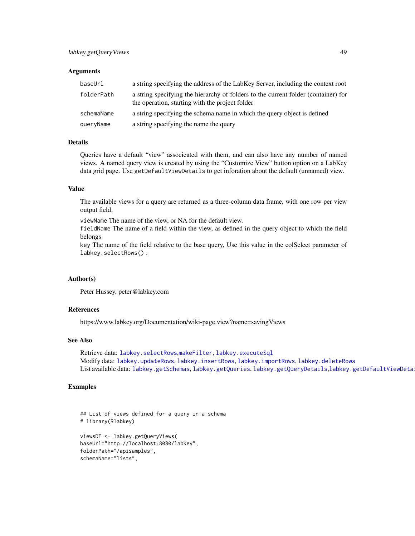### **Arguments**

| baseUrl    | a string specifying the address of the LabKey Server, including the context root                                                      |
|------------|---------------------------------------------------------------------------------------------------------------------------------------|
| folderPath | a string specifying the hierarchy of folders to the current folder (container) for<br>the operation, starting with the project folder |
| schemaName | a string specifying the schema name in which the query object is defined                                                              |
| queryName  | a string specifying the name the query                                                                                                |

# Details

Queries have a default "view" associeated with them, and can also have any number of named views. A named query view is created by using the "Customize View" button option on a LabKey data grid page. Use getDefaultViewDetails to get inforation about the default (unnamed) view.

#### Value

The available views for a query are returned as a three-column data frame, with one row per view output field.

viewName The name of the view, or NA for the default view.

fieldName The name of a field within the view, as defined in the query object to which the field belongs

key The name of the field relative to the base query, Use this value in the colSelect parameter of labkey.selectRows() .

# Author(s)

Peter Hussey, peter@labkey.com

#### References

https://www.labkey.org/Documentation/wiki-page.view?name=savingViews

#### See Also

Retrieve data: [labkey.selectRows](#page-81-0),[makeFilter](#page-108-0), [labkey.executeSql](#page-28-0) Modify data: [labkey.updateRows](#page-91-0), [labkey.insertRows](#page-52-0), [labkey.importRows](#page-51-0), [labkey.deleteRows](#page-11-0) List available data: [labkey.getSchemas](#page-50-0), [labkey.getQueries](#page-44-0), [labkey.getQueryDetails](#page-45-0),labkey.getDefaultViewDeta

### Examples

```
## List of views defined for a query in a schema
# library(Rlabkey)
viewsDF <- labkey.getQueryViews(
baseUrl="http://localhost:8080/labkey",
folderPath="/apisamples",
schemaName="lists",
```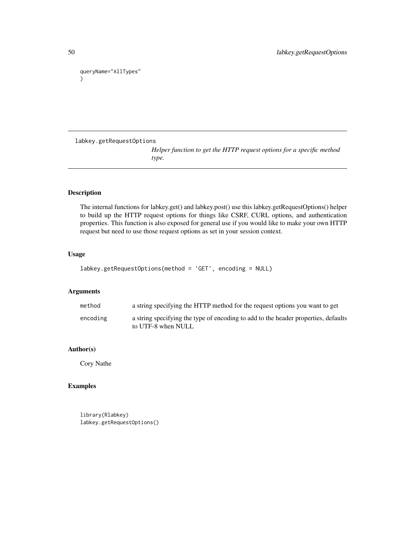queryName="AllTypes" )

labkey.getRequestOptions

*Helper function to get the HTTP request options for a specific method type.*

# Description

The internal functions for labkey.get() and labkey.post() use this labkey.getRequestOptions() helper to build up the HTTP request options for things like CSRF, CURL options, and authentication properties. This function is also exposed for general use if you would like to make your own HTTP request but need to use those request options as set in your session context.

# Usage

```
labkey.getRequestOptions(method = 'GET', encoding = NULL)
```
# Arguments

| method   | a string specifying the HTTP method for the request options you want to get                              |
|----------|----------------------------------------------------------------------------------------------------------|
| encoding | a string specifying the type of encoding to add to the header properties, defaults<br>to UTF-8 when NULL |

# Author(s)

Cory Nathe

# Examples

library(Rlabkey) labkey.getRequestOptions()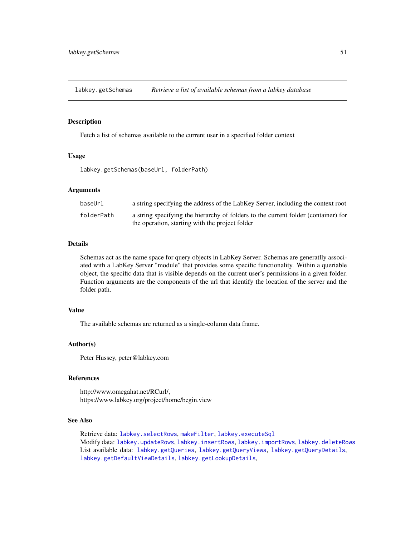<span id="page-50-0"></span>labkey.getSchemas *Retrieve a list of available schemas from a labkey database*

### Description

Fetch a list of schemas available to the current user in a specified folder context

# Usage

labkey.getSchemas(baseUrl, folderPath)

# Arguments

| baseUrl    | a string specifying the address of the LabKey Server, including the context root   |
|------------|------------------------------------------------------------------------------------|
| folderPath | a string specifying the hierarchy of folders to the current folder (container) for |
|            | the operation, starting with the project folder                                    |

### Details

Schemas act as the name space for query objects in LabKey Server. Schemas are generatlly associated with a LabKey Server "module" that provides some specific functionality. Within a queriable object, the specific data that is visible depends on the current user's permissions in a given folder. Function arguments are the components of the url that identify the location of the server and the folder path.

# Value

The available schemas are returned as a single-column data frame.

#### Author(s)

Peter Hussey, peter@labkey.com

### References

http://www.omegahat.net/RCurl/, https://www.labkey.org/project/home/begin.view

# See Also

Retrieve data: [labkey.selectRows](#page-81-0), [makeFilter](#page-108-0), [labkey.executeSql](#page-28-0) Modify data: [labkey.updateRows](#page-91-0), [labkey.insertRows](#page-52-0), [labkey.importRows](#page-51-0), [labkey.deleteRows](#page-11-0) List available data: [labkey.getQueries](#page-44-0), [labkey.getQueryViews](#page-47-0), [labkey.getQueryDetails](#page-45-0), [labkey.getDefaultViewDetails](#page-39-0), [labkey.getLookupDetails](#page-41-0),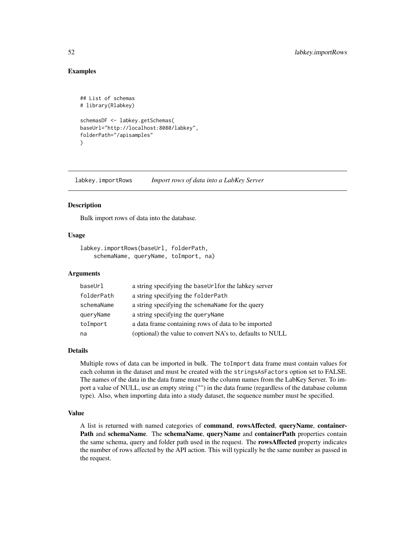# Examples

```
## List of schemas
# library(Rlabkey)
schemasDF <- labkey.getSchemas(
baseUrl="http://localhost:8080/labkey",
folderPath="/apisamples"
)
```
<span id="page-51-0"></span>labkey.importRows *Import rows of data into a LabKey Server*

# **Description**

Bulk import rows of data into the database.

### Usage

```
labkey.importRows(baseUrl, folderPath,
    schemaName, queryName, toImport, na)
```
### Arguments

| baseUrl    | a string specifying the baseUrlfor the labkey server      |
|------------|-----------------------------------------------------------|
| folderPath | a string specifying the folderPath                        |
| schemaName | a string specifying the schema Name for the query         |
| queryName  | a string specifying the query Name                        |
| toImport   | a data frame containing rows of data to be imported       |
| na         | (optional) the value to convert NA's to, defaults to NULL |

### Details

Multiple rows of data can be imported in bulk. The toImport data frame must contain values for each column in the dataset and must be created with the stringsAsFactors option set to FALSE. The names of the data in the data frame must be the column names from the LabKey Server. To import a value of NULL, use an empty string ("") in the data frame (regardless of the database column type). Also, when importing data into a study dataset, the sequence number must be specified.

# Value

A list is returned with named categories of command, rowsAffected, queryName, container-Path and schemaName. The schemaName, queryName and containerPath properties contain the same schema, query and folder path used in the request. The rowsAffected property indicates the number of rows affected by the API action. This will typically be the same number as passed in the request.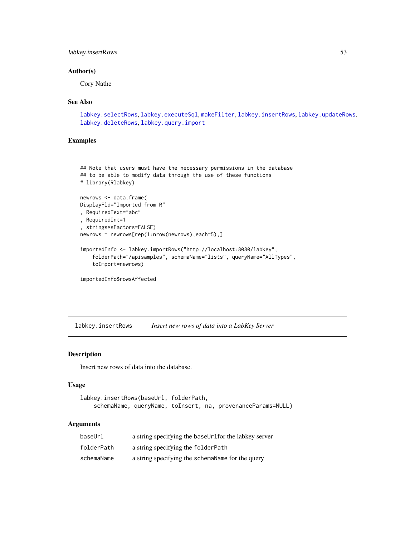# labkey.insertRows 53

# Author(s)

Cory Nathe

#### See Also

```
labkey.selectRows, labkey.executeSql, makeFilter, labkey.insertRows, labkey.updateRows,
labkey.deleteRows, labkey.query.import
```
# Examples

```
## Note that users must have the necessary permissions in the database
## to be able to modify data through the use of these functions
# library(Rlabkey)
newrows <- data.frame(
DisplayFld="Imported from R"
, RequiredText="abc"
, RequiredInt=1
, stringsAsFactors=FALSE)
newrows = newrows[rep(1:nrow(newrows),each=5),]
importedInfo <- labkey.importRows("http://localhost:8080/labkey",
    folderPath="/apisamples", schemaName="lists", queryName="AllTypes",
    toImport=newrows)
```

```
importedInfo$rowsAffected
```
<span id="page-52-0"></span>labkey.insertRows *Insert new rows of data into a LabKey Server*

# Description

Insert new rows of data into the database.

### Usage

```
labkey.insertRows(baseUrl, folderPath,
   schemaName, queryName, toInsert, na, provenanceParams=NULL)
```

| baseUrl    | a string specifying the baseUrlfor the labkey server |
|------------|------------------------------------------------------|
| folderPath | a string specifying the folderPath                   |
| schemaName | a string specifying the schemaName for the query     |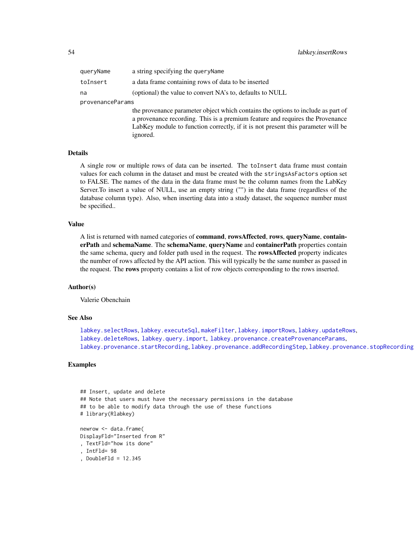| queryName        | a string specifying the queryName                                                                                                                                                                                                                                 |
|------------------|-------------------------------------------------------------------------------------------------------------------------------------------------------------------------------------------------------------------------------------------------------------------|
| toInsert         | a data frame containing rows of data to be inserted                                                                                                                                                                                                               |
| na               | (optional) the value to convert NA's to, defaults to NULL                                                                                                                                                                                                         |
| provenanceParams |                                                                                                                                                                                                                                                                   |
|                  | the provenance parameter object which contains the options to include as part of<br>a provenance recording. This is a premium feature and requires the Provenance<br>LabKey module to function correctly, if it is not present this parameter will be<br>ignored. |

#### Details

A single row or multiple rows of data can be inserted. The toInsert data frame must contain values for each column in the dataset and must be created with the stringsAsFactors option set to FALSE. The names of the data in the data frame must be the column names from the LabKey Server.To insert a value of NULL, use an empty string ("") in the data frame (regardless of the database column type). Also, when inserting data into a study dataset, the sequence number must be specified..

#### Value

A list is returned with named categories of command, rowsAffected, rows, queryName, containerPath and schemaName. The schemaName, queryName and containerPath properties contain the same schema, query and folder path used in the request. The rowsAffected property indicates the number of rows affected by the API action. This will typically be the same number as passed in the request. The rows property contains a list of row objects corresponding to the rows inserted.

# Author(s)

Valerie Obenchain

#### See Also

```
labkey.selectRows, labkey.executeSql, makeFilter, labkey.importRows, labkey.updateRows,
labkey.deleteRows, labkey.query.import, labkey.provenance.createProvenanceParams,
labkey.provenance.startRecordinglabkey.provenance.addRecordingSteplabkey.provenance.stopRecording
```
### Examples

```
## Insert, update and delete
## Note that users must have the necessary permissions in the database
## to be able to modify data through the use of these functions
# library(Rlabkey)
newrow <- data.frame(
DisplayFld="Inserted from R"
, TextFld="how its done"
, IntFld= 98
, DoubleFld = 12.345
```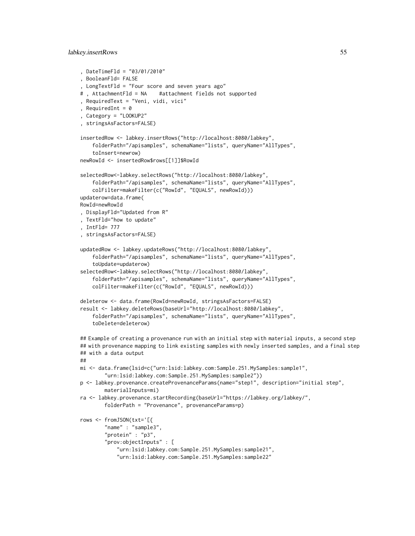#### labkey.insertRows 55

```
, DateTimeFld = "03/01/2010"
, BooleanFld= FALSE
, LongTextFld = "Four score and seven years ago"
# , AttachmentFld = NA #attachment fields not supported
, RequiredText = "Veni, vidi, vici"
, RequiredInt = \theta, Category = "LOOKUP2"
, stringsAsFactors=FALSE)
insertedRow <- labkey.insertRows("http://localhost:8080/labkey",
    folderPath="/apisamples", schemaName="lists", queryName="AllTypes",
    toInsert=newrow)
newRowId <- insertedRow$rows[[1]]$RowId
selectedRow<-labkey.selectRows("http://localhost:8080/labkey",
    folderPath="/apisamples", schemaName="lists", queryName="AllTypes",
    colFilter=makeFilter(c("RowId", "EQUALS", newRowId)))
updaterow=data.frame(
RowId=newRowId
, DisplayFld="Updated from R"
, TextFld="how to update"
, IntFld= 777
, stringsAsFactors=FALSE)
updatedRow <- labkey.updateRows("http://localhost:8080/labkey",
    folderPath="/apisamples", schemaName="lists", queryName="AllTypes",
    toUpdate=updaterow)
selectedRow<-labkey.selectRows("http://localhost:8080/labkey",
    folderPath="/apisamples", schemaName="lists", queryName="AllTypes",
    colFilter=makeFilter(c("RowId", "EQUALS", newRowId)))
deleterow <- data.frame(RowId=newRowId, stringsAsFactors=FALSE)
result <- labkey.deleteRows(baseUrl="http://localhost:8080/labkey",
    folderPath="/apisamples", schemaName="lists", queryName="AllTypes",
    toDelete=deleterow)
## Example of creating a provenance run with an initial step with material inputs, a second step
## with provenance mapping to link existing samples with newly inserted samples, and a final step
## with a data output
##
mi <- data.frame(lsid=c("urn:lsid:labkey.com:Sample.251.MySamples:sample1",
        "urn:lsid:labkey.com:Sample.251.MySamples:sample2"))
p <- labkey.provenance.createProvenanceParams(name="step1", description="initial step",
        materialInputs=mi)
ra <- labkey.provenance.startRecording(baseUrl="https://labkey.org/labkey/",
        folderPath = "Provenance", provenanceParams=p)
rows <- fromJSON(txt='[{
        "name" : "sample3",
        "protein" : "p3",
        "prov:objectInputs" : [
            "urn:lsid:labkey.com:Sample.251.MySamples:sample21",
            "urn:lsid:labkey.com:Sample.251.MySamples:sample22"
```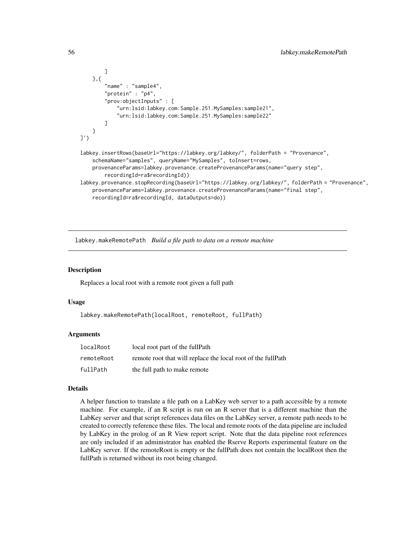```
]
    },{
        "name" : "sample4",
        "protein" : "p4",
        "prov:objectInputs" : [
            "urn:lsid:labkey.com:Sample.251.MySamples:sample21",
            "urn:lsid:labkey.com:Sample.251.MySamples:sample22"
        ]
    }
]')
labkey.insertRows(baseUrl="https://labkey.org/labkey/", folderPath = "Provenance",
    schemaName="samples", queryName="MySamples", toInsert=rows,
    provenanceParams=labkey.provenance.createProvenanceParams(name="query step",
        recordingId=ra$recordingId))
labkey.provenance.stopRecording(baseUrl="https://labkey.org/labkey/", folderPath = "Provenance",
    provenanceParams=labkey.provenance.createProvenanceParams(name="final step",
    recordingId=ra$recordingId, dataOutputs=do))
```
labkey.makeRemotePath *Build a file path to data on a remote machine*

#### **Description**

Replaces a local root with a remote root given a full path

### Usage

labkey.makeRemotePath(localRoot, remoteRoot, fullPath)

#### Arguments

| localRoot  | local root part of the fullPath                              |
|------------|--------------------------------------------------------------|
| remoteRoot | remote root that will replace the local root of the fullPath |
| fullPath   | the full path to make remote                                 |

### Details

A helper function to translate a file path on a LabKey web server to a path accessible by a remote machine. For example, if an R script is run on an R server that is a different machine than the LabKey server and that script references data files on the LabKey server, a remote path needs to be created to correctly reference these files. The local and remote roots of the data pipeline are included by LabKey in the prolog of an R View report script. Note that the data pipeline root references are only included if an administrator has enabled the Rserve Reports experimental feature on the LabKey server. If the remoteRoot is empty or the fullPath does not contain the localRoot then the fullPath is returned without its root being changed.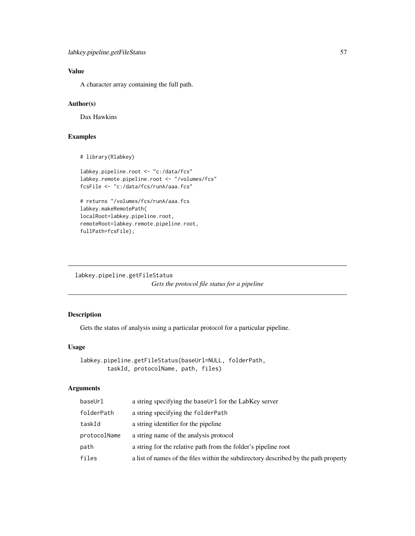# Value

A character array containing the full path.

# Author(s)

Dax Hawkins

# Examples

```
# library(Rlabkey)
```

```
labkey.pipeline.root <- "c:/data/fcs"
labkey.remote.pipeline.root <- "/volumes/fcs"
fcsFile <- "c:/data/fcs/runA/aaa.fcs"
```
# returns "/volumes/fcs/runA/aaa.fcs labkey.makeRemotePath( localRoot=labkey.pipeline.root, remoteRoot=labkey.remote.pipeline.root, fullPath=fcsFile);

<span id="page-56-0"></span>labkey.pipeline.getFileStatus *Gets the protocol file status for a pipeline*

# Description

Gets the status of analysis using a particular protocol for a particular pipeline.

# Usage

```
labkey.pipeline.getFileStatus(baseUrl=NULL, folderPath,
       taskId, protocolName, path, files)
```

| baseUrl      | a string specifying the baseUr1 for the LabKey server                               |
|--------------|-------------------------------------------------------------------------------------|
| folderPath   | a string specifying the folderPath                                                  |
| taskId       | a string identifier for the pipeline                                                |
| protocolName | a string name of the analysis protocol                                              |
| path         | a string for the relative path from the folder's pipeline root                      |
| files        | a list of names of the files within the subdirectory described by the path property |
|              |                                                                                     |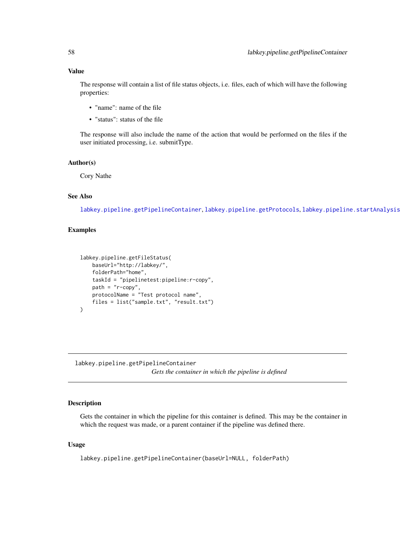# Value

The response will contain a list of file status objects, i.e. files, each of which will have the following properties:

- "name": name of the file
- "status": status of the file

The response will also include the name of the action that would be performed on the files if the user initiated processing, i.e. submitType.

### Author(s)

Cory Nathe

# See Also

[labkey.pipeline.getPipelineContainer](#page-57-0), [labkey.pipeline.getProtocols](#page-58-0), [labkey.pipeline.startAnalysis](#page-60-0)

# Examples

```
labkey.pipeline.getFileStatus(
   baseUrl="http://labkey/",
   folderPath="home",
   taskId = "pipelinetest:pipeline:r-copy",
   path = "r-copy",protocolName = "Test protocol name",
   files = list("sample.txt", "result.txt")
)
```
<span id="page-57-0"></span>labkey.pipeline.getPipelineContainer *Gets the container in which the pipeline is defined*

### Description

Gets the container in which the pipeline for this container is defined. This may be the container in which the request was made, or a parent container if the pipeline was defined there.

### Usage

labkey.pipeline.getPipelineContainer(baseUrl=NULL, folderPath)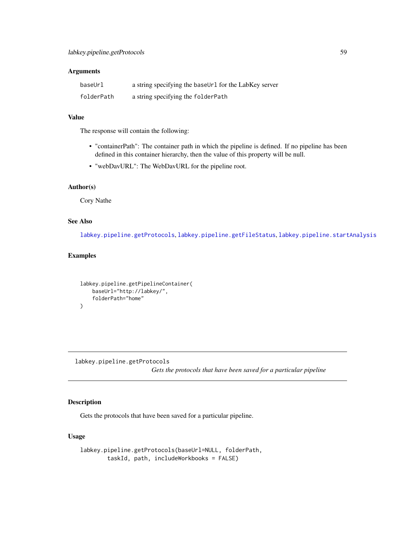# Arguments

| baseUrl    | a string specifying the baseUr1 for the LabKey server |
|------------|-------------------------------------------------------|
| folderPath | a string specifying the folderPath                    |

# Value

The response will contain the following:

- "containerPath": The container path in which the pipeline is defined. If no pipeline has been defined in this container hierarchy, then the value of this property will be null.
- "webDavURL": The WebDavURL for the pipeline root.

#### Author(s)

Cory Nathe

# See Also

[labkey.pipeline.getProtocols](#page-58-0), [labkey.pipeline.getFileStatus](#page-56-0), [labkey.pipeline.startAnalysis](#page-60-0)

### Examples

```
labkey.pipeline.getPipelineContainer(
    baseUrl="http://labkey/",
    folderPath="home"
\mathcal{L}
```
<span id="page-58-0"></span>labkey.pipeline.getProtocols *Gets the protocols that have been saved for a particular pipeline*

# Description

Gets the protocols that have been saved for a particular pipeline.

# Usage

```
labkey.pipeline.getProtocols(baseUrl=NULL, folderPath,
       taskId, path, includeWorkbooks = FALSE)
```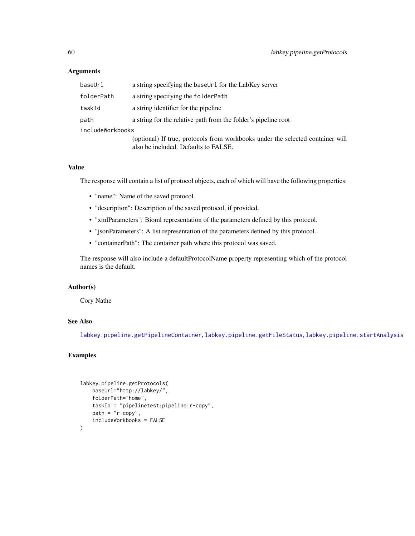### Arguments

| baseUrl          | a string specifying the baseUr1 for the LabKey server                                                                  |  |
|------------------|------------------------------------------------------------------------------------------------------------------------|--|
| folderPath       | a string specifying the folderPath                                                                                     |  |
| taskId           | a string identifier for the pipeline                                                                                   |  |
| path             | a string for the relative path from the folder's pipeline root                                                         |  |
| includeWorkbooks |                                                                                                                        |  |
|                  | (optional) If true, protocols from workbooks under the selected container will<br>also be included. Defaults to FALSE. |  |

# Value

The response will contain a list of protocol objects, each of which will have the following properties:

- "name": Name of the saved protocol.
- "description": Description of the saved protocol, if provided.
- "xmlParameters": Bioml representation of the parameters defined by this protocol.
- "jsonParameters": A list representation of the parameters defined by this protocol.
- "containerPath": The container path where this protocol was saved.

The response will also include a defaultProtocolName property representing which of the protocol names is the default.

# Author(s)

Cory Nathe

# See Also

[labkey.pipeline.getPipelineContainer](#page-57-0), [labkey.pipeline.getFileStatus](#page-56-0), [labkey.pipeline.startAnalysis](#page-60-0)

# Examples

```
labkey.pipeline.getProtocols(
   baseUrl="http://labkey/",
   folderPath="home",
    taskId = "pipelinetest:pipeline:r-copy",
   path = "r-copy",includeWorkbooks = FALSE
\mathcal{L}
```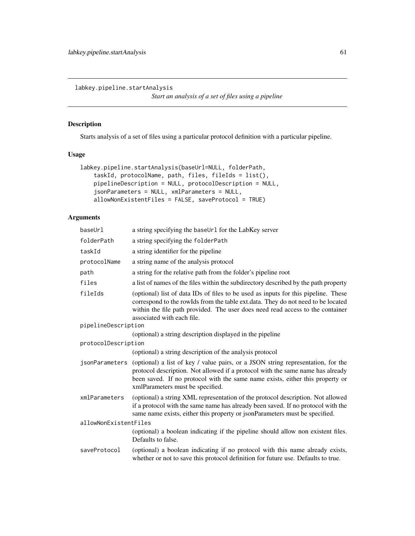<span id="page-60-0"></span>labkey.pipeline.startAnalysis

*Start an analysis of a set of files using a pipeline*

# Description

Starts analysis of a set of files using a particular protocol definition with a particular pipeline.

# Usage

```
labkey.pipeline.startAnalysis(baseUrl=NULL, folderPath,
   taskId, protocolName, path, files, fileIds = list(),
   pipelineDescription = NULL, protocolDescription = NULL,
   jsonParameters = NULL, xmlParameters = NULL,
   allowNonExistentFiles = FALSE, saveProtocol = TRUE)
```

| baseUrl               | a string specifying the baseUr1 for the LabKey server                                                                                                                                                                                                                                   |
|-----------------------|-----------------------------------------------------------------------------------------------------------------------------------------------------------------------------------------------------------------------------------------------------------------------------------------|
| folderPath            | a string specifying the folderPath                                                                                                                                                                                                                                                      |
| taskId                | a string identifier for the pipeline                                                                                                                                                                                                                                                    |
| protocolName          | a string name of the analysis protocol                                                                                                                                                                                                                                                  |
| path                  | a string for the relative path from the folder's pipeline root                                                                                                                                                                                                                          |
| files                 | a list of names of the files within the subdirectory described by the path property                                                                                                                                                                                                     |
| fileIds               | (optional) list of data IDs of files to be used as inputs for this pipeline. These<br>correspond to the rowIds from the table ext.data. They do not need to be located<br>within the file path provided. The user does need read access to the container<br>associated with each file.  |
| pipelineDescription   |                                                                                                                                                                                                                                                                                         |
|                       | (optional) a string description displayed in the pipeline                                                                                                                                                                                                                               |
| protocolDescription   |                                                                                                                                                                                                                                                                                         |
|                       | (optional) a string description of the analysis protocol                                                                                                                                                                                                                                |
| jsonParameters        | (optional) a list of key / value pairs, or a JSON string representation, for the<br>protocol description. Not allowed if a protocol with the same name has already<br>been saved. If no protocol with the same name exists, either this property or<br>xmlParameters must be specified. |
| xmlParameters         | (optional) a string XML representation of the protocol description. Not allowed<br>if a protocol with the same name has already been saved. If no protocol with the<br>same name exists, either this property or jsonParameters must be specified.                                      |
| allowNonExistentFiles |                                                                                                                                                                                                                                                                                         |
|                       | (optional) a boolean indicating if the pipeline should allow non existent files.<br>Defaults to false.                                                                                                                                                                                  |
| saveProtocol          | (optional) a boolean indicating if no protocol with this name already exists,<br>whether or not to save this protocol definition for future use. Defaults to true.                                                                                                                      |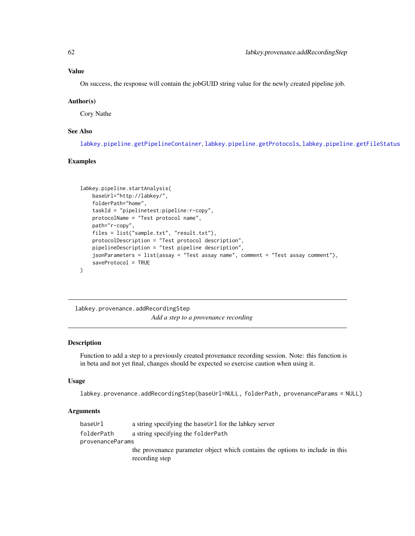On success, the response will contain the jobGUID string value for the newly created pipeline job.

#### Author(s)

Cory Nathe

# See Also

[labkey.pipeline.getPipelineContainer](#page-57-0), [labkey.pipeline.getProtocols](#page-58-0), [labkey.pipeline.getFileStatus](#page-56-0)

# Examples

```
labkey.pipeline.startAnalysis(
   baseUrl="http://labkey/",
   folderPath="home",
   taskId = "pipelinetest:pipeline:r-copy",
   protocolName = "Test protocol name",
   path="r-copy",
   files = list("sample.txt", "result.txt"),
   protocolDescription = "Test protocol description",
   pipelineDescription = "test pipeline description",
   jsonParameters = list(assay = "Test assay name", comment = "Test assay comment"),
   saveProtocol = TRUE
)
```
<span id="page-61-0"></span>labkey.provenance.addRecordingStep *Add a step to a provenance recording*

#### Description

Function to add a step to a previously created provenance recording session. Note: this function is in beta and not yet final, changes should be expected so exercise caution when using it.

#### Usage

```
labkey.provenance.addRecordingStep(baseUrl=NULL, folderPath, provenanceParams = NULL)
```

| baseUrl          | a string specifying the baseUrl for the labkey server                         |  |
|------------------|-------------------------------------------------------------------------------|--|
| folderPath       | a string specifying the folderPath                                            |  |
| provenanceParams |                                                                               |  |
|                  | the provenance parameter object which contains the options to include in this |  |
|                  | recording step                                                                |  |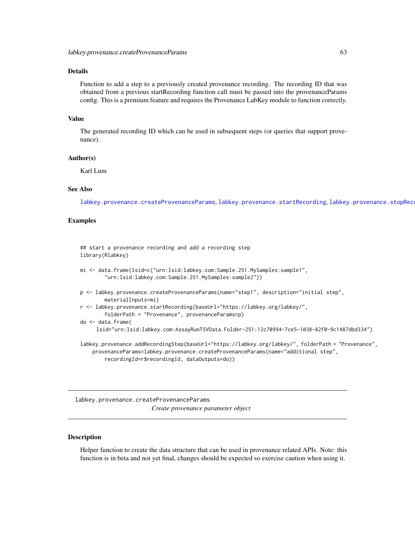# Details

Function to add a step to a previously created provenance recording. The recording ID that was obtained from a previous startRecording function call must be passed into the provenanceParams config. This is a premium feature and requires the Provenance LabKey module to function correctly.

# Value

The generated recording ID which can be used in subsequent steps (or queries that support provenance).

#### Author(s)

Karl Lum

# See Also

[labkey.provenance.createProvenanceParams](#page-62-0), [labkey.provenance.startRecording](#page-65-0), labkey.provenance.stopRec

### Examples

## start a provenance recording and add a recording step library(Rlabkey) mi <- data.frame(lsid=c("urn:lsid:labkey.com:Sample.251.MySamples:sample1", "urn:lsid:labkey.com:Sample.251.MySamples:sample2"))

p <- labkey.provenance.createProvenanceParams(name="step1", description="initial step", materialInputs=mi)

```
r <- labkey.provenance.startRecording(baseUrl="https://labkey.org/labkey/",
       folderPath = "Provenance", provenanceParams=p)
```
do <- data.frame(

lsid="urn:lsid:labkey.com:AssayRunTSVData.Folder-251:12c70994-7ce5-1038-82f0-9c1487dbd334")

labkey.provenance.addRecordingStep(baseUrl="https://labkey.org/labkey/", folderPath = "Provenance", provenanceParams=labkey.provenance.createProvenanceParams(name="additional step", recordingId=r\$recordingId, dataOutputs=do))

<span id="page-62-0"></span>labkey.provenance.createProvenanceParams *Create provenance parameter object*

#### Description

Helper function to create the data structure that can be used in provenance related APIs. Note: this function is in beta and not yet final, changes should be expected so exercise caution when using it.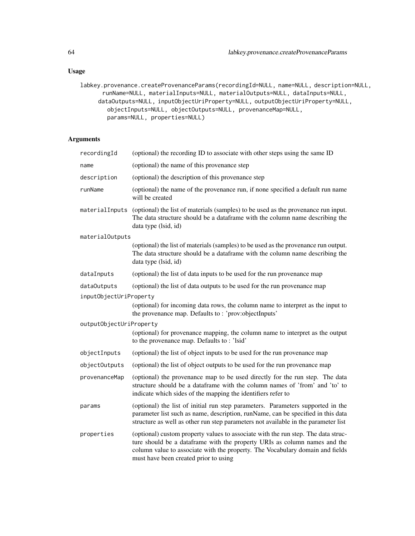# Usage

```
labkey.provenance.createProvenanceParams(recordingId=NULL, name=NULL, description=NULL,
      runName=NULL, materialInputs=NULL, materialOutputs=NULL, dataInputs=NULL,
     dataOutputs=NULL, inputObjectUriProperty=NULL, outputObjectUriProperty=NULL,
        objectInputs=NULL, objectOutputs=NULL, provenanceMap=NULL,
        params=NULL, properties=NULL)
```

| recordingId             | (optional) the recording ID to associate with other steps using the same ID                                                                                                                                                                                                              |
|-------------------------|------------------------------------------------------------------------------------------------------------------------------------------------------------------------------------------------------------------------------------------------------------------------------------------|
| name                    | (optional) the name of this provenance step                                                                                                                                                                                                                                              |
| description             | (optional) the description of this provenance step                                                                                                                                                                                                                                       |
| runName                 | (optional) the name of the provenance run, if none specified a default run name<br>will be created                                                                                                                                                                                       |
| materialInputs          | (optional) the list of materials (samples) to be used as the provenance run input.<br>The data structure should be a dataframe with the column name describing the<br>data type (Isid, id)                                                                                               |
| materialOutputs         |                                                                                                                                                                                                                                                                                          |
|                         | (optional) the list of materials (samples) to be used as the provenance run output.<br>The data structure should be a dataframe with the column name describing the<br>data type (lsid, id)                                                                                              |
| dataInputs              | (optional) the list of data inputs to be used for the run provenance map                                                                                                                                                                                                                 |
| dataOutputs             | (optional) the list of data outputs to be used for the run provenance map                                                                                                                                                                                                                |
| inputObjectUriProperty  |                                                                                                                                                                                                                                                                                          |
|                         | (optional) for incoming data rows, the column name to interpret as the input to<br>the provenance map. Defaults to: 'prov:objectInputs'                                                                                                                                                  |
| outputObjectUriProperty |                                                                                                                                                                                                                                                                                          |
|                         | (optional) for provenance mapping, the column name to interpret as the output<br>to the provenance map. Defaults to: 'lsid'                                                                                                                                                              |
| objectInputs            | (optional) the list of object inputs to be used for the run provenance map                                                                                                                                                                                                               |
| objectOutputs           | (optional) the list of object outputs to be used for the run provenance map                                                                                                                                                                                                              |
| provenanceMap           | (optional) the provenance map to be used directly for the run step. The data<br>structure should be a dataframe with the column names of 'from' and 'to' to<br>indicate which sides of the mapping the identifiers refer to                                                              |
| params                  | (optional) the list of initial run step parameters. Parameters supported in the<br>parameter list such as name, description, runName, can be specified in this data<br>structure as well as other run step parameters not available in the parameter list                                |
| properties              | (optional) custom property values to associate with the run step. The data struc-<br>ture should be a dataframe with the property URIs as column names and the<br>column value to associate with the property. The Vocabulary domain and fields<br>must have been created prior to using |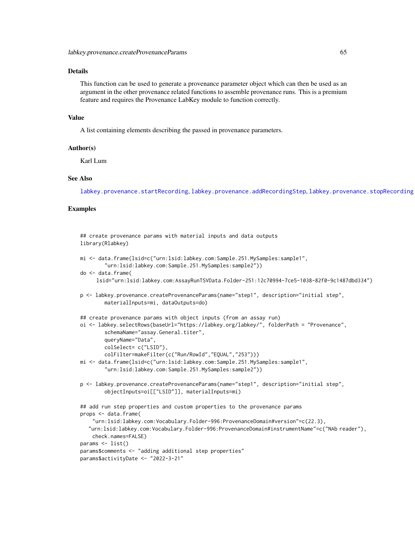# Details

This function can be used to generate a provenance parameter object which can then be used as an argument in the other provenance related functions to assemble provenance runs. This is a premium feature and requires the Provenance LabKey module to function correctly.

#### Value

A list containing elements describing the passed in provenance parameters.

#### Author(s)

Karl Lum

#### See Also

[labkey.provenance.startRecording](#page-65-0), [labkey.provenance.addRecordingStep](#page-61-0), [labkey.provenance.stopRecording](#page-66-0)

### Examples

```
## create provenance params with material inputs and data outputs
library(Rlabkey)
mi <- data.frame(lsid=c("urn:lsid:labkey.com:Sample.251.MySamples:sample1",
        "urn:lsid:labkey.com:Sample.251.MySamples:sample2"))
do <- data.frame(
     lsid="urn:lsid:labkey.com:AssayRunTSVData.Folder-251:12c70994-7ce5-1038-82f0-9c1487dbd334")
p <- labkey.provenance.createProvenanceParams(name="step1", description="initial step",
        materialInputs=mi, dataOutputs=do)
## create provenance params with object inputs (from an assay run)
oi <- labkey.selectRows(baseUrl="https://labkey.org/labkey/", folderPath = "Provenance",
        schemaName="assay.General.titer",
        queryName="Data",
        colSelect= c("LSID"),
        colFilter=makeFilter(c("Run/RowId","EQUAL","253")))
mi <- data.frame(lsid=c("urn:lsid:labkey.com:Sample.251.MySamples:sample1",
        "urn:lsid:labkey.com:Sample.251.MySamples:sample2"))
p <- labkey.provenance.createProvenanceParams(name="step1", description="initial step",
        objectInputs=oi[["LSID"]], materialInputs=mi)
## add run step properties and custom properties to the provenance params
props <- data.frame(
    "urn:lsid:labkey.com:Vocabulary.Folder-996:ProvenanceDomain#version"=c(22.3),
   "urn:lsid:labkey.com:Vocabulary.Folder-996:ProvenanceDomain#instrumentName"=c("NAb reader"),
    check.names=FALSE)
params <- list()
params$comments <- "adding additional step properties"
params$activityDate <- "2022-3-21"
```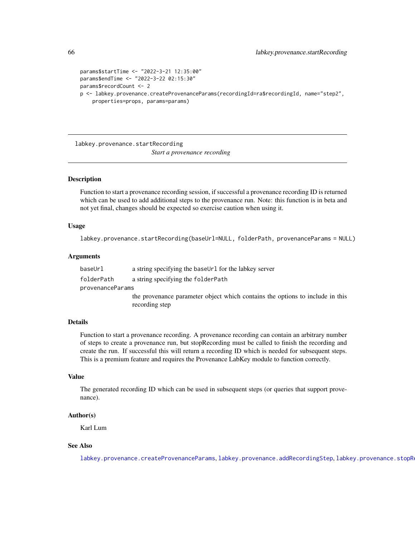```
params$startTime <- "2022-3-21 12:35:00"
params$endTime <- "2022-3-22 02:15:30"
params$recordCount <- 2
p <- labkey.provenance.createProvenanceParams(recordingId=ra$recordingId, name="step2",
    properties=props, params=params)
```
<span id="page-65-0"></span>labkey.provenance.startRecording *Start a provenance recording*

### Description

Function to start a provenance recording session, if successful a provenance recording ID is returned which can be used to add additional steps to the provenance run. Note: this function is in beta and not yet final, changes should be expected so exercise caution when using it.

#### Usage

```
labkey.provenance.startRecording(baseUrl=NULL, folderPath, provenanceParams = NULL)
```
# Arguments

baseUrl a string specifying the baseUrl for the labkey server folderPath a string specifying the folderPath provenanceParams the provenance parameter object which contains the options to include in this recording step

### Details

Function to start a provenance recording. A provenance recording can contain an arbitrary number of steps to create a provenance run, but stopRecording must be called to finish the recording and create the run. If successful this will return a recording ID which is needed for subsequent steps. This is a premium feature and requires the Provenance LabKey module to function correctly.

#### Value

The generated recording ID which can be used in subsequent steps (or queries that support provenance).

#### Author(s)

Karl Lum

# See Also

[labkey.provenance.createProvenanceParams](#page-62-0), [labkey.provenance.addRecordingStep](#page-61-0), labkey.provenance.stopR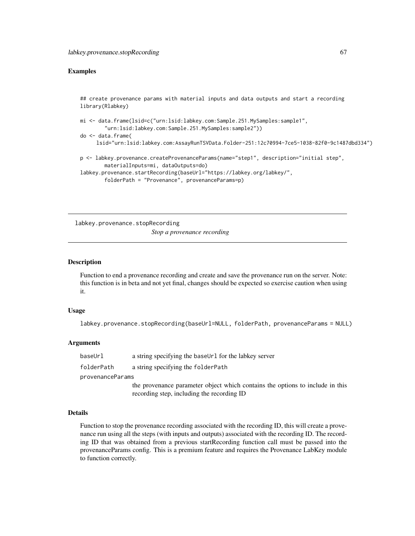### Examples

## create provenance params with material inputs and data outputs and start a recording library(Rlabkey)

```
mi <- data.frame(lsid=c("urn:lsid:labkey.com:Sample.251.MySamples:sample1",
        "urn:lsid:labkey.com:Sample.251.MySamples:sample2"))
do <- data.frame(
     lsid="urn:lsid:labkey.com:AssayRunTSVData.Folder-251:12c70994-7ce5-1038-82f0-9c1487dbd334")
p <- labkey.provenance.createProvenanceParams(name="step1", description="initial step",
       materialInputs=mi, dataOutputs=do)
```

```
labkey.provenance.startRecording(baseUrl="https://labkey.org/labkey/",
       folderPath = "Provenance", provenanceParams=p)
```
<span id="page-66-0"></span>labkey.provenance.stopRecording *Stop a provenance recording*

#### Description

Function to end a provenance recording and create and save the provenance run on the server. Note: this function is in beta and not yet final, changes should be expected so exercise caution when using it.

#### Usage

labkey.provenance.stopRecording(baseUrl=NULL, folderPath, provenanceParams = NULL)

#### Arguments

baseUrl a string specifying the baseUrl for the labkey server

folderPath a string specifying the folderPath

provenanceParams

the provenance parameter object which contains the options to include in this recording step, including the recording ID

# Details

Function to stop the provenance recording associated with the recording ID, this will create a provenance run using all the steps (with inputs and outputs) associated with the recording ID. The recording ID that was obtained from a previous startRecording function call must be passed into the provenanceParams config. This is a premium feature and requires the Provenance LabKey module to function correctly.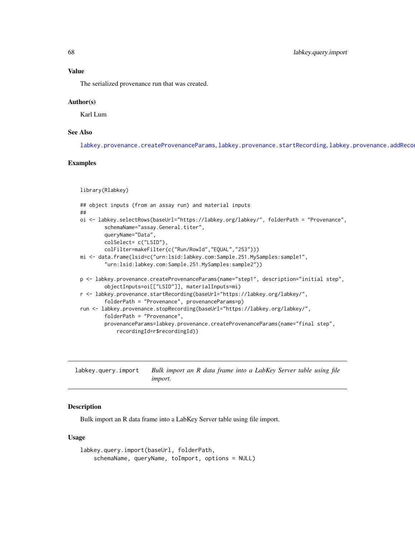The serialized provenance run that was created.

#### Author(s)

Karl Lum

# See Also

[labkey.provenance.createProvenanceParams](#page-62-0), [labkey.provenance.startRecording](#page-65-0), labkey.provenance.addReco

# Examples

```
library(Rlabkey)
```

```
## object inputs (from an assay run) and material inputs
##
oi <- labkey.selectRows(baseUrl="https://labkey.org/labkey/", folderPath = "Provenance",
        schemaName="assay.General.titer",
       queryName="Data",
       colSelect= c("LSID"),
       colFilter=makeFilter(c("Run/RowId","EQUAL","253")))
mi <- data.frame(lsid=c("urn:lsid:labkey.com:Sample.251.MySamples:sample1",
        "urn:lsid:labkey.com:Sample.251.MySamples:sample2"))
p <- labkey.provenance.createProvenanceParams(name="step1", description="initial step",
       objectInputs=oi[["LSID"]], materialInputs=mi)
r <- labkey.provenance.startRecording(baseUrl="https://labkey.org/labkey/",
       folderPath = "Provenance", provenanceParams=p)
run <- labkey.provenance.stopRecording(baseUrl="https://labkey.org/labkey/",
       folderPath = "Provenance",
       provenanceParams=labkey.provenance.createProvenanceParams(name="final step",
            recordingId=r$recordingId))
```
<span id="page-67-0"></span>labkey.query.import *Bulk import an R data frame into a LabKey Server table using file import.*

#### **Description**

Bulk import an R data frame into a LabKey Server table using file import.

#### Usage

```
labkey.query.import(baseUrl, folderPath,
   schemaName, queryName, toImport, options = NULL)
```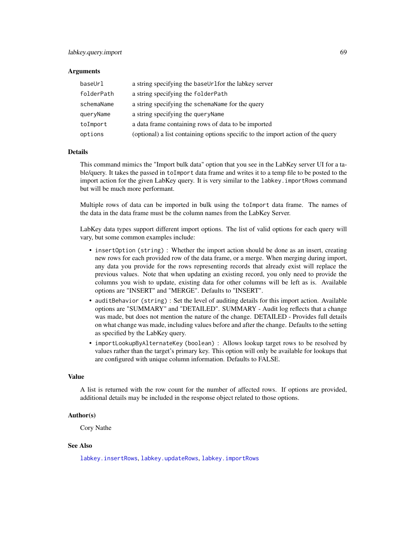#### **Arguments**

| baseUrl    | a string specifying the baseUrlfor the labkey server                            |
|------------|---------------------------------------------------------------------------------|
| folderPath | a string specifying the folderPath                                              |
| schemaName | a string specifying the schema Name for the query                               |
| queryName  | a string specifying the query Name                                              |
| toImport   | a data frame containing rows of data to be imported                             |
| options    | (optional) a list containing options specific to the import action of the query |

### Details

This command mimics the "Import bulk data" option that you see in the LabKey server UI for a table/query. It takes the passed in toImport data frame and writes it to a temp file to be posted to the import action for the given LabKey query. It is very similar to the labkey.importRows command but will be much more performant.

Multiple rows of data can be imported in bulk using the toImport data frame. The names of the data in the data frame must be the column names from the LabKey Server.

LabKey data types support different import options. The list of valid options for each query will vary, but some common examples include:

- insert Option (string) : Whether the import action should be done as an insert, creating new rows for each provided row of the data frame, or a merge. When merging during import, any data you provide for the rows representing records that already exist will replace the previous values. Note that when updating an existing record, you only need to provide the columns you wish to update, existing data for other columns will be left as is. Available options are "INSERT" and "MERGE". Defaults to "INSERT".
- auditBehavior (string) : Set the level of auditing details for this import action. Available options are "SUMMARY" and "DETAILED". SUMMARY - Audit log reflects that a change was made, but does not mention the nature of the change. DETAILED - Provides full details on what change was made, including values before and after the change. Defaults to the setting as specified by the LabKey query.
- importLookupByAlternateKey (boolean) : Allows lookup target rows to be resolved by values rather than the target's primary key. This option will only be available for lookups that are configured with unique column information. Defaults to FALSE.

#### Value

A list is returned with the row count for the number of affected rows. If options are provided, additional details may be included in the response object related to those options.

#### Author(s)

Cory Nathe

# See Also

[labkey.insertRows](#page-52-0), [labkey.updateRows](#page-91-0), [labkey.importRows](#page-51-0)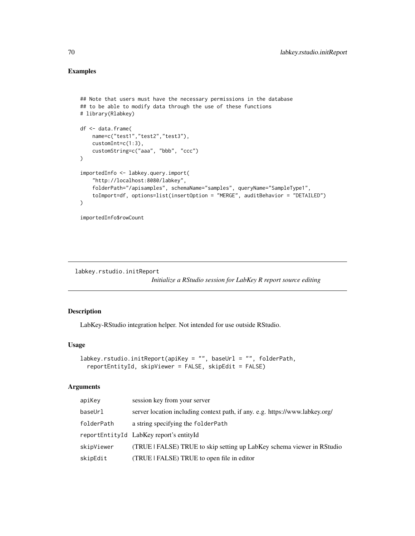# Examples

```
## Note that users must have the necessary permissions in the database
## to be able to modify data through the use of these functions
# library(Rlabkey)
df <- data.frame(
   name=c("test1","test2","test3"),
   customInt=c(1:3),
   customString=c("aaa", "bbb", "ccc")
)
importedInfo <- labkey.query.import(
    "http://localhost:8080/labkey",
    folderPath="/apisamples", schemaName="samples", queryName="SampleType1",
    toImport=df, options=list(insertOption = "MERGE", auditBehavior = "DETAILED")
)
```
importedInfo\$rowCount

labkey.rstudio.initReport

*Initialize a RStudio session for LabKey R report source editing*

### Description

LabKey-RStudio integration helper. Not intended for use outside RStudio.

### Usage

```
labkey.rstudio.initReport(apiKey = "", baseUrl = "", folderPath,
  reportEntityId, skipViewer = FALSE, skipEdit = FALSE)
```

| apiKey     | session key from your server                                                 |
|------------|------------------------------------------------------------------------------|
| baseUrl    | server location including context path, if any. e.g. https://www.labkey.org/ |
| folderPath | a string specifying the folderPath                                           |
|            | reportEntityId LabKey report's entityId                                      |
| skipViewer | (TRUE   FALSE) TRUE to skip setting up LabKey schema viewer in RStudio       |
| skipEdit   | (TRUE   FALSE) TRUE to open file in editor                                   |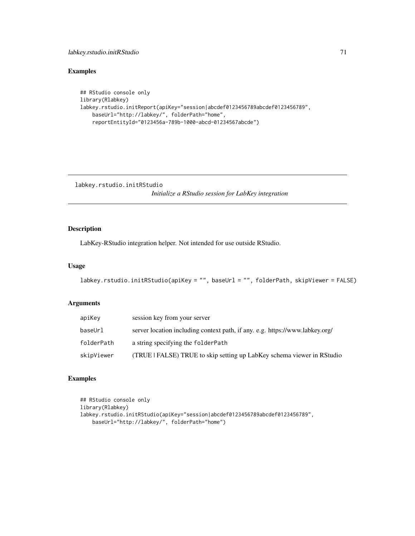# labkey.rstudio.initRStudio 71

# Examples

```
## RStudio console only
library(Rlabkey)
labkey.rstudio.initReport(apiKey="session|abcdef0123456789abcdef0123456789",
   baseUrl="http://labkey/", folderPath="home",
   reportEntityId="0123456a-789b-1000-abcd-01234567abcde")
```
labkey.rstudio.initRStudio *Initialize a RStudio session for LabKey integration*

# Description

LabKey-RStudio integration helper. Not intended for use outside RStudio.

#### Usage

```
labkey.rstudio.initRStudio(apiKey = "", baseUrl = "", folderPath, skipViewer = FALSE)
```
# Arguments

| apiKey     | session key from your server                                                 |
|------------|------------------------------------------------------------------------------|
| baseUrl    | server location including context path, if any. e.g. https://www.labkey.org/ |
| folderPath | a string specifying the folderPath                                           |
| skipViewer | (TRUE   FALSE) TRUE to skip setting up LabKey schema viewer in RStudio       |

# Examples

```
## RStudio console only
library(Rlabkey)
labkey.rstudio.initRStudio(apiKey="session|abcdef0123456789abcdef0123456789",
   baseUrl="http://labkey/", folderPath="home")
```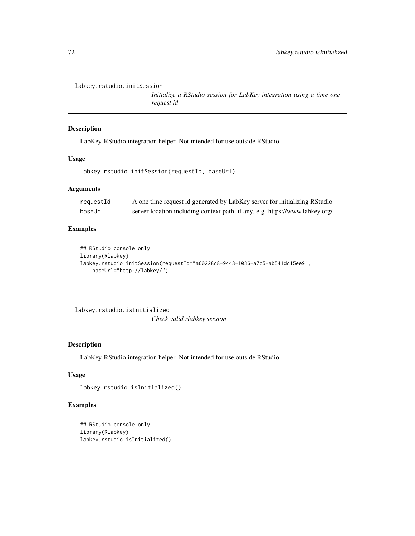```
labkey.rstudio.initSession
```
*Initialize a RStudio session for LabKey integration using a time one request id*

### Description

LabKey-RStudio integration helper. Not intended for use outside RStudio.

# Usage

```
labkey.rstudio.initSession(requestId, baseUrl)
```
### Arguments

| requestId | A one time request id generated by LabKey server for initializing RStudio    |
|-----------|------------------------------------------------------------------------------|
| baseUrl   | server location including context path, if any. e.g. https://www.labkey.org/ |

# Examples

```
## RStudio console only
library(Rlabkey)
labkey.rstudio.initSession(requestId="a60228c8-9448-1036-a7c5-ab541dc15ee9",
   baseUrl="http://labkey/")
```
labkey.rstudio.isInitialized

*Check valid rlabkey session*

## Description

LabKey-RStudio integration helper. Not intended for use outside RStudio.

# Usage

```
labkey.rstudio.isInitialized()
```
# Examples

```
## RStudio console only
library(Rlabkey)
labkey.rstudio.isInitialized()
```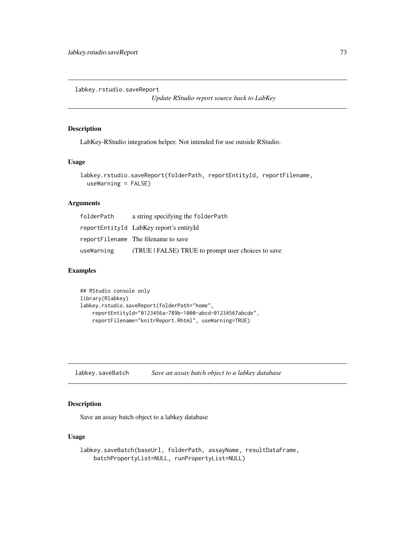labkey.rstudio.saveReport

*Update RStudio report source back to LabKey*

## Description

LabKey-RStudio integration helper. Not intended for use outside RStudio.

### Usage

```
labkey.rstudio.saveReport(folderPath, reportEntityId, reportFilename,
  useWarning = FALSE)
```
#### Arguments

| folderPath | a string specifying the folderPath               |
|------------|--------------------------------------------------|
|            | reportEntityId LabKey report's entityId          |
|            | reportFilename The filename to save              |
| useWarning | (TRUE FALSE) TRUE to prompt user choices to save |

# Examples

```
## RStudio console only
library(Rlabkey)
labkey.rstudio.saveReport(folderPath="home",
    reportEntityId="0123456a-789b-1000-abcd-01234567abcde",
    reportFilename="knitrReport.Rhtml", useWarning=TRUE)
```
labkey.saveBatch *Save an assay batch object to a labkey database*

## Description

Save an assay batch object to a labkey database

## Usage

```
labkey.saveBatch(baseUrl, folderPath, assayName, resultDataFrame,
   batchPropertyList=NULL, runPropertyList=NULL)
```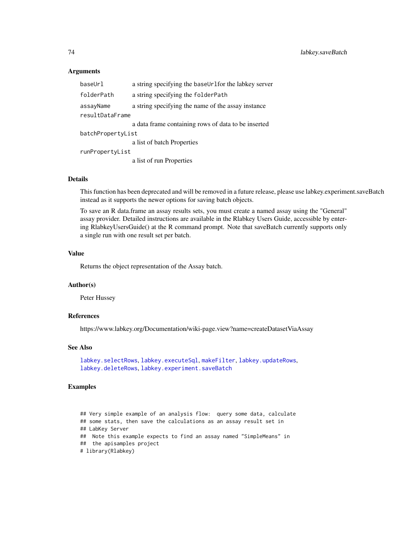### Arguments

| baseUrl           | a string specifying the baseUrlfor the labkey server |  |
|-------------------|------------------------------------------------------|--|
| folderPath        | a string specifying the folderPath                   |  |
| assayName         | a string specifying the name of the assay instance   |  |
| resultDataFrame   |                                                      |  |
|                   | a data frame containing rows of data to be inserted  |  |
| batchPropertyList |                                                      |  |
|                   | a list of batch Properties                           |  |
| runPropertyList   |                                                      |  |
|                   | a list of run Properties                             |  |

### Details

This function has been deprecated and will be removed in a future release, please use labkey.experiment.saveBatch instead as it supports the newer options for saving batch objects.

To save an R data.frame an assay results sets, you must create a named assay using the "General" assay provider. Detailed instructions are available in the Rlabkey Users Guide, accessible by entering RlabkeyUsersGuide() at the R command prompt. Note that saveBatch currently supports only a single run with one result set per batch.

#### Value

Returns the object representation of the Assay batch.

### Author(s)

Peter Hussey

### References

https://www.labkey.org/Documentation/wiki-page.view?name=createDatasetViaAssay

### See Also

```
labkey.selectRows, labkey.executeSql, makeFilter, labkey.updateRows,
labkey.deleteRowslabkey.experiment.saveBatch
```

```
## Very simple example of an analysis flow: query some data, calculate
## some stats, then save the calculations as an assay result set in
## LabKey Server
## Note this example expects to find an assay named "SimpleMeans" in
## the apisamples project
# library(Rlabkey)
```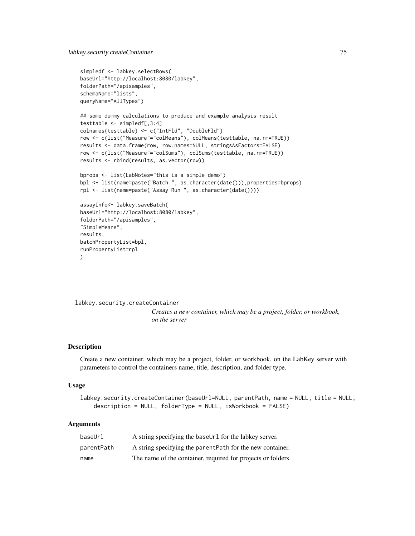```
simpledf <- labkey.selectRows(
baseUrl="http://localhost:8080/labkey",
folderPath="/apisamples",
schemaName="lists",
queryName="AllTypes")
## some dummy calculations to produce and example analysis result
testtable <- simpledf[,3:4]
colnames(testtable) <- c("IntFld", "DoubleFld")
row <- c(list("Measure"="colMeans"), colMeans(testtable, na.rm=TRUE))
results <- data.frame(row, row.names=NULL, stringsAsFactors=FALSE)
row <- c(list("Measure"="colSums"), colSums(testtable, na.rm=TRUE))
results <- rbind(results, as.vector(row))
bprops <- list(LabNotes="this is a simple demo")
bpl <- list(name=paste("Batch ", as.character(date())),properties=bprops)
rpl <- list(name=paste("Assay Run ", as.character(date())))
assayInfo<- labkey.saveBatch(
baseUrl="http://localhost:8080/labkey",
folderPath="/apisamples",
"SimpleMeans",
results,
batchPropertyList=bpl,
runPropertyList=rpl
)
```
<span id="page-74-0"></span>labkey.security.createContainer *Creates a new container, which may be a project, folder, or workbook, on the server*

### Description

Create a new container, which may be a project, folder, or workbook, on the LabKey server with parameters to control the containers name, title, description, and folder type.

#### Usage

```
labkey.security.createContainer(baseUrl=NULL, parentPath, name = NULL, title = NULL,
    description = NULL, folderType = NULL, isWorkbook = FALSE)
```
### Arguments

| baseUrl    | A string specifying the baseUr1 for the labkey server.       |
|------------|--------------------------------------------------------------|
| parentPath | A string specifying the parent Path for the new container.   |
| name       | The name of the container, required for projects or folders. |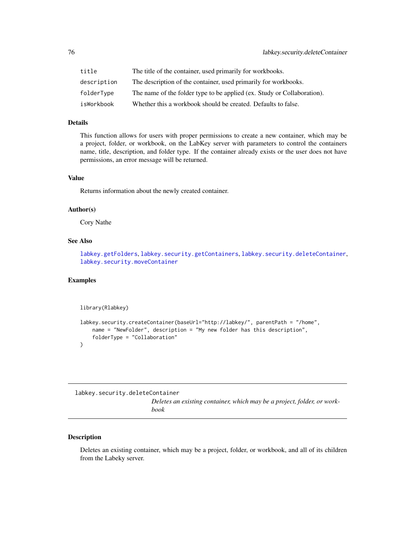| title       | The title of the container, used primarily for workbooks.               |
|-------------|-------------------------------------------------------------------------|
| description | The description of the container, used primarily for workbooks.         |
| folderType  | The name of the folder type to be applied (ex. Study or Collaboration). |
| isWorkbook  | Whether this a workbook should be created. Defaults to false.           |

## Details

This function allows for users with proper permissions to create a new container, which may be a project, folder, or workbook, on the LabKey server with parameters to control the containers name, title, description, and folder type. If the container already exists or the user does not have permissions, an error message will be returned.

## Value

Returns information about the newly created container.

## Author(s)

Cory Nathe

### See Also

[labkey.getFolders](#page-40-0), [labkey.security.getContainers](#page-76-0), [labkey.security.deleteContainer](#page-75-0), [labkey.security.moveContainer](#page-79-0)

### Examples

library(Rlabkey)

```
labkey.security.createContainer(baseUrl="http://labkey/", parentPath = "/home",
   name = "NewFolder", description = "My new folder has this description",
    folderType = "Collaboration"
)
```
<span id="page-75-0"></span>labkey.security.deleteContainer

*Deletes an existing container, which may be a project, folder, or workbook*

#### Description

Deletes an existing container, which may be a project, folder, or workbook, and all of its children from the Labeky server.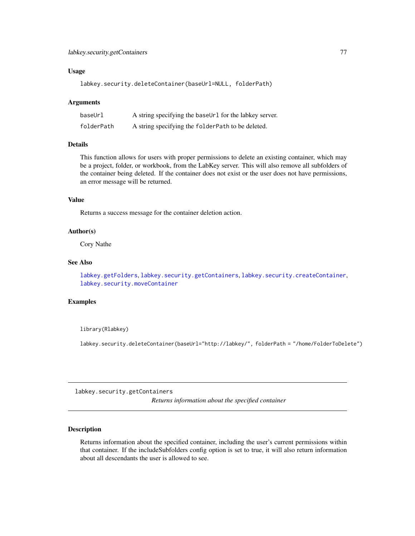### Usage

labkey.security.deleteContainer(baseUrl=NULL, folderPath)

#### Arguments

| baseUrl    | A string specifying the baseUr1 for the labkey server. |
|------------|--------------------------------------------------------|
| folderPath | A string specifying the folderPath to be deleted.      |

#### Details

This function allows for users with proper permissions to delete an existing container, which may be a project, folder, or workbook, from the LabKey server. This will also remove all subfolders of the container being deleted. If the container does not exist or the user does not have permissions, an error message will be returned.

#### Value

Returns a success message for the container deletion action.

## Author(s)

Cory Nathe

## See Also

[labkey.getFolders](#page-40-0), [labkey.security.getContainers](#page-76-0), [labkey.security.createContainer](#page-74-0), [labkey.security.moveContainer](#page-79-0)

### Examples

library(Rlabkey)

labkey.security.deleteContainer(baseUrl="http://labkey/", folderPath = "/home/FolderToDelete")

<span id="page-76-0"></span>labkey.security.getContainers

*Returns information about the specified container*

## Description

Returns information about the specified container, including the user's current permissions within that container. If the includeSubfolders config option is set to true, it will also return information about all descendants the user is allowed to see.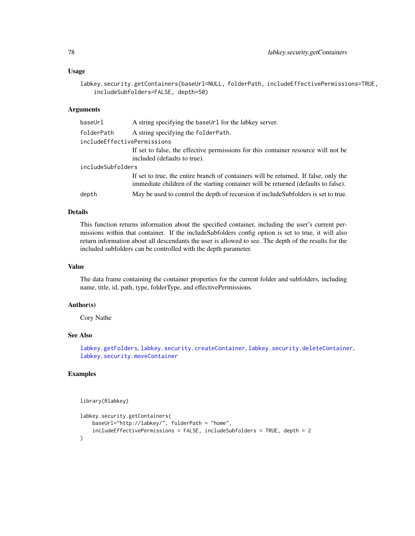#### Usage

```
labkey.security.getContainers(baseUrl=NULL, folderPath, includeEffectivePermissions=TRUE,
    includeSubfolders=FALSE, depth=50)
```
### Arguments

| baseUrl                     | A string specifying the baseUr1 for the labkey server.                                                                                                                     |  |
|-----------------------------|----------------------------------------------------------------------------------------------------------------------------------------------------------------------------|--|
| folderPath                  | A string specifying the folder Path.                                                                                                                                       |  |
| includeEffectivePermissions |                                                                                                                                                                            |  |
|                             | If set to false, the effective permissions for this container resource will not be<br>included (defaults to true).                                                         |  |
| includeSubfolders           |                                                                                                                                                                            |  |
|                             | If set to true, the entire branch of containers will be returned. If false, only the<br>immediate children of the starting container will be returned (defaults to false). |  |
| depth                       | May be used to control the depth of recursion if include Subfolders is set to true.                                                                                        |  |

## Details

This function returns information about the specified container, including the user's current permissions within that container. If the includeSubfolders config option is set to true, it will also return information about all descendants the user is allowed to see. The depth of the results for the included subfolders can be controlled with the depth parameter.

#### Value

The data frame containing the container properties for the current folder and subfolders, including name, title, id, path, type, folderType, and effectivePermissions.

## Author(s)

Cory Nathe

# See Also

[labkey.getFolders](#page-40-0), [labkey.security.createContainer](#page-74-0), [labkey.security.deleteContainer](#page-75-0), [labkey.security.moveContainer](#page-79-0)

```
library(Rlabkey)
```

```
labkey.security.getContainers(
   baseUrl="http://labkey/", folderPath = "home",
    includeEffectivePermissions = FALSE, includeSubfolders = TRUE, depth = 2
\mathcal{L}
```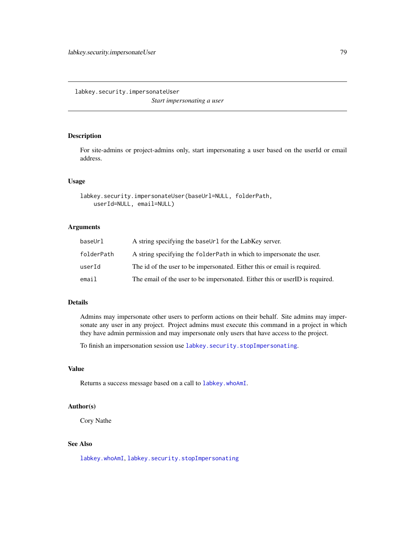<span id="page-78-0"></span>labkey.security.impersonateUser *Start impersonating a user*

### Description

For site-admins or project-admins only, start impersonating a user based on the userId or email address.

#### Usage

```
labkey.security.impersonateUser(baseUrl=NULL, folderPath,
   userId=NULL, email=NULL)
```
### Arguments

| baseUrl    | A string specifying the baseUr1 for the LabKey server.                       |
|------------|------------------------------------------------------------------------------|
| folderPath | A string specifying the folder Path in which to impersonate the user.        |
| userId     | The id of the user to be impersonated. Either this or email is required.     |
| email      | The email of the user to be impersonated. Either this or userID is required. |

### Details

Admins may impersonate other users to perform actions on their behalf. Site admins may impersonate any user in any project. Project admins must execute this command in a project in which they have admin permission and may impersonate only users that have access to the project.

To finish an impersonation session use [labkey.security.stopImpersonating](#page-80-0).

# Value

Returns a success message based on a call to [labkey.whoAmI](#page-104-0).

### Author(s)

Cory Nathe

# See Also

[labkey.whoAmI](#page-104-0), [labkey.security.stopImpersonating](#page-80-0)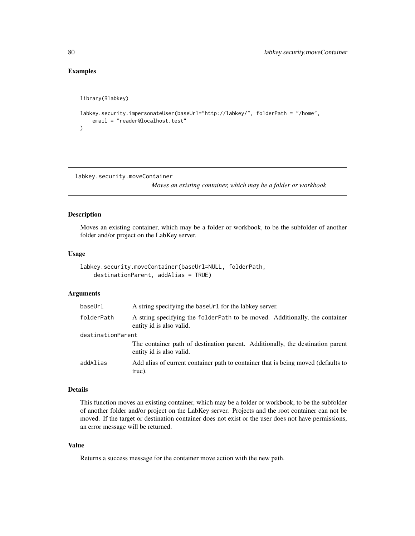# Examples

```
library(Rlabkey)
labkey.security.impersonateUser(baseUrl="http://labkey/", folderPath = "/home",
    email = "reader@localhost.test"
)
```
<span id="page-79-0"></span>labkey.security.moveContainer

*Moves an existing container, which may be a folder or workbook*

### Description

Moves an existing container, which may be a folder or workbook, to be the subfolder of another folder and/or project on the LabKey server.

#### Usage

```
labkey.security.moveContainer(baseUrl=NULL, folderPath,
   destinationParent, addAlias = TRUE)
```
## Arguments

| baseUrl           | A string specifying the baseUr1 for the labkey server.                                                     |
|-------------------|------------------------------------------------------------------------------------------------------------|
| folderPath        | A string specifying the folder Path to be moved. Additionally, the container<br>entity id is also valid.   |
| destinationParent |                                                                                                            |
|                   | The container path of destination parent. Additionally, the destination parent<br>entity id is also valid. |
| addAlias          | Add alias of current container path to container that is being moved (defaults to<br>true).                |

### Details

This function moves an existing container, which may be a folder or workbook, to be the subfolder of another folder and/or project on the LabKey server. Projects and the root container can not be moved. If the target or destination container does not exist or the user does not have permissions, an error message will be returned.

# Value

Returns a success message for the container move action with the new path.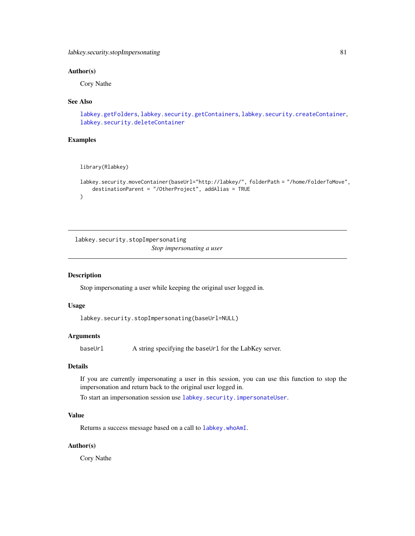# Author(s)

Cory Nathe

#### See Also

```
labkey.getFolders, labkey.security.getContainers, labkey.security.createContainer,
labkey.security.deleteContainer
```
### Examples

```
library(Rlabkey)
```

```
labkey.security.moveContainer(baseUrl="http://labkey/", folderPath = "/home/FolderToMove",
    destinationParent = "/OtherProject", addAlias = TRUE
\mathcal{L}
```
<span id="page-80-0"></span>labkey.security.stopImpersonating *Stop impersonating a user*

### Description

Stop impersonating a user while keeping the original user logged in.

### Usage

labkey.security.stopImpersonating(baseUrl=NULL)

#### Arguments

baseUrl A string specifying the baseUrl for the LabKey server.

#### Details

If you are currently impersonating a user in this session, you can use this function to stop the impersonation and return back to the original user logged in.

To start an impersonation session use [labkey.security.impersonateUser](#page-78-0).

## Value

Returns a success message based on a call to [labkey.whoAmI](#page-104-0).

#### Author(s)

Cory Nathe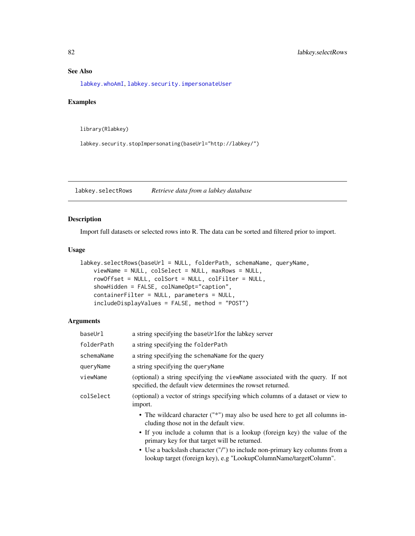# See Also

[labkey.whoAmI](#page-104-0), [labkey.security.impersonateUser](#page-78-0)

### Examples

library(Rlabkey)

labkey.security.stopImpersonating(baseUrl="http://labkey/")

<span id="page-81-0"></span>labkey.selectRows *Retrieve data from a labkey database*

### Description

Import full datasets or selected rows into R. The data can be sorted and filtered prior to import.

### Usage

```
labkey.selectRows(baseUrl = NULL, folderPath, schemaName, queryName,
   viewName = NULL, colSelect = NULL, maxRows = NULL,
   rowOffset = NULL, colSort = NULL, colFilter = NULL,
   showHidden = FALSE, colNameOpt="caption",
   containerFilter = NULL, parameters = NULL,
    includeDisplayValues = FALSE, method = "POST")
```
### Arguments

| a string specifying the baseUrlfor the labkey server                                                                                             |
|--------------------------------------------------------------------------------------------------------------------------------------------------|
| a string specifying the folderPath                                                                                                               |
| a string specifying the schemaName for the query                                                                                                 |
| a string specifying the query Name                                                                                                               |
| (optional) a string specifying the viewName associated with the query. If not<br>specified, the default view determines the rowset returned.     |
| (optional) a vector of strings specifying which columns of a dataset or view to<br>import.                                                       |
| • The wildcard character ("*") may also be used here to get all columns in-<br>cluding those not in the default view.                            |
| • If you include a column that is a lookup (foreign key) the value of the<br>primary key for that target will be returned.                       |
| • Use a backslash character ("/") to include non-primary key columns from a<br>lookup target (foreign key), e.g "LookupColumnName/targetColumn". |
|                                                                                                                                                  |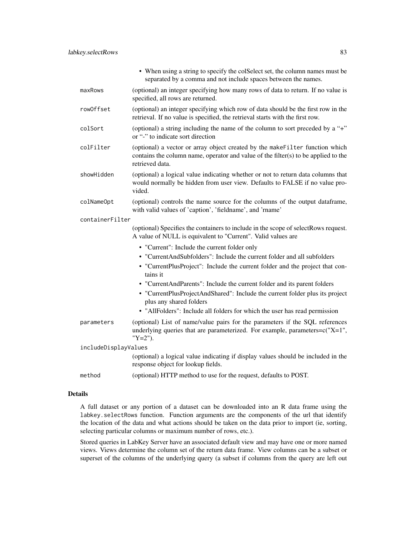|                      | • When using a string to specify the colSelect set, the column names must be<br>separated by a comma and not include spaces between the names.                                        |
|----------------------|---------------------------------------------------------------------------------------------------------------------------------------------------------------------------------------|
| maxRows              | (optional) an integer specifying how many rows of data to return. If no value is<br>specified, all rows are returned.                                                                 |
| rowOffset            | (optional) an integer specifying which row of data should be the first row in the<br>retrieval. If no value is specified, the retrieval starts with the first row.                    |
| colSort              | (optional) a string including the name of the column to sort preceded by a "+"<br>or "-" to indicate sort direction                                                                   |
| colFilter            | (optional) a vector or array object created by the makeFilter function which<br>contains the column name, operator and value of the filter(s) to be applied to the<br>retrieved data. |
| showHidden           | (optional) a logical value indicating whether or not to return data columns that<br>would normally be hidden from user view. Defaults to FALSE if no value pro-<br>vided.             |
| colNameOpt           | (optional) controls the name source for the columns of the output dataframe,<br>with valid values of 'caption', 'fieldname', and 'rname'                                              |
| containerFilter      |                                                                                                                                                                                       |
|                      | (optional) Specifies the containers to include in the scope of selectRows request.<br>A value of NULL is equivalent to "Current". Valid values are                                    |
|                      | • "Current": Include the current folder only                                                                                                                                          |
|                      | • "CurrentAndSubfolders": Include the current folder and all subfolders                                                                                                               |
|                      | • "CurrentPlusProject": Include the current folder and the project that con-<br>tains it                                                                                              |
|                      | • "CurrentAndParents": Include the current folder and its parent folders                                                                                                              |
|                      | • "CurrentPlusProjectAndShared": Include the current folder plus its project<br>plus any shared folders                                                                               |
|                      | • "AllFolders": Include all folders for which the user has read permission                                                                                                            |
| parameters           | (optional) List of name/value pairs for the parameters if the SQL references<br>underlying queries that are parameterized. For example, parameters=c("X=1",<br>" $Y=2$ ").            |
| includeDisplayValues |                                                                                                                                                                                       |
|                      | (optional) a logical value indicating if display values should be included in the<br>response object for lookup fields.                                                               |
| method               | (optional) HTTP method to use for the request, defaults to POST.                                                                                                                      |

## Details

A full dataset or any portion of a dataset can be downloaded into an R data frame using the labkey.selectRows function. Function arguments are the components of the url that identify the location of the data and what actions should be taken on the data prior to import (ie, sorting, selecting particular columns or maximum number of rows, etc.).

Stored queries in LabKey Server have an associated default view and may have one or more named views. Views determine the column set of the return data frame. View columns can be a subset or superset of the columns of the underlying query (a subset if columns from the query are left out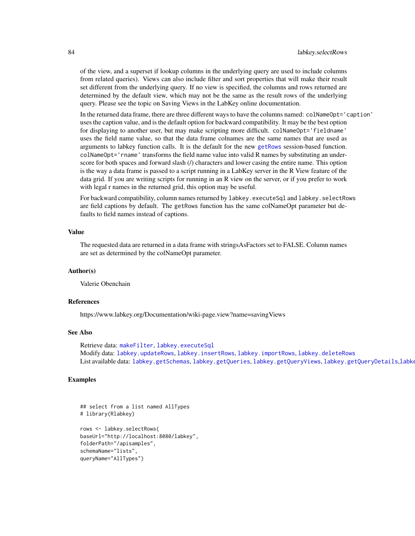of the view, and a superset if lookup columns in the underlying query are used to include columns from related queries). Views can also include filter and sort properties that will make their result set different from the underlying query. If no view is specified, the columns and rows returned are determined by the default view, which may not be the same as the result rows of the underlying query. Please see the topic on Saving Views in the LabKey online documentation.

In the returned data frame, there are three different ways to have the columns named: colNameOpt='caption' uses the caption value, and is the default option for backward compatibility. It may be the best option for displaying to another user, but may make scripting more difficult. colNameOpt='fieldname' uses the field name value, so that the data frame colnames are the same names that are used as arguments to labkey function calls. It is the default for the new [getRows](#page-6-0) session-based function. colNameOpt='rname' transforms the field name value into valid R names by substituting an underscore for both spaces and forward slash (/) characters and lower casing the entire name. This option is the way a data frame is passed to a script running in a LabKey server in the R View feature of the data grid. If you are writing scripts for running in an R view on the server, or if you prefer to work with legal r names in the returned grid, this option may be useful.

For backward compatibility, column names returned by labkey. executeSql and labkey. selectRows are field captions by default. The getRows function has the same colNameOpt parameter but defaults to field names instead of captions.

#### Value

The requested data are returned in a data frame with stringsAsFactors set to FALSE. Column names are set as determined by the colNameOpt parameter.

### Author(s)

Valerie Obenchain

#### References

https://www.labkey.org/Documentation/wiki-page.view?name=savingViews

### See Also

Retrieve data: [makeFilter](#page-108-0), [labkey.executeSql](#page-28-0) Modify data: [labkey.updateRows](#page-91-0), [labkey.insertRows](#page-52-0), [labkey.importRows](#page-51-0), [labkey.deleteRows](#page-11-0) List available data: [labkey.getSchemas](#page-50-0), [labkey.getQueries](#page-44-0), [labkey.getQueryViews](#page-47-0), [labkey.getQueryDetails](#page-45-0),[labkey.getDefaultViewDetails](#page-39-0),[labkey.getLookupDetails](#page-41-0),

### Examples

## select from a list named AllTypes # library(Rlabkey) rows <- labkey.selectRows( baseUrl="http://localhost:8080/labkey", folderPath="/apisamples", schemaName="lists", queryName="AllTypes")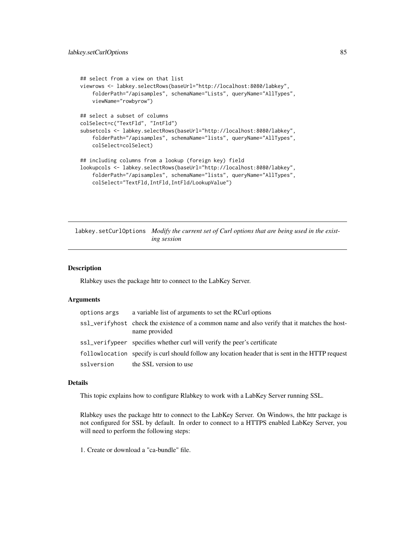```
## select from a view on that list
viewrows <- labkey.selectRows(baseUrl="http://localhost:8080/labkey",
    folderPath="/apisamples", schemaName="Lists", queryName="AllTypes",
   viewName="rowbyrow")
## select a subset of columns
colSelect=c("TextFld", "IntFld")
subsetcols <- labkey.selectRows(baseUrl="http://localhost:8080/labkey",
    folderPath="/apisamples", schemaName="lists", queryName="AllTypes",
   colSelect=colSelect)
## including columns from a lookup (foreign key) field
lookupcols <- labkey.selectRows(baseUrl="http://localhost:8080/labkey",
    folderPath="/apisamples", schemaName="lists", queryName="AllTypes",
    colSelect="TextFld,IntFld,IntFld/LookupValue")
```
labkey.setCurlOptions *Modify the current set of Curl options that are being used in the existing session*

#### Description

Rlabkey uses the package httr to connect to the LabKey Server.

#### Arguments

| options args | a variable list of arguments to set the RCurl options                                                          |
|--------------|----------------------------------------------------------------------------------------------------------------|
|              | ss1_verifyhost check the existence of a common name and also verify that it matches the host-<br>name provided |
|              | ss1_verifypeer specifies whether curl will verify the peer's certificate                                       |
|              | followlocation specify is curl should follow any location header that is sent in the HTTP request              |
| sslversion   | the SSL version to use                                                                                         |

## Details

This topic explains how to configure Rlabkey to work with a LabKey Server running SSL.

Rlabkey uses the package httr to connect to the LabKey Server. On Windows, the httr package is not configured for SSL by default. In order to connect to a HTTPS enabled LabKey Server, you will need to perform the following steps:

1. Create or download a "ca-bundle" file.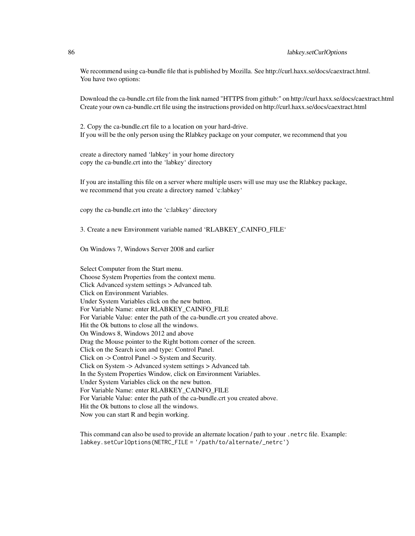We recommend using ca-bundle file that is published by Mozilla. See http://curl.haxx.se/docs/caextract.html. You have two options:

Download the ca-bundle.crt file from the link named "HTTPS from github:" on http://curl.haxx.se/docs/caextract.html Create your own ca-bundle.crt file using the instructions provided on http://curl.haxx.se/docs/caextract.html

2. Copy the ca-bundle.crt file to a location on your hard-drive. If you will be the only person using the Rlabkey package on your computer, we recommend that you

create a directory named 'labkey' in your home directory copy the ca-bundle.crt into the 'labkey' directory

If you are installing this file on a server where multiple users will use may use the Rlabkey package, we recommend that you create a directory named 'c:labkey'

copy the ca-bundle.crt into the 'c:labkey' directory

3. Create a new Environment variable named 'RLABKEY\_CAINFO\_FILE'

On Windows 7, Windows Server 2008 and earlier

Select Computer from the Start menu. Choose System Properties from the context menu. Click Advanced system settings > Advanced tab. Click on Environment Variables. Under System Variables click on the new button. For Variable Name: enter RLABKEY\_CAINFO\_FILE For Variable Value: enter the path of the ca-bundle.crt you created above. Hit the Ok buttons to close all the windows. On Windows 8, Windows 2012 and above Drag the Mouse pointer to the Right bottom corner of the screen. Click on the Search icon and type: Control Panel. Click on -> Control Panel -> System and Security. Click on System -> Advanced system settings > Advanced tab. In the System Properties Window, click on Environment Variables. Under System Variables click on the new button. For Variable Name: enter RLABKEY\_CAINFO\_FILE For Variable Value: enter the path of the ca-bundle.crt you created above. Hit the Ok buttons to close all the windows. Now you can start R and begin working.

This command can also be used to provide an alternate location / path to your .netrc file. Example: labkey.setCurlOptions(NETRC\_FILE = '/path/to/alternate/\_netrc')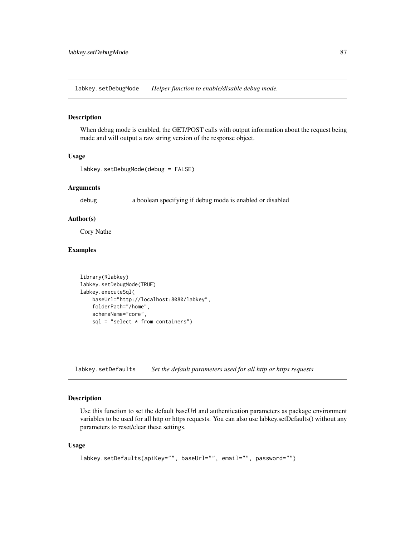labkey.setDebugMode *Helper function to enable/disable debug mode.*

#### Description

When debug mode is enabled, the GET/POST calls with output information about the request being made and will output a raw string version of the response object.

#### Usage

```
labkey.setDebugMode(debug = FALSE)
```
#### Arguments

debug a boolean specifying if debug mode is enabled or disabled

#### Author(s)

Cory Nathe

### Examples

```
library(Rlabkey)
labkey.setDebugMode(TRUE)
labkey.executeSql(
   baseUrl="http://localhost:8080/labkey",
   folderPath="/home",
    schemaName="core",
    sql = "select * from containers")
```
labkey.setDefaults *Set the default parameters used for all http or https requests*

# Description

Use this function to set the default baseUrl and authentication parameters as package environment variables to be used for all http or https requests. You can also use labkey.setDefaults() without any parameters to reset/clear these settings.

#### Usage

```
labkey.setDefaults(apiKey="", baseUrl="", email="", password="")
```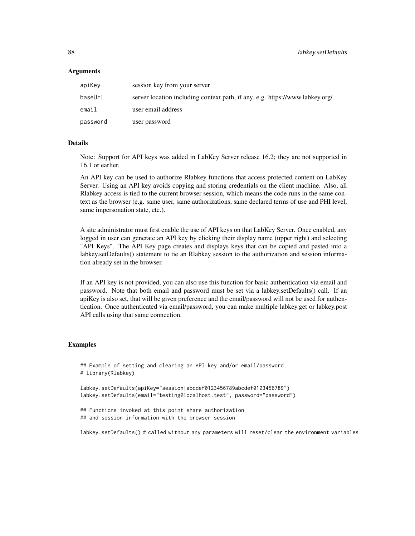#### Arguments

| apiKey   | session key from your server                                                 |
|----------|------------------------------------------------------------------------------|
| baseUrl  | server location including context path, if any. e.g. https://www.labkey.org/ |
| email    | user email address                                                           |
| password | user password                                                                |

#### Details

Note: Support for API keys was added in LabKey Server release 16.2; they are not supported in 16.1 or earlier.

An API key can be used to authorize Rlabkey functions that access protected content on LabKey Server. Using an API key avoids copying and storing credentials on the client machine. Also, all Rlabkey access is tied to the current browser session, which means the code runs in the same context as the browser (e.g. same user, same authorizations, same declared terms of use and PHI level, same impersonation state, etc.).

A site administrator must first enable the use of API keys on that LabKey Server. Once enabled, any logged in user can generate an API key by clicking their display name (upper right) and selecting "API Keys". The API Key page creates and displays keys that can be copied and pasted into a labkey.setDefaults() statement to tie an Rlabkey session to the authorization and session information already set in the browser.

If an API key is not provided, you can also use this function for basic authentication via email and password. Note that both email and password must be set via a labkey.setDefaults() call. If an apiKey is also set, that will be given preference and the email/password will not be used for authentication. Once authenticated via email/password, you can make multiple labkey.get or labkey.post API calls using that same connection.

### Examples

```
## Example of setting and clearing an API key and/or email/password.
# library(Rlabkey)
```

```
labkey.setDefaults(apiKey="session|abcdef0123456789abcdef0123456789")
labkey.setDefaults(email="testing@localhost.test", password="password")
```

```
## Functions invoked at this point share authorization
## and session information with the browser session
```
labkey.setDefaults() # called without any parameters will reset/clear the environment variables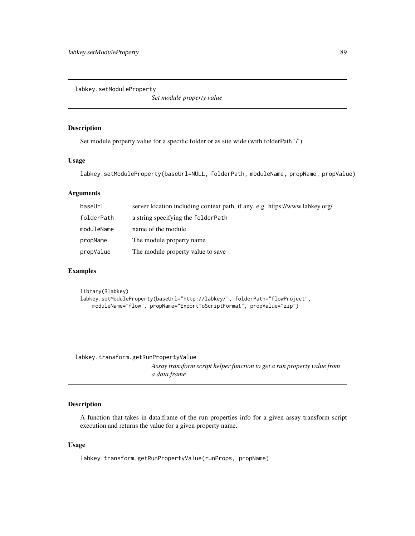labkey.setModuleProperty

*Set module property value*

#### Description

Set module property value for a specific folder or as site wide (with folderPath '/')

#### Usage

```
labkey.setModuleProperty(baseUrl=NULL, folderPath, moduleName, propName, propValue)
```
# Arguments

| baseUrl    | server location including context path, if any. e.g. https://www.labkey.org/ |
|------------|------------------------------------------------------------------------------|
| folderPath | a string specifying the folderPath                                           |
| moduleName | name of the module                                                           |
| propName   | The module property name.                                                    |
| propValue  | The module property value to save                                            |

## Examples

```
library(Rlabkey)
labkey.setModuleProperty(baseUrl="http://labkey/", folderPath="flowProject",
    moduleName="flow", propName="ExportToScriptFormat", propValue="zip")
```
labkey.transform.getRunPropertyValue *Assay transform script helper function to get a run property value from a data.frame*

## Description

A function that takes in data.frame of the run properties info for a given assay transform script execution and returns the value for a given property name.

#### Usage

labkey.transform.getRunPropertyValue(runProps, propName)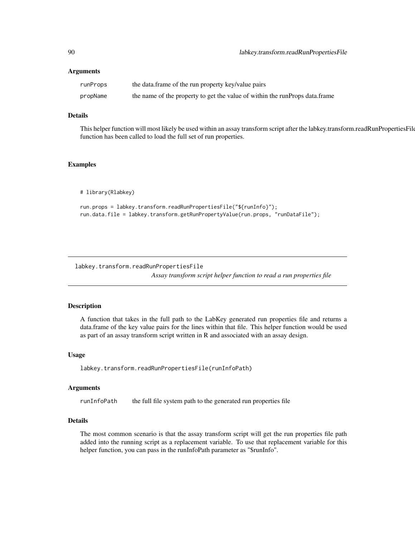### Arguments

| runProps | the data.frame of the run property key/value pairs                          |
|----------|-----------------------------------------------------------------------------|
| propName | the name of the property to get the value of within the runProps data.frame |

## Details

This helper function will most likely be used within an assay transform script after the labkey.transform.readRunPropertiesFile function has been called to load the full set of run properties.

### Examples

# library(Rlabkey)

run.props = labkey.transform.readRunPropertiesFile("\${runInfo}"); run.data.file = labkey.transform.getRunPropertyValue(run.props, "runDataFile");

labkey.transform.readRunPropertiesFile

*Assay transform script helper function to read a run properties file*

## Description

A function that takes in the full path to the LabKey generated run properties file and returns a data.frame of the key value pairs for the lines within that file. This helper function would be used as part of an assay transform script written in R and associated with an assay design.

#### Usage

labkey.transform.readRunPropertiesFile(runInfoPath)

#### Arguments

runInfoPath the full file system path to the generated run properties file

## Details

The most common scenario is that the assay transform script will get the run properties file path added into the running script as a replacement variable. To use that replacement variable for this helper function, you can pass in the runInfoPath parameter as "\$runInfo".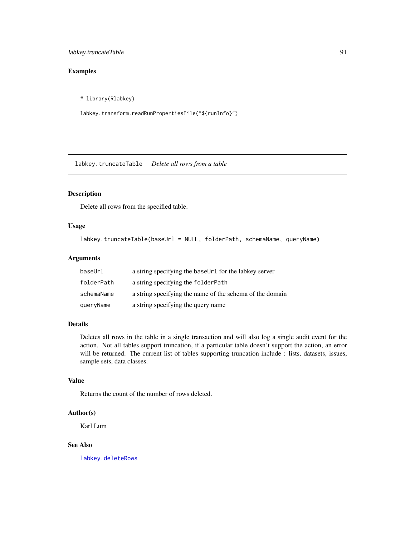## labkey.truncateTable 91

# Examples

# library(Rlabkey)

labkey.transform.readRunPropertiesFile("\${runInfo}")

labkey.truncateTable *Delete all rows from a table*

# Description

Delete all rows from the specified table.

### Usage

labkey.truncateTable(baseUrl = NULL, folderPath, schemaName, queryName)

## Arguments

| baseUrl    | a string specifying the baseUr1 for the labkey server    |
|------------|----------------------------------------------------------|
| folderPath | a string specifying the folderPath                       |
| schemaName | a string specifying the name of the schema of the domain |
| queryName  | a string specifying the query name                       |

#### Details

Deletes all rows in the table in a single transaction and will also log a single audit event for the action. Not all tables support truncation, if a particular table doesn't support the action, an error will be returned. The current list of tables supporting truncation include : lists, datasets, issues, sample sets, data classes.

#### Value

Returns the count of the number of rows deleted.

### Author(s)

Karl Lum

### See Also

[labkey.deleteRows](#page-11-0)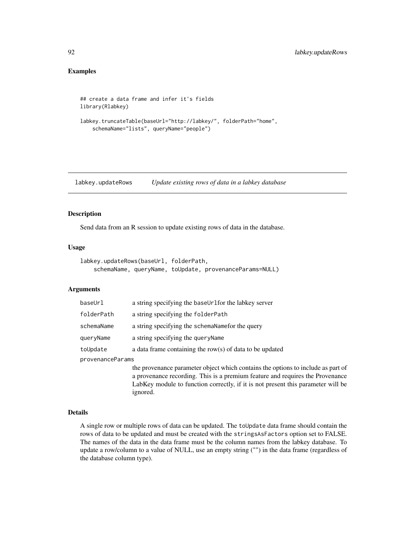## Examples

```
## create a data frame and infer it's fields
library(Rlabkey)
labkey.truncateTable(baseUrl="http://labkey/", folderPath="home",
    schemaName="lists", queryName="people")
```
<span id="page-91-0"></span>labkey.updateRows *Update existing rows of data in a labkey database*

### Description

Send data from an R session to update existing rows of data in the database.

#### Usage

```
labkey.updateRows(baseUrl, folderPath,
    schemaName, queryName, toUpdate, provenanceParams=NULL)
```
ignored.

#### Arguments

| baseUrl          | a string specifying the baseUrlfor the labkey server                                                                                                              |  |
|------------------|-------------------------------------------------------------------------------------------------------------------------------------------------------------------|--|
| folderPath       | a string specifying the folderPath                                                                                                                                |  |
| schemaName       | a string specifying the schemaNamefor the query                                                                                                                   |  |
| queryName        | a string specifying the query Name                                                                                                                                |  |
| toUpdate         | a data frame containing the row(s) of data to be updated                                                                                                          |  |
| provenanceParams |                                                                                                                                                                   |  |
|                  | the provenance parameter object which contains the options to include as part of<br>a provenance recording. This is a premium feature and requires the Provenance |  |

Details

A single row or multiple rows of data can be updated. The toUpdate data frame should contain the rows of data to be updated and must be created with the stringsAsFactors option set to FALSE. The names of the data in the data frame must be the column names from the labkey database. To update a row/column to a value of NULL, use an empty string ("") in the data frame (regardless of the database column type).

LabKey module to function correctly, if it is not present this parameter will be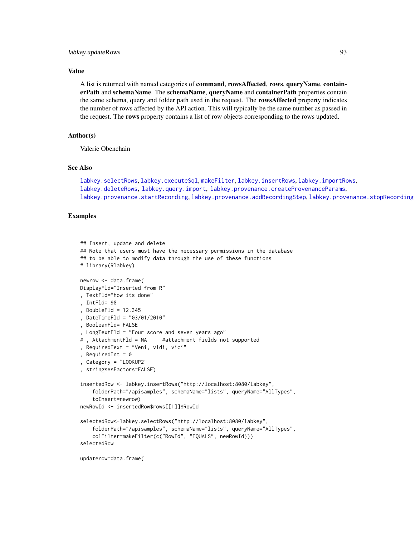### Value

A list is returned with named categories of command, rowsAffected, rows, queryName, containerPath and schemaName. The schemaName, queryName and containerPath properties contain the same schema, query and folder path used in the request. The rowsAffected property indicates the number of rows affected by the API action. This will typically be the same number as passed in the request. The rows property contains a list of row objects corresponding to the rows updated.

### Author(s)

Valerie Obenchain

#### See Also

```
labkey.selectRows, labkey.executeSql, makeFilter, labkey.insertRows, labkey.importRows,
labkey.deleteRows, labkey.query.import, labkey.provenance.createProvenanceParams,
labkey.provenance.startRecordinglabkey.provenance.addRecordingSteplabkey.provenance.stopRecording
```
### Examples

```
## Insert, update and delete
## Note that users must have the necessary permissions in the database
## to be able to modify data through the use of these functions
# library(Rlabkey)
newrow <- data.frame(
DisplayFld="Inserted from R"
, TextFld="how its done"
, IntFld= 98
, DoubleFld = 12.345
, DateTimeFld = "03/01/2010"
, BooleanFld= FALSE
, LongTextFld = "Four score and seven years ago"
# , AttachmentFld = NA #attachment fields not supported
, RequiredText = "Veni, vidi, vici"
, RequiredInt = \theta, Category = "LOOKUP2"
, stringsAsFactors=FALSE)
insertedRow <- labkey.insertRows("http://localhost:8080/labkey",
    folderPath="/apisamples", schemaName="lists", queryName="AllTypes",
    toInsert=newrow)
newRowId <- insertedRow$rows[[1]]$RowId
selectedRow<-labkey.selectRows("http://localhost:8080/labkey",
    folderPath="/apisamples", schemaName="lists", queryName="AllTypes",
    colFilter=makeFilter(c("RowId", "EQUALS", newRowId)))
selectedRow
```
updaterow=data.frame(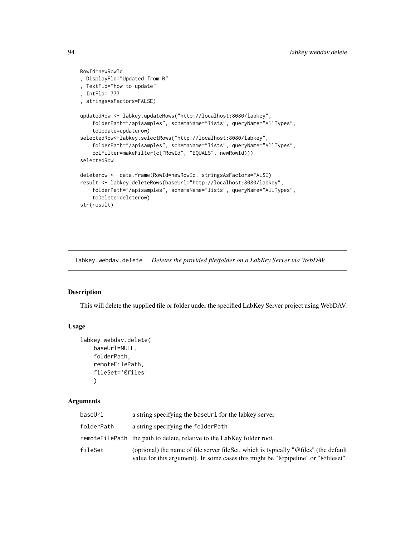```
RowId=newRowId
, DisplayFld="Updated from R"
, TextFld="how to update"
, IntFld= 777
, stringsAsFactors=FALSE)
updatedRow <- labkey.updateRows("http://localhost:8080/labkey",
    folderPath="/apisamples", schemaName="lists", queryName="AllTypes",
    toUpdate=updaterow)
selectedRow<-labkey.selectRows("http://localhost:8080/labkey",
    folderPath="/apisamples", schemaName="lists", queryName="AllTypes",
    colFilter=makeFilter(c("RowId", "EQUALS", newRowId)))
selectedRow
deleterow <- data.frame(RowId=newRowId, stringsAsFactors=FALSE)
result <- labkey.deleteRows(baseUrl="http://localhost:8080/labkey",
    folderPath="/apisamples", schemaName="lists", queryName="AllTypes",
    toDelete=deleterow)
str(result)
```
<span id="page-93-0"></span>labkey.webdav.delete *Deletes the provided file/folder on a LabKey Server via WebDAV*

#### Description

This will delete the supplied file or folder under the specified LabKey Server project using WebDAV.

#### Usage

```
labkey.webdav.delete(
   baseUrl=NULL,
    folderPath,
    remoteFilePath,
    fileSet='@files'
    )
```
#### Arguments

| baseUrl    | a string specifying the baseUrl for the labkey server                                                                                                                     |
|------------|---------------------------------------------------------------------------------------------------------------------------------------------------------------------------|
| folderPath | a string specifying the folder Path                                                                                                                                       |
|            | remote File Path the path to delete, relative to the Lab Key folder root.                                                                                                 |
| fileSet    | (optional) the name of file server file Set, which is typically "@files" (the default<br>value for this argument). In some cases this might be "@pipeline" or "@fileset". |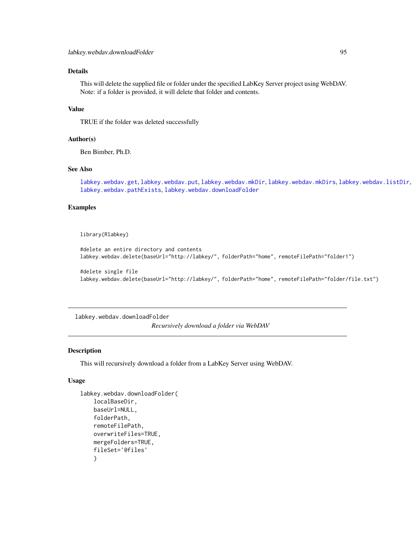## Details

This will delete the supplied file or folder under the specified LabKey Server project using WebDAV. Note: if a folder is provided, it will delete that folder and contents.

### Value

TRUE if the folder was deleted successfully

#### Author(s)

Ben Bimber, Ph.D.

#### See Also

[labkey.webdav.get](#page-96-0), [labkey.webdav.put](#page-102-0), [labkey.webdav.mkDir](#page-99-0), [labkey.webdav.mkDirs](#page-100-0), [labkey.webdav.listDir](#page-97-0), [labkey.webdav.pathExists](#page-101-0), [labkey.webdav.downloadFolder](#page-94-0)

### Examples

library(Rlabkey)

```
#delete an entire directory and contents
labkey.webdav.delete(baseUrl="http://labkey/", folderPath="home", remoteFilePath="folder1")
```

```
#delete single file
labkey.webdav.delete(baseUrl="http://labkey/", folderPath="home", remoteFilePath="folder/file.txt")
```
<span id="page-94-0"></span>labkey.webdav.downloadFolder *Recursively download a folder via WebDAV*

# Description

This will recursively download a folder from a LabKey Server using WebDAV.

#### Usage

```
labkey.webdav.downloadFolder(
    localBaseDir,
    baseUrl=NULL,
    folderPath,
    remoteFilePath,
    overwriteFiles=TRUE,
    mergeFolders=TRUE,
    fileSet='@files'
    \mathcal{L}
```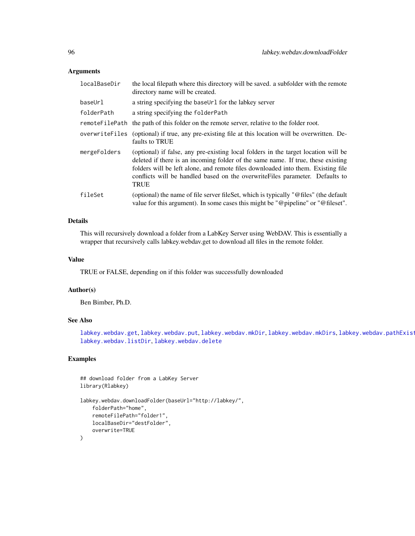### Arguments

| localBaseDir | the local filepath where this directory will be saved, a subfolder with the remote<br>directory name will be created.                                                                                                                                                                                                                                      |
|--------------|------------------------------------------------------------------------------------------------------------------------------------------------------------------------------------------------------------------------------------------------------------------------------------------------------------------------------------------------------------|
| baseUrl      | a string specifying the baseUrl for the labkey server                                                                                                                                                                                                                                                                                                      |
| folderPath   | a string specifying the folderPath                                                                                                                                                                                                                                                                                                                         |
|              | remote FilePath the path of this folder on the remote server, relative to the folder root.                                                                                                                                                                                                                                                                 |
|              | overwrite Files (optional) if true, any pre-existing file at this location will be overwritten. De-<br>faults to TRUE                                                                                                                                                                                                                                      |
| mergeFolders | (optional) if false, any pre-existing local folders in the target location will be<br>deleted if there is an incoming folder of the same name. If true, these existing<br>folders will be left alone, and remote files downloaded into them. Existing file<br>conflicts will be handled based on the overwrite Files parameter. Defaults to<br><b>TRUE</b> |
| fileSet      | (optional) the name of file server file Set, which is typically "@files" (the default<br>value for this argument). In some cases this might be "@pipeline" or "@fileset".                                                                                                                                                                                  |

# Details

This will recursively download a folder from a LabKey Server using WebDAV. This is essentially a wrapper that recursively calls labkey.webdav.get to download all files in the remote folder.

#### Value

TRUE or FALSE, depending on if this folder was successfully downloaded

### Author(s)

Ben Bimber, Ph.D.

## See Also

[labkey.webdav.get](#page-96-0), [labkey.webdav.put](#page-102-0), [labkey.webdav.mkDir](#page-99-0), [labkey.webdav.mkDirs](#page-100-0), labkey.webdav.pathExist [labkey.webdav.listDir](#page-97-0), [labkey.webdav.delete](#page-93-0)

```
## download folder from a LabKey Server
library(Rlabkey)
```

```
labkey.webdav.downloadFolder(baseUrl="http://labkey/",
    folderPath="home",
    remoteFilePath="folder1",
    localBaseDir="destFolder",
    overwrite=TRUE
\mathcal{L}
```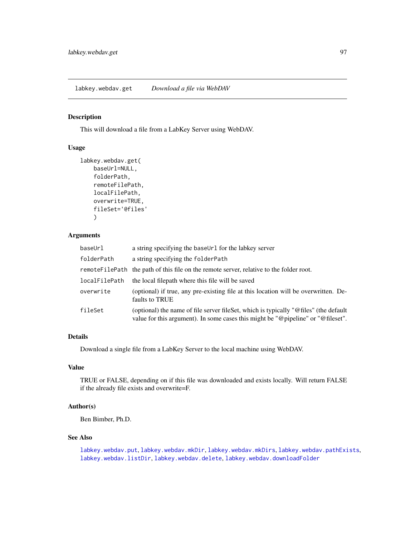#### <span id="page-96-0"></span>Description

This will download a file from a LabKey Server using WebDAV.

### Usage

```
labkey.webdav.get(
   baseUrl=NULL,
    folderPath,
    remoteFilePath,
    localFilePath,
    overwrite=TRUE,
    fileSet='@files'
    )
```
# Arguments

| baseUrl       | a string specifying the baseUr1 for the labkey server                                                                                                                     |
|---------------|---------------------------------------------------------------------------------------------------------------------------------------------------------------------------|
| folderPath    | a string specifying the folderPath                                                                                                                                        |
|               | remote File Path the path of this file on the remote server, relative to the folder root.                                                                                 |
| localFilePath | the local filepath where this file will be saved                                                                                                                          |
| overwrite     | (optional) if true, any pre-existing file at this location will be overwritten. De-<br>faults to TRUE                                                                     |
| fileSet       | (optional) the name of file server file Set, which is typically "@files" (the default<br>value for this argument). In some cases this might be "@pipeline" or "@fileset". |

## Details

Download a single file from a LabKey Server to the local machine using WebDAV.

### Value

TRUE or FALSE, depending on if this file was downloaded and exists locally. Will return FALSE if the already file exists and overwrite=F.

# Author(s)

Ben Bimber, Ph.D.

#### See Also

[labkey.webdav.put](#page-102-0), [labkey.webdav.mkDir](#page-99-0), [labkey.webdav.mkDirs](#page-100-0), [labkey.webdav.pathExists](#page-101-0), [labkey.webdav.listDir](#page-97-0), [labkey.webdav.delete](#page-93-0), [labkey.webdav.downloadFolder](#page-94-0)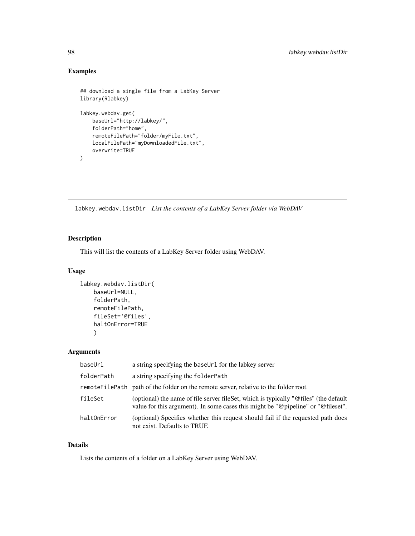# Examples

```
## download a single file from a LabKey Server
library(Rlabkey)
labkey.webdav.get(
   baseUrl="http://labkey/",
   folderPath="home",
   remoteFilePath="folder/myFile.txt",
   localFilePath="myDownloadedFile.txt",
   overwrite=TRUE
)
```
<span id="page-97-0"></span>labkey.webdav.listDir *List the contents of a LabKey Server folder via WebDAV*

# Description

This will list the contents of a LabKey Server folder using WebDAV.

### Usage

```
labkey.webdav.listDir(
    baseUrl=NULL,
    folderPath,
    remoteFilePath,
    fileSet='@files',
    haltOnError=TRUE
    )
```
#### Arguments

| baseUrl     | a string specifying the baseUrl for the labkey server                                                                                                                    |
|-------------|--------------------------------------------------------------------------------------------------------------------------------------------------------------------------|
| folderPath  | a string specifying the folderPath                                                                                                                                       |
|             | remote File Path path of the folder on the remote server, relative to the folder root.                                                                                   |
| fileSet     | (optional) the name of file server fileSet, which is typically "@files" (the default<br>value for this argument). In some cases this might be "@pipeline" or "@fileset". |
| haltOnError | (optional) Specifies whether this request should fail if the requested path does<br>not exist. Defaults to TRUE                                                          |

## Details

Lists the contents of a folder on a LabKey Server using WebDAV.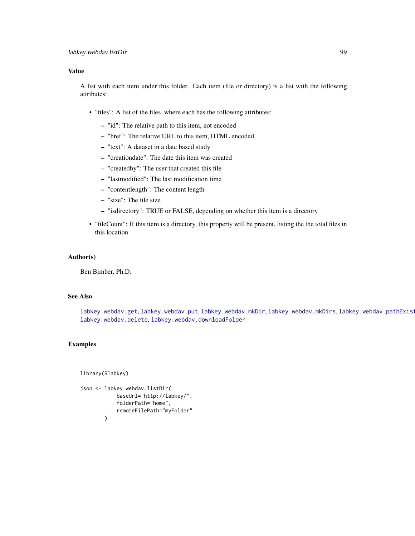### Value

A list with each item under this folder. Each item (file or directory) is a list with the following attributes:

- "files": A list of the files, where each has the following attributes:
	- "id": The relative path to this item, not encoded
	- "href": The relative URL to this item, HTML encoded
	- "text": A dataset in a date based study
	- "creationdate": The date this item was created
	- "createdby": The user that created this file
	- "lastmodified": The last modification time
	- "contentlength": The content length
	- "size": The file size
	- "isdirectory": TRUE or FALSE, depending on whether this item is a directory
- "fileCount": If this item is a directory, this property will be present, listing the the total files in this location

#### Author(s)

Ben Bimber, Ph.D.

### See Also

[labkey.webdav.get](#page-96-0), [labkey.webdav.put](#page-102-0), [labkey.webdav.mkDir](#page-99-0), [labkey.webdav.mkDirs](#page-100-0), labkey.webdav.pathExist [labkey.webdav.delete](#page-93-0), [labkey.webdav.downloadFolder](#page-94-0)

#### Examples

library(Rlabkey)

```
json <- labkey.webdav.listDir(
            baseUrl="http://labkey/",
            folderPath="home",
            remoteFilePath="myFolder"
        \lambda
```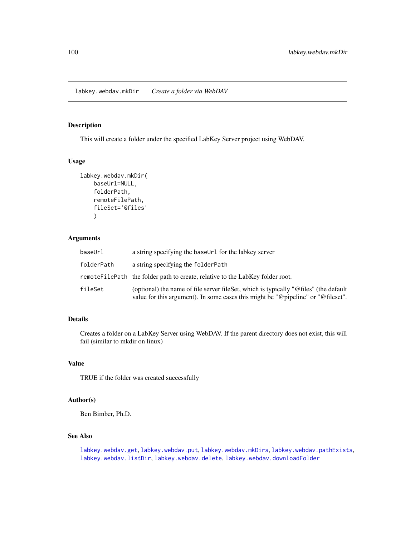<span id="page-99-0"></span>labkey.webdav.mkDir *Create a folder via WebDAV*

# Description

This will create a folder under the specified LabKey Server project using WebDAV.

## Usage

```
labkey.webdav.mkDir(
    baseUrl=NULL,
    folderPath,
    remoteFilePath,
    fileSet='@files'
    \mathcal{L}
```
## Arguments

| baseUrl    | a string specifying the baseUr1 for the labkey server                                                                                                                         |
|------------|-------------------------------------------------------------------------------------------------------------------------------------------------------------------------------|
| folderPath | a string specifying the folder Path                                                                                                                                           |
|            | remote File Path the folder path to create, relative to the Lab Key folder root.                                                                                              |
| fileSet    | (optional) the name of file server file Set, which is typically " $@$ files" (the default<br>value for this argument). In some cases this might be "@pipeline" or "@fileset". |

# Details

Creates a folder on a LabKey Server using WebDAV. If the parent directory does not exist, this will fail (similar to mkdir on linux)

## Value

TRUE if the folder was created successfully

### Author(s)

Ben Bimber, Ph.D.

## See Also

[labkey.webdav.get](#page-96-0), [labkey.webdav.put](#page-102-0), [labkey.webdav.mkDirs](#page-100-0), [labkey.webdav.pathExists](#page-101-0), [labkey.webdav.listDir](#page-97-0), [labkey.webdav.delete](#page-93-0), [labkey.webdav.downloadFolder](#page-94-0)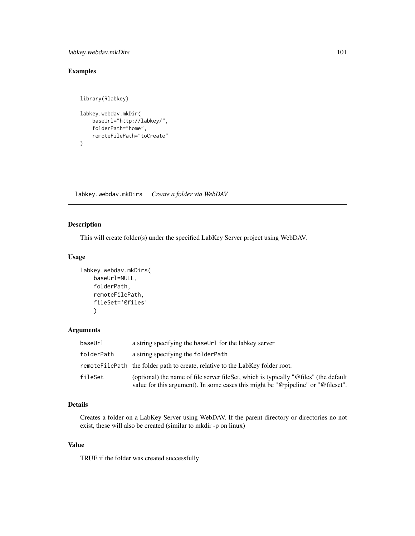## labkey.webdav.mkDirs 101

# Examples

```
library(Rlabkey)
labkey.webdav.mkDir(
   baseUrl="http://labkey/",
   folderPath="home",
   remoteFilePath="toCreate"
)
```
<span id="page-100-0"></span>labkey.webdav.mkDirs *Create a folder via WebDAV*

## Description

This will create folder(s) under the specified LabKey Server project using WebDAV.

## Usage

```
labkey.webdav.mkDirs(
   baseUrl=NULL,
    folderPath,
    remoteFilePath,
    fileSet='@files'
    )
```
# Arguments

| baseUrl    | a string specifying the baseUrl for the labkey server                                                                                                                         |
|------------|-------------------------------------------------------------------------------------------------------------------------------------------------------------------------------|
| folderPath | a string specifying the folder Path                                                                                                                                           |
|            | remoteFilePath the folder path to create, relative to the LabKey folder root.                                                                                                 |
| fileSet    | (optional) the name of file server file Set, which is typically " $@$ files" (the default<br>value for this argument). In some cases this might be "@pipeline" or "@fileset". |

## Details

Creates a folder on a LabKey Server using WebDAV. If the parent directory or directories no not exist, these will also be created (similar to mkdir -p on linux)

#### Value

TRUE if the folder was created successfully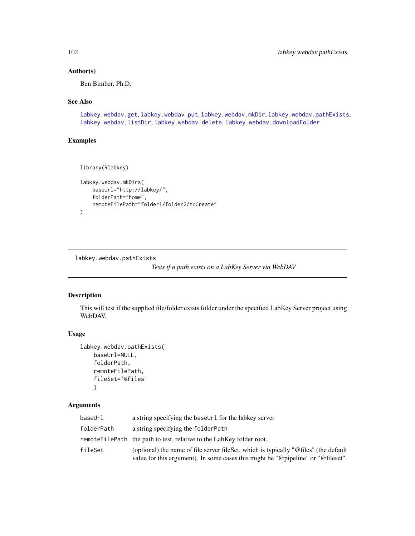## Author(s)

Ben Bimber, Ph.D.

### See Also

[labkey.webdav.get](#page-96-0), [labkey.webdav.put](#page-102-0), [labkey.webdav.mkDir](#page-99-0), [labkey.webdav.pathExists](#page-101-0), [labkey.webdav.listDir](#page-97-0), [labkey.webdav.delete](#page-93-0), [labkey.webdav.downloadFolder](#page-94-0)

## Examples

```
library(Rlabkey)
```

```
labkey.webdav.mkDirs(
    baseUrl="http://labkey/",
    folderPath="home",
    remoteFilePath="folder1/folder2/toCreate"
\mathcal{L}
```
<span id="page-101-0"></span>labkey.webdav.pathExists

*Tests if a path exists on a LabKey Server via WebDAV*

## Description

This will test if the supplied file/folder exists folder under the specified LabKey Server project using WebDAV.

### Usage

```
labkey.webdav.pathExists(
    baseUrl=NULL,
    folderPath,
    remoteFilePath,
    fileSet='@files'
    \mathcal{L}
```
### Arguments

| baseUrl    | a string specifying the baseUr1 for the labkey server                                                                                                                    |
|------------|--------------------------------------------------------------------------------------------------------------------------------------------------------------------------|
| folderPath | a string specifying the folder Path                                                                                                                                      |
|            | remote FilePath the path to test, relative to the LabKey folder root.                                                                                                    |
| fileSet    | (optional) the name of file server fileSet, which is typically "@files" (the default<br>value for this argument). In some cases this might be "@pipeline" or "@fileset". |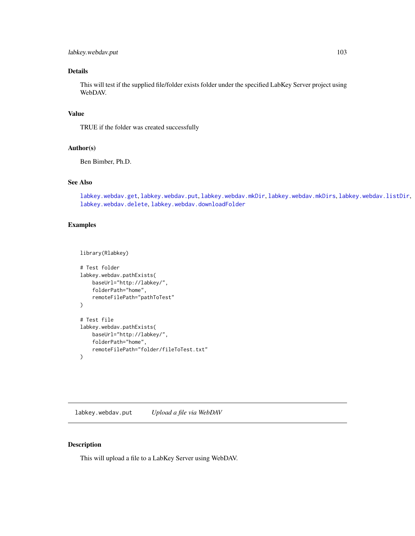## labkey.webdav.put 103

## Details

This will test if the supplied file/folder exists folder under the specified LabKey Server project using WebDAV.

## Value

TRUE if the folder was created successfully

# Author(s)

Ben Bimber, Ph.D.

# See Also

[labkey.webdav.get](#page-96-0), [labkey.webdav.put](#page-102-0), [labkey.webdav.mkDir](#page-99-0), [labkey.webdav.mkDirs](#page-100-0), [labkey.webdav.listDir](#page-97-0), [labkey.webdav.delete](#page-93-0), [labkey.webdav.downloadFolder](#page-94-0)

#### Examples

```
library(Rlabkey)
```

```
# Test folder
labkey.webdav.pathExists(
   baseUrl="http://labkey/",
    folderPath="home",
    remoteFilePath="pathToTest"
)
# Test file
labkey.webdav.pathExists(
   baseUrl="http://labkey/",
   folderPath="home",
   remoteFilePath="folder/fileToTest.txt"
)
```
<span id="page-102-0"></span>labkey.webdav.put *Upload a file via WebDAV*

#### Description

This will upload a file to a LabKey Server using WebDAV.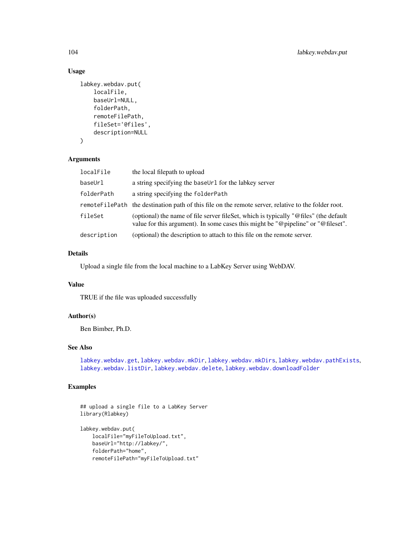# Usage

```
labkey.webdav.put(
    localFile,
    baseUrl=NULL,
    folderPath,
    remoteFilePath,
    fileSet='@files',
    description=NULL
\mathcal{L}
```
### Arguments

| localFile   | the local filepath to upload                                                                                                                                                  |
|-------------|-------------------------------------------------------------------------------------------------------------------------------------------------------------------------------|
| baseUrl     | a string specifying the baseUr1 for the labkey server                                                                                                                         |
| folderPath  | a string specifying the folderPath                                                                                                                                            |
|             | remote FilePath the destination path of this file on the remote server, relative to the folder root.                                                                          |
| fileSet     | (optional) the name of file server file Set, which is typically " $@$ files" (the default<br>value for this argument). In some cases this might be "@pipeline" or "@fileset". |
| description | (optional) the description to attach to this file on the remote server.                                                                                                       |

## Details

Upload a single file from the local machine to a LabKey Server using WebDAV.

# Value

TRUE if the file was uploaded successfully

# Author(s)

Ben Bimber, Ph.D.

# See Also

[labkey.webdav.get](#page-96-0), [labkey.webdav.mkDir](#page-99-0), [labkey.webdav.mkDirs](#page-100-0), [labkey.webdav.pathExists](#page-101-0), [labkey.webdav.listDir](#page-97-0), [labkey.webdav.delete](#page-93-0), [labkey.webdav.downloadFolder](#page-94-0)

```
## upload a single file to a LabKey Server
library(Rlabkey)
labkey.webdav.put(
   localFile="myFileToUpload.txt",
   baseUrl="http://labkey/",
   folderPath="home",
   remoteFilePath="myFileToUpload.txt"
```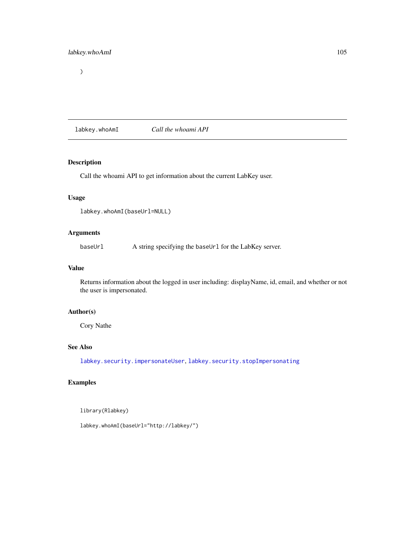# $\overline{\phantom{a}}$

<span id="page-104-0"></span>labkey.whoAmI *Call the whoami API*

## Description

Call the whoami API to get information about the current LabKey user.

# Usage

```
labkey.whoAmI(baseUrl=NULL)
```
# Arguments

baseUrl A string specifying the baseUrl for the LabKey server.

## Value

Returns information about the logged in user including: displayName, id, email, and whether or not the user is impersonated.

# Author(s)

Cory Nathe

### See Also

[labkey.security.impersonateUser](#page-78-0), [labkey.security.stopImpersonating](#page-80-0)

# Examples

library(Rlabkey)

labkey.whoAmI(baseUrl="http://labkey/")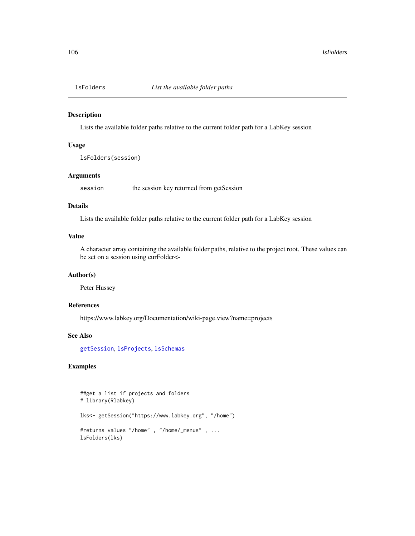<span id="page-105-0"></span>

#### Description

Lists the available folder paths relative to the current folder path for a LabKey session

## Usage

lsFolders(session)

## Arguments

session the session key returned from getSession

### Details

Lists the available folder paths relative to the current folder path for a LabKey session

## Value

A character array containing the available folder paths, relative to the project root. These values can be set on a session using curFolder<-

## Author(s)

Peter Hussey

## References

https://www.labkey.org/Documentation/wiki-page.view?name=projects

### See Also

[getSession](#page-9-0), [lsProjects](#page-106-0), [lsSchemas](#page-107-0)

```
##get a list if projects and folders
# library(Rlabkey)
lks<- getSession("https://www.labkey.org", "/home")
#returns values "/home" , "/home/_menus" , ...
lsFolders(lks)
```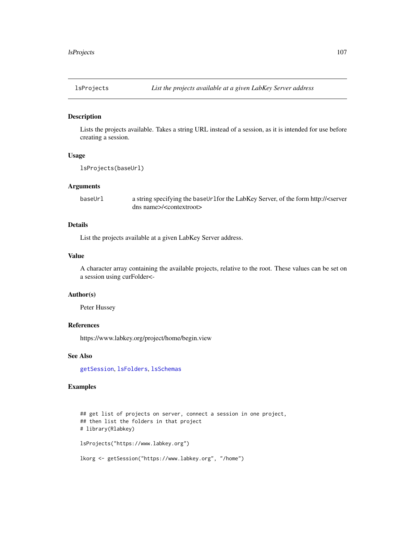<span id="page-106-0"></span>

### Description

Lists the projects available. Takes a string URL instead of a session, as it is intended for use before creating a session.

## Usage

lsProjects(baseUrl)

## Arguments

baseUrl a string specifying the baseUrlfor the LabKey Server, of the form http://<server dns name>/<contextroot>

#### Details

List the projects available at a given LabKey Server address.

#### Value

A character array containing the available projects, relative to the root. These values can be set on a session using curFolder<-

#### Author(s)

Peter Hussey

#### References

https://www.labkey.org/project/home/begin.view

## See Also

[getSession](#page-9-0), [lsFolders](#page-105-0), [lsSchemas](#page-107-0)

```
## get list of projects on server, connect a session in one project,
## then list the folders in that project
# library(Rlabkey)
lsProjects("https://www.labkey.org")
lkorg <- getSession("https://www.labkey.org", "/home")
```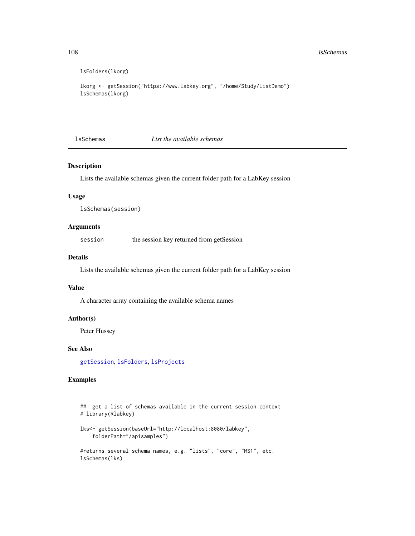```
lsFolders(lkorg)
```

```
lkorg <- getSession("https://www.labkey.org", "/home/Study/ListDemo")
lsSchemas(lkorg)
```
<span id="page-107-0"></span>lsSchemas *List the available schemas*

### Description

Lists the available schemas given the current folder path for a LabKey session

### Usage

lsSchemas(session)

# Arguments

session the session key returned from getSession

### Details

Lists the available schemas given the current folder path for a LabKey session

### Value

A character array containing the available schema names

## Author(s)

Peter Hussey

lsSchemas(lks)

### See Also

[getSession](#page-9-0), [lsFolders](#page-105-0), [lsProjects](#page-106-0)

```
## get a list of schemas available in the current session context
# library(Rlabkey)
lks<- getSession(baseUrl="http://localhost:8080/labkey",
    folderPath="/apisamples")
#returns several schema names, e.g. "lists", "core", "MS1", etc.
```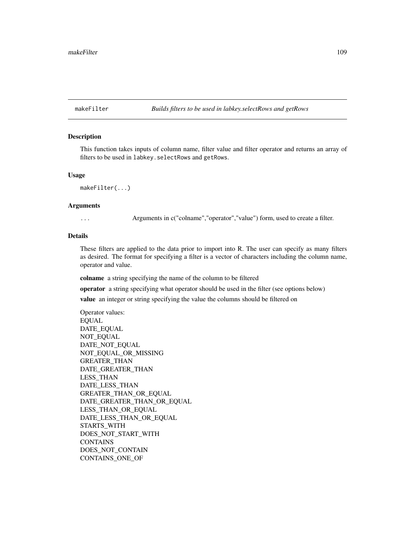<span id="page-108-0"></span>makeFilter *Builds filters to be used in labkey.selectRows and getRows*

## Description

This function takes inputs of column name, filter value and filter operator and returns an array of filters to be used in labkey.selectRows and getRows.

#### Usage

makeFilter(...)

#### Arguments

... Arguments in c("colname","operator","value") form, used to create a filter.

## Details

These filters are applied to the data prior to import into R. The user can specify as many filters as desired. The format for specifying a filter is a vector of characters including the column name, operator and value.

colname a string specifying the name of the column to be filtered

operator a string specifying what operator should be used in the filter (see options below)

value an integer or string specifying the value the columns should be filtered on

Operator values: EQUAL DATE\_EQUAL NOT\_EQUAL DATE\_NOT\_EQUAL NOT\_EQUAL\_OR\_MISSING GREATER\_THAN DATE\_GREATER\_THAN LESS\_THAN DATE\_LESS\_THAN GREATER\_THAN\_OR\_EQUAL DATE\_GREATER\_THAN\_OR\_EQUAL LESS\_THAN\_OR\_EQUAL DATE\_LESS\_THAN\_OR\_EQUAL STARTS\_WITH DOES\_NOT\_START\_WITH **CONTAINS** DOES\_NOT\_CONTAIN CONTAINS\_ONE\_OF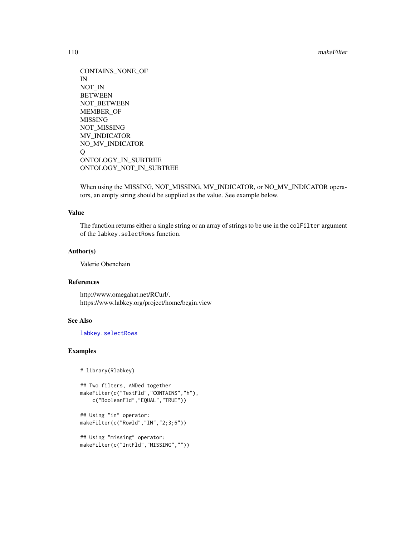<span id="page-109-0"></span>110 makeFilter

```
CONTAINS_NONE_OF
IN
NOT_IN
BETWEEN
NOT_BETWEEN
MEMBER_OF
MISSING
NOT_MISSING
MV_INDICATOR
NO_MV_INDICATOR
Q
ONTOLOGY_IN_SUBTREE
ONTOLOGY_NOT_IN_SUBTREE
```
When using the MISSING, NOT\_MISSING, MV\_INDICATOR, or NO\_MV\_INDICATOR operators, an empty string should be supplied as the value. See example below.

## Value

The function returns either a single string or an array of strings to be use in the colFilter argument of the labkey.selectRows function.

#### Author(s)

Valerie Obenchain

## References

http://www.omegahat.net/RCurl/, https://www.labkey.org/project/home/begin.view

## See Also

[labkey.selectRows](#page-81-0)

## Examples

```
# library(Rlabkey)
```

```
## Two filters, ANDed together
makeFilter(c("TextFld","CONTAINS","h"),
   c("BooleanFld","EQUAL","TRUE"))
## Using "in" operator:
```

```
makeFilter(c("RowId","IN","2;3;6"))
```

```
## Using "missing" operator:
makeFilter(c("IntFld","MISSING",""))
```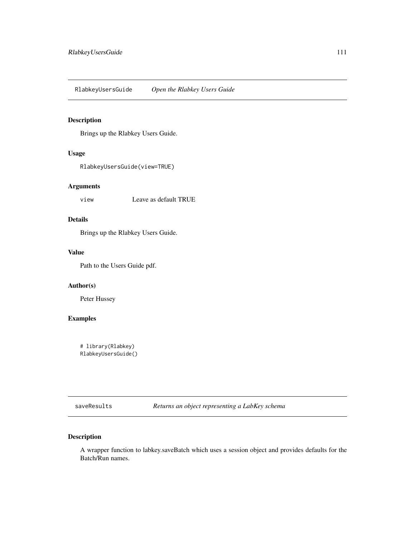<span id="page-110-0"></span>RlabkeyUsersGuide *Open the Rlabkey Users Guide*

## Description

Brings up the Rlabkey Users Guide.

## Usage

RlabkeyUsersGuide(view=TRUE)

# Arguments

view Leave as default TRUE

# Details

Brings up the Rlabkey Users Guide.

## Value

Path to the Users Guide pdf.

## Author(s)

Peter Hussey

## Examples

# library(Rlabkey) RlabkeyUsersGuide()

saveResults *Returns an object representing a LabKey schema*

## Description

A wrapper function to labkey.saveBatch which uses a session object and provides defaults for the Batch/Run names.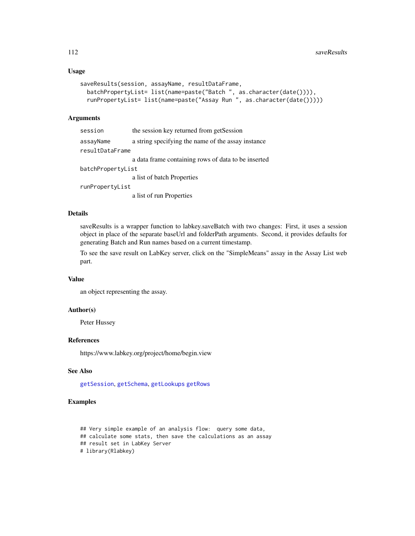## <span id="page-111-0"></span>Usage

```
saveResults(session, assayName, resultDataFrame,
 batchPropertyList= list(name=paste("Batch ", as.character(date()))),
  runPropertyList= list(name=paste("Assay Run ", as.character(date()))))
```
#### Arguments

| session           | the session key returned from getSession            |
|-------------------|-----------------------------------------------------|
| assayName         | a string specifying the name of the assay instance  |
| resultDataFrame   |                                                     |
|                   | a data frame containing rows of data to be inserted |
| batchPropertyList |                                                     |
|                   | a list of batch Properties                          |
| runPropertyList   |                                                     |
|                   | a list of run Properties                            |

## Details

saveResults is a wrapper function to labkey.saveBatch with two changes: First, it uses a session object in place of the separate baseUrl and folderPath arguments. Second, it provides defaults for generating Batch and Run names based on a current timestamp.

To see the save result on LabKey server, click on the "SimpleMeans" assay in the Assay List web part.

## Value

an object representing the assay.

## Author(s)

Peter Hussey

## References

https://www.labkey.org/project/home/begin.view

## See Also

[getSession](#page-9-0), [getSchema](#page-7-0), [getLookups](#page-5-0) [getRows](#page-6-0)

## Examples

```
## Very simple example of an analysis flow: query some data,
## calculate some stats, then save the calculations as an assay
## result set in LabKey Server
# library(Rlabkey)
```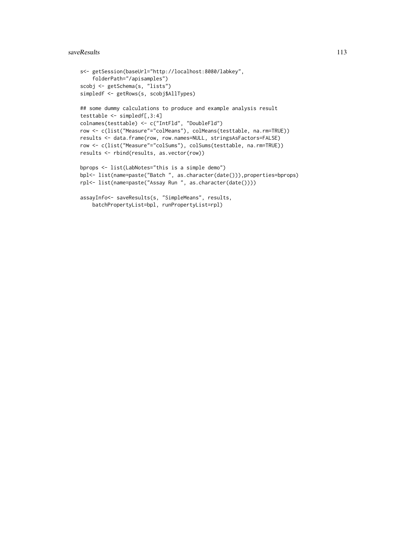#### saveResults 113

```
s<- getSession(baseUrl="http://localhost:8080/labkey",
    folderPath="/apisamples")
scobj <- getSchema(s, "lists")
simpledf <- getRows(s, scobj$AllTypes)
## some dummy calculations to produce and example analysis result
testtable <- simpledf[,3:4]
colnames(testtable) <- c("IntFld", "DoubleFld")
row <- c(list("Measure"="colMeans"), colMeans(testtable, na.rm=TRUE))
results <- data.frame(row, row.names=NULL, stringsAsFactors=FALSE)
row <- c(list("Measure"="colSums"), colSums(testtable, na.rm=TRUE))
results <- rbind(results, as.vector(row))
bprops <- list(LabNotes="this is a simple demo")
bpl<- list(name=paste("Batch ", as.character(date())),properties=bprops)
rpl<- list(name=paste("Assay Run ", as.character(date())))
assayInfo<- saveResults(s, "SimpleMeans", results,
   batchPropertyList=bpl, runPropertyList=rpl)
```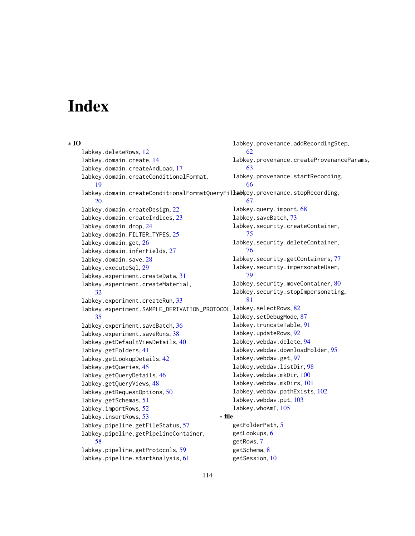# **Index**

#### ∗ IO

labkey.deleteRows, [12](#page-11-0) labkey.domain.create, [14](#page-13-0) labkey.domain.createAndLoad, [17](#page-16-0) labkey.domain.createConditionalFormat, [19](#page-18-0) labkey.domain.createConditionalFormatQueryFil**leb**ķey.provenance.stopRecording, [20](#page-19-0) labkey.domain.createDesign, [22](#page-21-0) labkey.domain.createIndices, [23](#page-22-0) labkey.domain.drop, [24](#page-23-0) labkey.domain.FILTER\_TYPES, [25](#page-24-0) labkey.domain.get, [26](#page-25-0) labkey.domain.inferFields, [27](#page-26-0) labkey.domain.save, [28](#page-27-0) labkey.executeSql, [29](#page-28-0) labkey.experiment.createData, [31](#page-30-0) labkey.experiment.createMaterial, [32](#page-31-0) labkey.experiment.createRun, [33](#page-32-0) labkey.experiment.SAMPLE\_DERIVATION\_PROTOCOL, labkey.selectRows, [82](#page-81-1) [35](#page-34-0) labkey.experiment.saveBatch, [36](#page-35-0) labkey.experiment.saveRuns, [38](#page-37-0) labkey.getDefaultViewDetails, [40](#page-39-0) labkey.getFolders, [41](#page-40-0) labkey.getLookupDetails, [42](#page-41-0) labkey.getQueries, [45](#page-44-0) labkey.getQueryDetails, [46](#page-45-0) labkey.getQueryViews, [48](#page-47-0) labkey.getRequestOptions, [50](#page-49-0) labkey.getSchemas, [51](#page-50-0) labkey.importRows, [52](#page-51-0) labkey.insertRows, [53](#page-52-0) labkey.pipeline.getFileStatus, [57](#page-56-0) labkey.pipeline.getPipelineContainer, [58](#page-57-0) labkey.pipeline.getProtocols, [59](#page-58-0) labkey.pipeline.startAnalysis, [61](#page-60-0) labkey.provenance.addRecordingStep, [62](#page-61-0) labkey.provenance.createProvenanceParams, [63](#page-62-0) labkey.provenance.startRecording, [66](#page-65-0) [67](#page-66-0) labkey.query.import, [68](#page-67-0) labkey.saveBatch, [73](#page-72-0) labkey.security.createContainer, [75](#page-74-0) labkey.security.deleteContainer, [76](#page-75-0) labkey.security.getContainers, [77](#page-76-0) labkey.security.impersonateUser, [79](#page-78-0) labkey.security.moveContainer, [80](#page-79-0) labkey.security.stopImpersonating, [81](#page-80-0) labkey.setDebugMode, [87](#page-86-0) labkey.truncateTable, [91](#page-90-0) labkey.updateRows, [92](#page-91-0) labkey.webdav.delete, [94](#page-93-0) labkey.webdav.downloadFolder, [95](#page-94-0) labkey.webdav.get, [97](#page-96-0) labkey.webdav.listDir, [98](#page-97-0) labkey.webdav.mkDir, [100](#page-99-0) labkey.webdav.mkDirs, [101](#page-100-0) labkey.webdav.pathExists, [102](#page-101-0) labkey.webdav.put, [103](#page-102-0) labkey.whoAmI, [105](#page-104-0) ∗ file getFolderPath, [5](#page-4-0) getLookups, [6](#page-5-1) getRows, [7](#page-6-1) getSchema, [8](#page-7-1) getSession, [10](#page-9-1)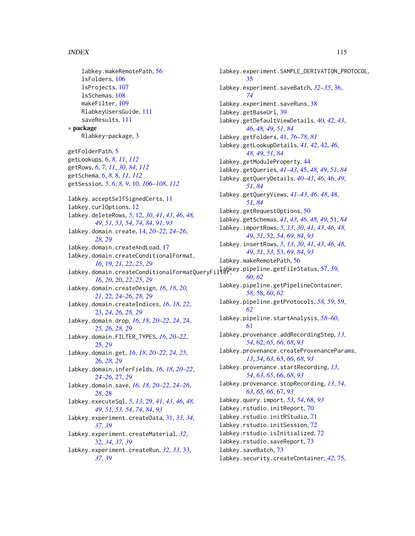#### INDEX 115

```
labkey.makeRemotePath, 56
    lsFolders, 106
    lsProjects, 107
    lsSchemas, 108
    makeFilter, 109
    RlabkeyUsersGuide, 111
    saveResults, 111
∗ package
    Rlabkey-package, 3
getFolderPath, 5
getLookups, 6, 8, 11, 112
getRows, 6, 7, 11, 30, 84, 112
getSchema, 6, 8, 8, 11, 112
getSession, 5, 6, 8, 9, 10, 106–108, 112
labkey.acceptSelfSignedCerts, 11
labkey.curlOptions, 12
labkey.deleteRows, 5, 12, 30, 41, 43, 46, 48,
        49, 51, 53, 54, 74, 84, 91, 93
labkey.domain.create, 14, 20–22, 24–26,
         28, 29
labkey.domain.createAndLoad, 17
labkey.domain.createConditionalFormat,
         16, 19, 21, 22, 25, 29
labkey.domain.createConditionalFormatQueryFilter,
labkey.pipeline.getFileStatus, 57, 59,
         16, 20, 20, 22, 25, 29
labkey.domain.createDesign, 16, 18, 20,
         21, 22, 24–26, 28, 29
labkey.domain.createIndices, 16, 18, 22,
         23, 24, 26, 28, 29
labkey.domain.drop, 16, 18, 20–22, 24, 24,
         25, 26, 28, 29
labkey.domain.FILTER_TYPES, 16, 20–22,
         25, 29
labkey.domain.get, 16, 18, 20–22, 24, 25,
         26, 28, 29
labkey.domain.inferFields, 16, 18, 20–22,
         24–26, 27, 29
labkey.domain.save, 16, 18, 20–22, 24–26,
         28, 28
labkey.executeSql, 5, 13, 29, 41, 43, 46, 48,
        49, 51, 53, 54, 74, 84, 93
labkey.experiment.createData, 31, 33, 34,
         37, 39
labkey.experiment.createMaterial, 32,
         32, 34, 37, 39
labkey.experiment.createRun, 32, 33, 33,
        37, 39
```
labkey.experiment.SAMPLE\_DERIVATION\_PROTOCOL, [35](#page-34-0) labkey.experiment.saveBatch, *[32](#page-31-0)[–35](#page-34-0)*, [36,](#page-35-0) *[74](#page-73-0)* labkey.experiment.saveRuns, [38](#page-37-0) labkey.getBaseUrl, [39](#page-38-0) labkey.getDefaultViewDetails, [40,](#page-39-0) *[42,](#page-41-0) [43](#page-42-0)*, *[46](#page-45-0)*, *[48,](#page-47-0) [49](#page-48-0)*, *[51](#page-50-0)*, *[84](#page-83-0)* labkey.getFolders, [41,](#page-40-0) *[76](#page-75-0)[–78](#page-77-0)*, *[81](#page-80-0)* labkey.getLookupDetails, *[41,](#page-40-0) [42](#page-41-0)*, [42,](#page-41-0) *[46](#page-45-0)*, *[48,](#page-47-0) [49](#page-48-0)*, *[51](#page-50-0)*, *[84](#page-83-0)* labkey.getModuleProperty, [44](#page-43-0) labkey.getQueries, *[41](#page-40-0)[–43](#page-42-0)*, [45,](#page-44-0) *[48,](#page-47-0) [49](#page-48-0)*, *[51](#page-50-0)*, *[84](#page-83-0)* labkey.getQueryDetails, *[40](#page-39-0)[–43](#page-42-0)*, *[46](#page-45-0)*, [46,](#page-45-0) *[49](#page-48-0)*, *[51](#page-50-0)*, *[84](#page-83-0)* labkey.getQueryViews, *[41](#page-40-0)[–43](#page-42-0)*, *[46](#page-45-0)*, *[48](#page-47-0)*, [48,](#page-47-0) *[51](#page-50-0)*, *[84](#page-83-0)* labkey.getRequestOptions, [50](#page-49-0) labkey.getSchemas, *[41](#page-40-0)*, *[43](#page-42-0)*, *[46](#page-45-0)*, *[48,](#page-47-0) [49](#page-48-0)*, [51,](#page-50-0) *[84](#page-83-0)* labkey.importRows, *[5](#page-4-0)*, *[13](#page-12-0)*, *[30](#page-29-0)*, *[41](#page-40-0)*, *[43](#page-42-0)*, *[46](#page-45-0)*, *[48,](#page-47-0) [49](#page-48-0)*, *[51](#page-50-0)*, [52,](#page-51-0) *[54](#page-53-0)*, *[69](#page-68-0)*, *[84](#page-83-0)*, *[93](#page-92-0)* labkey.insertRows, *[5](#page-4-0)*, *[13](#page-12-0)*, *[30](#page-29-0)*, *[41](#page-40-0)*, *[43](#page-42-0)*, *[46](#page-45-0)*, *[48,](#page-47-0) [49](#page-48-0)*, *[51](#page-50-0)*, *[53](#page-52-0)*, [53,](#page-52-0) *[69](#page-68-0)*, *[84](#page-83-0)*, *[93](#page-92-0)* labkey.makeRemotePath, [56](#page-55-0) *[60](#page-59-0)*, *[62](#page-61-0)* labkey.pipeline.getPipelineContainer, *[58](#page-57-0)*, [58,](#page-57-0) *[60](#page-59-0)*, *[62](#page-61-0)* labkey.pipeline.getProtocols, *[58,](#page-57-0) [59](#page-58-0)*, [59,](#page-58-0) *[62](#page-61-0)* labkey.pipeline.startAnalysis, *[58](#page-57-0)[–60](#page-59-0)*, [61](#page-60-0) labkey.provenance.addRecordingStep, *[13](#page-12-0)*, *[54](#page-53-0)*, [62,](#page-61-0) *[65,](#page-64-0) [66](#page-65-0)*, *[68](#page-67-0)*, *[93](#page-92-0)* labkey.provenance.createProvenanceParams, *[13](#page-12-0)*, *[54](#page-53-0)*, *[63](#page-62-0)*, [63,](#page-62-0) *[66](#page-65-0)*, *[68](#page-67-0)*, *[93](#page-92-0)* labkey.provenance.startRecording, *[13](#page-12-0)*, *[54](#page-53-0)*, *[63](#page-62-0)*, *[65](#page-64-0)*, [66,](#page-65-0) *[68](#page-67-0)*, *[93](#page-92-0)* labkey.provenance.stopRecording, *[13](#page-12-0)*, *[54](#page-53-0)*, *[63](#page-62-0)*, *[65,](#page-64-0) [66](#page-65-0)*, [67,](#page-66-0) *[93](#page-92-0)* labkey.query.import, *[53,](#page-52-0) [54](#page-53-0)*, [68,](#page-67-0) *[93](#page-92-0)* labkey.rstudio.initReport, [70](#page-69-0) labkey.rstudio.initRStudio, [71](#page-70-0) labkey.rstudio.initSession, [72](#page-71-0) labkey.rstudio.isInitialized, [72](#page-71-0) labkey.rstudio.saveReport, [73](#page-72-0) labkey.saveBatch, [73](#page-72-0) labkey.security.createContainer, *[42](#page-41-0)*, [75,](#page-74-0)